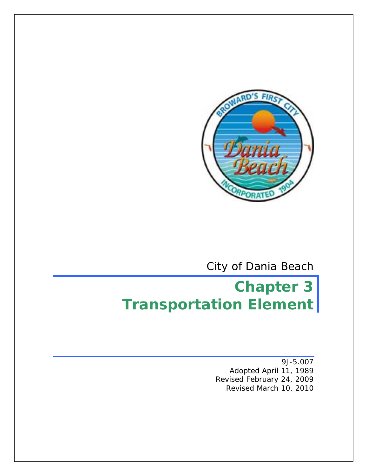

City of Dania Beach

# **Chapter 3 Transportation Element**

9J-5.007 Adopted April 11, 1989 Revised February 24, 2009 Revised March 10, 2010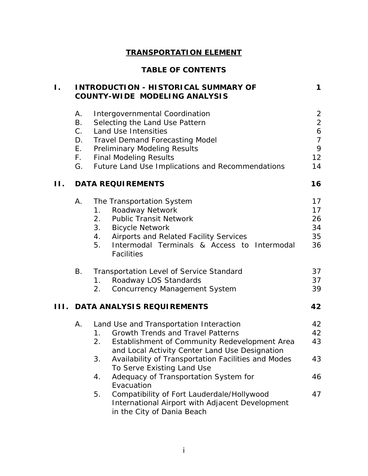# **TRANSPORTATION ELEMENT**

# **TABLE OF CONTENTS**

| Ι.  |               | <b>INTRODUCTION - HISTORICAL SUMMARY OF</b><br><b>COUNTY-WIDE MODELING ANALYSIS</b>                                               | $\mathbf 1$                      |
|-----|---------------|-----------------------------------------------------------------------------------------------------------------------------------|----------------------------------|
|     | Α.<br>В.      | <b>Intergovernmental Coordination</b><br>Selecting the Land Use Pattern                                                           | $\overline{2}$<br>$\overline{a}$ |
|     | $C_{+}$<br>D. | Land Use Intensities<br><b>Travel Demand Forecasting Model</b>                                                                    | 6<br>$\overline{7}$              |
|     | E.            | <b>Preliminary Modeling Results</b>                                                                                               | 9                                |
|     | F.            | <b>Final Modeling Results</b>                                                                                                     | 12                               |
|     | G.            | Future Land Use Implications and Recommendations                                                                                  | 14                               |
| П.  |               | <b>DATA REQUIREMENTS</b>                                                                                                          | 16                               |
|     | Α.            | The Transportation System                                                                                                         | 17                               |
|     |               | Roadway Network<br>1.                                                                                                             | 17                               |
|     |               | <b>Public Transit Network</b><br>2.                                                                                               | 26                               |
|     |               | 3.<br><b>Bicycle Network</b><br>Airports and Related Facility Services<br>4.                                                      | 34<br>35                         |
|     |               | Intermodal Terminals & Access to Intermodal<br>5.<br><b>Facilities</b>                                                            | 36                               |
|     | В.            | <b>Transportation Level of Service Standard</b>                                                                                   | 37                               |
|     |               | Roadway LOS Standards<br>1.                                                                                                       | 37                               |
|     |               | <b>Concurrency Management System</b><br>2.                                                                                        | 39                               |
| HL. |               | <b>DATA ANALYSIS REQUIREMENTS</b>                                                                                                 | 42                               |
|     | Α.            | Land Use and Transportation Interaction                                                                                           | 42                               |
|     |               | <b>Growth Trends and Travel Patterns</b><br>1.                                                                                    | 42                               |
|     |               | Establishment of Community Redevelopment Area<br>2.<br>and Local Activity Center Land Use Designation                             | 43                               |
|     |               | Availability of Transportation Facilities and Modes<br>3.<br>To Serve Existing Land Use                                           | 43                               |
|     |               | Adequacy of Transportation System for<br>4.<br>Evacuation                                                                         | 46                               |
|     |               | Compatibility of Fort Lauderdale/Hollywood<br>5.<br>International Airport with Adjacent Development<br>in the City of Dania Beach | 47                               |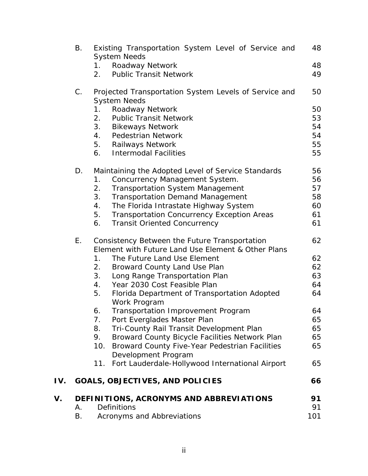|     | В.          | Existing Transportation System Level of Service and<br><b>System Needs</b>   | 48  |
|-----|-------------|------------------------------------------------------------------------------|-----|
|     |             | Roadway Network<br>1.                                                        | 48  |
|     |             | <b>Public Transit Network</b><br>2.                                          | 49  |
|     |             |                                                                              |     |
|     | $C_{\cdot}$ | Projected Transportation System Levels of Service and<br><b>System Needs</b> | 50  |
|     |             | Roadway Network<br>1.                                                        | 50  |
|     |             | <b>Public Transit Network</b><br>2.                                          | 53  |
|     |             | 3.<br><b>Bikeways Network</b>                                                | 54  |
|     |             | <b>Pedestrian Network</b><br>4.                                              | 54  |
|     |             | 5. Railways Network                                                          | 55  |
|     |             | <b>Intermodal Facilities</b><br>6.                                           | 55  |
|     | D.          | Maintaining the Adopted Level of Service Standards                           | 56  |
|     |             | Concurrency Management System.<br>1.                                         | 56  |
|     |             | 2.<br><b>Transportation System Management</b>                                | 57  |
|     |             | 3.<br><b>Transportation Demand Management</b>                                | 58  |
|     |             | The Florida Intrastate Highway System<br>4.                                  | 60  |
|     |             | 5.<br><b>Transportation Concurrency Exception Areas</b>                      | 61  |
|     |             | <b>Transit Oriented Concurrency</b><br>6.                                    | 61  |
|     | Ε.          | Consistency Between the Future Transportation                                | 62  |
|     |             | Element with Future Land Use Element & Other Plans                           |     |
|     |             | 1 <sub>1</sub><br>The Future Land Use Element                                | 62  |
|     |             | Broward County Land Use Plan<br>2.                                           | 62  |
|     |             | 3.<br>Long Range Transportation Plan                                         | 63  |
|     |             | Year 2030 Cost Feasible Plan<br>4.                                           | 64  |
|     |             | 5.<br>Florida Department of Transportation Adopted<br>Work Program           | 64  |
|     |             | Transportation Improvement Program<br>6.                                     | 64  |
|     |             | Port Everglades Master Plan<br>7.                                            | 65  |
|     |             | Tri-County Rail Transit Development Plan<br>8.                               | 65  |
|     |             | Broward County Bicycle Facilities Network Plan<br>9.                         | 65  |
|     |             | Broward County Five-Year Pedestrian Facilities<br>10.                        | 65  |
|     |             | Development Program                                                          |     |
|     |             | 11. Fort Lauderdale-Hollywood International Airport                          | 65  |
| IV. |             | <b>GOALS, OBJECTIVES, AND POLICIES</b>                                       | 66  |
| V.  |             | DEFINITIONS, ACRONYMS AND ABBREVIATIONS                                      | 91  |
|     | Α.          | <b>Definitions</b>                                                           | 91  |
|     | Β.          | Acronyms and Abbreviations                                                   | 101 |
|     |             |                                                                              |     |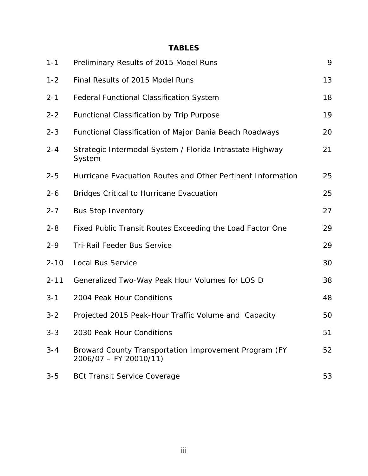# **TABLES**

| $1 - 1$  | Preliminary Results of 2015 Model Runs                                           | 9  |
|----------|----------------------------------------------------------------------------------|----|
| $1 - 2$  | Final Results of 2015 Model Runs                                                 | 13 |
| $2 - 1$  | <b>Federal Functional Classification System</b>                                  | 18 |
| $2 - 2$  | Functional Classification by Trip Purpose                                        | 19 |
| $2 - 3$  | Functional Classification of Major Dania Beach Roadways                          | 20 |
| $2 - 4$  | Strategic Intermodal System / Florida Intrastate Highway<br>System               | 21 |
| $2 - 5$  | Hurricane Evacuation Routes and Other Pertinent Information                      | 25 |
| $2 - 6$  | <b>Bridges Critical to Hurricane Evacuation</b>                                  | 25 |
| $2 - 7$  | <b>Bus Stop Inventory</b>                                                        | 27 |
| $2 - 8$  | Fixed Public Transit Routes Exceeding the Load Factor One                        | 29 |
| $2 - 9$  | <b>Tri-Rail Feeder Bus Service</b>                                               | 29 |
| $2 - 10$ | Local Bus Service                                                                | 30 |
| $2 - 11$ | Generalized Two-Way Peak Hour Volumes for LOS D                                  | 38 |
| $3 - 1$  | 2004 Peak Hour Conditions                                                        | 48 |
| $3 - 2$  | Projected 2015 Peak-Hour Traffic Volume and Capacity                             | 50 |
| $3 - 3$  | 2030 Peak Hour Conditions                                                        | 51 |
| $3 - 4$  | Broward County Transportation Improvement Program (FY<br>$2006/07 - FY 20010/11$ | 52 |
| $3 - 5$  | <b>BCt Transit Service Coverage</b>                                              | 53 |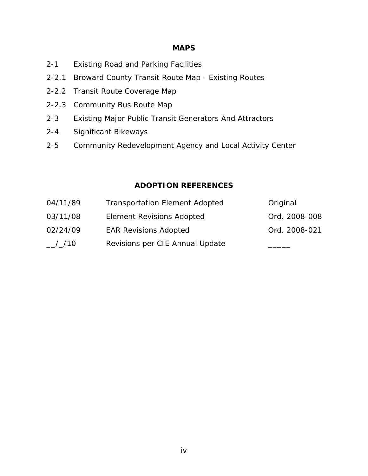#### **MAPS**

- 2-1 Existing Road and Parking Facilities
- 2-2.1 Broward County Transit Route Map Existing Routes
- 2-2.2 Transit Route Coverage Map
- 2-2.3 Community Bus Route Map
- 2-3 Existing Major Public Transit Generators And Attractors
- 2-4 Significant Bikeways
- 2-5 Community Redevelopment Agency and Local Activity Center

#### **ADOPTION REFERENCES**

| 04/11/89                       | <b>Transportation Element Adopted</b> | Original      |
|--------------------------------|---------------------------------------|---------------|
| 03/11/08                       | Element Revisions Adopted             | Ord. 2008-008 |
| 02/24/09                       | <b>EAR Revisions Adopted</b>          | Ord. 2008-021 |
| $\frac{-}{-}$ / $\frac{1}{10}$ | Revisions per CIE Annual Update       |               |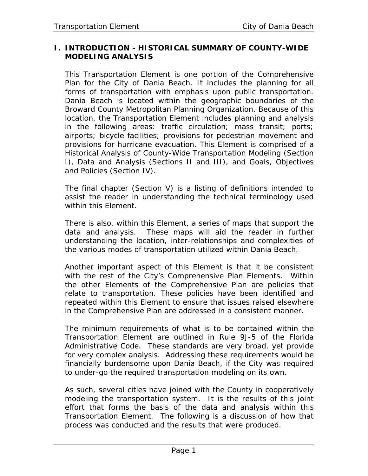## **I. INTRODUCTION - HISTORICAL SUMMARY OF COUNTY-WIDE MODELING ANALYSIS**

This Transportation Element is one portion of the Comprehensive Plan for the City of Dania Beach. It includes the planning for all forms of transportation with emphasis upon public transportation. Dania Beach is located within the geographic boundaries of the Broward County Metropolitan Planning Organization. Because of this location, the Transportation Element includes planning and analysis in the following areas: traffic circulation; mass transit; ports; airports; bicycle facilities; provisions for pedestrian movement and provisions for hurricane evacuation. This Element is comprised of a Historical Analysis of County-Wide Transportation Modeling (Section I), Data and Analysis (Sections II and III), and Goals, Objectives and Policies (Section IV).

The final chapter (Section V) is a listing of definitions intended to assist the reader in understanding the technical terminology used within this Element.

There is also, within this Element, a series of maps that support the data and analysis. These maps will aid the reader in further understanding the location, inter-relationships and complexities of the various modes of transportation utilized within Dania Beach.

Another important aspect of this Element is that it be consistent with the rest of the City's Comprehensive Plan Elements. Within the other Elements of the Comprehensive Plan are policies that relate to transportation. These policies have been identified and repeated within this Element to ensure that issues raised elsewhere in the Comprehensive Plan are addressed in a consistent manner.

The minimum requirements of what is to be contained within the Transportation Element are outlined in Rule 9J-5 of the Florida Administrative Code. These standards are very broad, yet provide for very complex analysis. Addressing these requirements would be financially burdensome upon Dania Beach, if the City was required to under-go the required transportation modeling on its own.

As such, several cities have joined with the County in cooperatively modeling the transportation system. It is the results of this joint effort that forms the basis of the data and analysis within this Transportation Element. The following is a discussion of how that process was conducted and the results that were produced.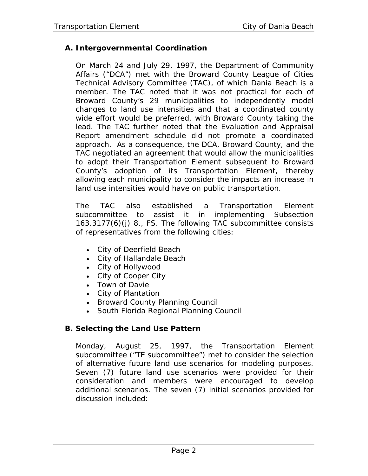# **A. Intergovernmental Coordination**

On March 24 and July 29, 1997, the Department of Community Affairs ("DCA") met with the Broward County League of Cities Technical Advisory Committee (TAC), of which Dania Beach is a member. The TAC noted that it was not practical for each of Broward County's 29 municipalities to independently model changes to land use intensities and that a coordinated county wide effort would be preferred, with Broward County taking the lead. The TAC further noted that the Evaluation and Appraisal Report amendment schedule did not promote a coordinated approach. As a consequence, the DCA, Broward County, and the TAC negotiated an agreement that would allow the municipalities to adopt their Transportation Element subsequen*t* to Broward County's adoption of its Transportation Element, thereby allowing each municipality to consider the impacts an increase in land use intensities would have on public transportation.

The TAC also established a Transportation Element subcommittee to assist it in implementing Subsection 163.3177(6)(j) 8., FS. The following TAC subcommittee consists of representatives from the following cities:

- City of Deerfield Beach
- City of Hallandale Beach
- City of Hollywood
- City of Cooper City
- Town of Davie
- City of Plantation
- Broward County Planning Council
- South Florida Regional Planning Council

# **B. Selecting the Land Use Pattern**

Monday, August 25, 1997, the Transportation Element subcommittee ("TE subcommittee") met to consider the selection of alternative future land use scenarios for modeling purposes. Seven (7) future land use scenarios were provided for their consideration and members were encouraged to develop additional scenarios. The seven (7) initial scenarios provided for discussion included: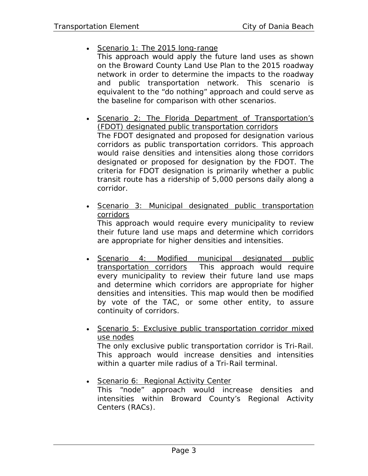- Scenario 1: The 2015 long-range This approach would apply the future land uses as shown on the Broward County Land Use Plan to the 2015 roadway network in order to determine the impacts to the roadway and public transportation network. This scenario is equivalent to the "do nothing" approach and could serve as the baseline for comparison with other scenarios.
- Scenario 2: The Florida Department of Transportation's (FDOT) designated public transportation corridors The FDOT designated and proposed for designation various corridors as public transportation corridors. This approach would raise densities and intensities along those corridors designated or proposed for designation by the FDOT. The criteria for FDOT designation is primarily whether a public transit route has a ridership of 5,000 persons daily along a corridor.
- Scenario 3: Municipal designated public transportation corridors This approach would require every municipality to review their future land use maps and determine which corridors

are appropriate for higher densities and intensities.

- Scenario 4: Modified municipal designated public transportation corridors This approach would require every municipality to review their future land use maps and determine which corridors are appropriate for higher densities and intensities. This map would then be modified by vote of the TAC, or some other entity, to assure continuity of corridors.
- Scenario 5: Exclusive public transportation corridor mixed use nodes The only exclusive public transportation corridor is Tri-Rail. This approach would increase densities and intensities within a quarter mile radius of a Tri-Rail terminal.
- Scenario 6: Regional Activity Center This "node" approach would increase densities and intensities within Broward County's Regional Activity Centers (RACs).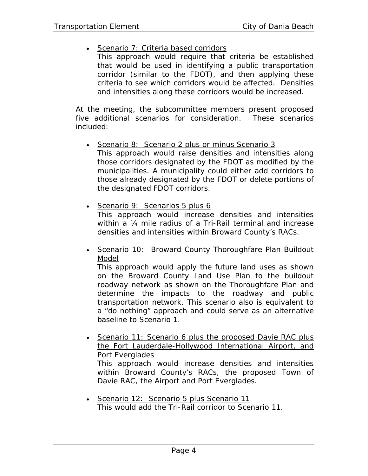## • Scenario 7: Criteria based corridors

This approach would require that criteria be established that would be used in identifying a public transportation corridor (similar to the FDOT), and then applying these criteria to see which corridors would be affected. Densities and intensities along these corridors would be increased.

At the meeting, the subcommittee members present proposed five additional scenarios for consideration. These scenarios included:

- Scenario 8: Scenario 2 plus or minus Scenario 3 This approach would raise densities and intensities along those corridors designated by the FDOT as modified by the municipalities. A municipality could either add corridors to those already designated by the FDOT or delete portions of the designated FDOT corridors.
- Scenario 9: Scenarios 5 plus 6 This approach would increase densities and intensities within a ¼ mile radius of a Tri-Rail terminal and increase densities and intensities within Broward County's RACs.
- Scenario 10: Broward County Thoroughfare Plan Buildout Model

This approach would apply the future land uses as shown on the Broward County Land Use Plan to the buildout roadway network as shown on the Thoroughfare Plan and determine the impacts to the roadway and public transportation network. This scenario also is equivalent to a "do nothing" approach and could serve as an alternative baseline to Scenario 1.

• Scenario 11: Scenario 6 plus the proposed Davie RAC plus the Fort Lauderdale-Hollywood International Airport, and Port Everglades This approach would increase densities and intensities

within Broward County's RACs, the proposed Town of Davie RAC, the Airport and Port Everglades.

• Scenario 12: Scenario 5 plus Scenario 11 This would add the Tri-Rail corridor to Scenario 11.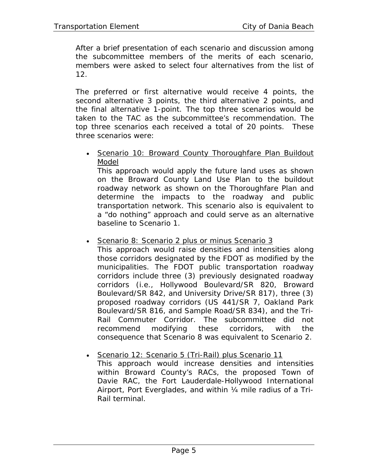After a brief presentation of each scenario and discussion among the subcommittee members of the merits of each scenario, members were asked to select four alternatives from the list of 12.

The preferred or first alternative would receive 4 points, the second alternative 3 points, the third alternative 2 points, and the final alternative 1-point. The top three scenarios would be taken to the TAC as the subcommittee's recommendation. The top three scenarios each received a total of 20 points. These three scenarios were:

• Scenario 10: Broward County Thoroughfare Plan Buildout Model

This approach would apply the future land uses as shown on the Broward County Land Use Plan to the buildout roadway network as shown on the Thoroughfare Plan and determine the impacts to the roadway and public transportation network. This scenario also is equivalent to a "do nothing" approach and could serve as an alternative baseline to Scenario 1.

• Scenario 8: Scenario 2 plus or minus Scenario 3

This approach would raise densities and intensities along those corridors designated by the FDOT as modified by the municipalities. The FDOT public transportation roadway corridors include three (3) previously designated roadway corridors (i.e., Hollywood Boulevard/SR 820, Broward Boulevard/SR 842, and University Drive/SR 817), three (3) proposed roadway corridors (US 441/SR 7, Oakland Park Boulevard/SR 816, and Sample Road/SR 834), and the Tri-Rail Commuter Corridor. The subcommittee did not recommend modifying these corridors, with the consequence that Scenario 8 was equivalent to Scenario 2.

• Scenario 12: Scenario 5 (Tri-Rail) plus Scenario 11 This approach would increase densities and intensities within Broward County's RACs, the proposed Town of Davie RAC, the Fort Lauderdale-Hollywood International Airport, Port Everglades, and within ¼ mile radius of a Tri-Rail terminal.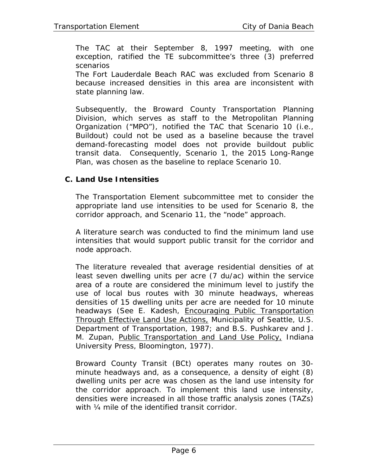The TAC at their September 8, 1997 meeting, with one exception, ratified the TE subcommittee's three (3) preferred scenarios

The Fort Lauderdale Beach RAC was excluded from Scenario 8 because increased densities in this area are inconsistent with state planning law.

Subsequently, the Broward County Transportation Planning Division, which serves as staff to the Metropolitan Planning Organization ("MPO"), notified the TAC that Scenario 10 (i.e., Buildout) could not be used as a baseline because the travel demand-forecasting model does not provide buildout public transit data. Consequently, Scenario 1, the 2015 Long-Range Plan, was chosen as the baseline to replace Scenario 10.

## **C. Land Use Intensities**

The Transportation Element subcommittee met to consider the appropriate land use intensities to be used for Scenario 8, the corridor approach, and Scenario 11, the "node" approach.

A literature search was conducted to find the minimum land use intensities that would support public transit for the corridor and node approach.

The literature revealed that average residential densities of at least seven dwelling units per acre (7 du/ac) within the service area of a route are considered the minimum level to justify the use of local bus routes with 30 minute headways, whereas densities of 15 dwelling units per acre are needed for 10 minute headways (See E. Kadesh, Encouraging Public Transportation Through Effective Land Use Actions, Municipality of Seattle, U.S. Department of Transportation, 1987; and B.S. Pushkarev and J. M. Zupan, Public Transportation and Land Use Policy, Indiana University Press, Bloomington, 1977).

Broward County Transit (BCt) operates many routes on 30 minute headways and, as a consequence, a density of eight (8) dwelling units per acre was chosen as the land use intensity for the corridor approach. To implement this land use intensity, densities were increased in all those traffic analysis zones (TAZs) with  $\frac{1}{4}$  mile of the identified transit corridor.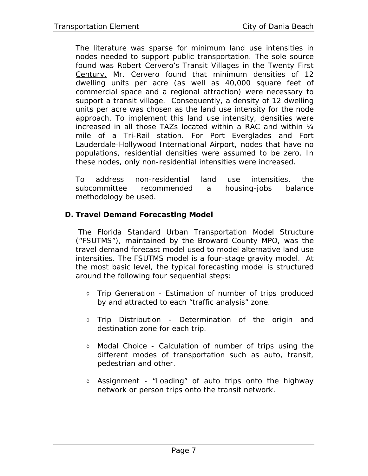The literature was sparse for minimum land use intensities in nodes needed to support public transportation. The sole source found was Robert Cervero's Transit Villages in the Twenty First Century. Mr. Cervero found that minimum densities of 12 dwelling units per acre (as well as 40,000 square feet of commercial space and a regional attraction) were necessary to support a transit village. Consequently, a density of 12 dwelling units per acre was chosen as the land use intensity for the node approach. To implement this land use intensity, densities were increased in all those TAZs located within a RAC and within  $\mathcal{U}_4$ mile of a Tri-Rail station. For Port Everglades and Fort Lauderdale-Hollywood International Airport, nodes that have no populations, residential densities were assumed to be zero. In these nodes, only non-residential intensities were increased.

To address non-residential land use intensities, the subcommittee recommended a housing-jobs balance methodology be used.

# **D. Travel Demand Forecasting Model**

 The Florida Standard Urban Transportation Model Structure ("FSUTMS"), maintained by the Broward County MPO, was the travel demand forecast model used to model alternative land use intensities. The FSUTMS model is a four-stage gravity model. At the most basic level, the typical forecasting model is structured around the following four sequential steps:

- ◊ Trip Generation Estimation of number of trips produced by and attracted to each "traffic analysis" zone.
- ◊ Trip Distribution Determination of the origin and destination zone for each trip.
- ◊ Modal Choice Calculation of number of trips using the different modes of transportation such as auto, transit, pedestrian and other.
- ◊ Assignment "Loading" of auto trips onto the highway network or person trips onto the transit network.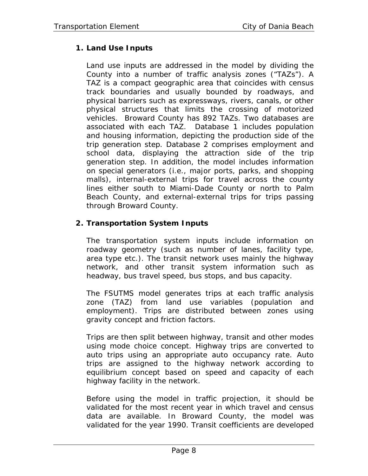# **1. Land Use Inputs**

Land use inputs are addressed in the model by dividing the County into a number of traffic analysis zones ("TAZs"). A TAZ is a compact geographic area that coincides with census track boundaries and usually bounded by roadways, and physical barriers such as expressways, rivers, canals, or other physical structures that limits the crossing of motorized vehicles. Broward County has 892 TAZs. Two databases are associated with each TAZ. Database 1 includes population and housing information, depicting the production side of the trip generation step. Database 2 comprises employment and school data, displaying the attraction side of the trip generation step. In addition, the model includes information on special generators (i.e., major ports, parks, and shopping malls), internal-external trips for travel across the county lines either south to Miami-Dade County or north to Palm Beach County, and external-external trips for trips passing through Broward County.

# **2. Transportation System Inputs**

The transportation system inputs include information on roadway geometry (such as number of lanes, facility type, area type etc.). The transit network uses mainly the highway network, and other transit system information such as headway, bus travel speed, bus stops, and bus capacity.

The FSUTMS model generates trips at each traffic analysis zone (TAZ) from land use variables (population and employment). Trips are distributed between zones using gravity concept and friction factors.

Trips are then split between highway, transit and other modes using mode choice concept. Highway trips are converted to auto trips using an appropriate auto occupancy rate. Auto trips are assigned to the highway network according to equilibrium concept based on speed and capacity of each highway facility in the network.

Before using the model in traffic projection, it should be validated for the most recent year in which travel and census data are available. In Broward County, the model was validated for the year 1990. Transit coefficients are developed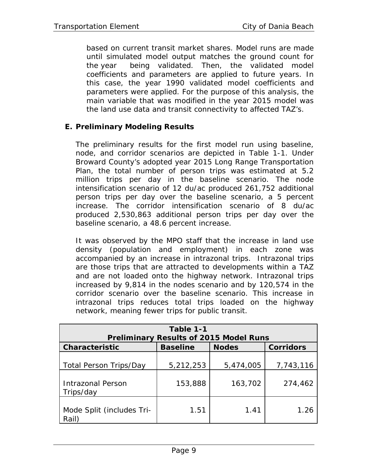based on current transit market shares. Model runs are made until simulated model output matches the ground count for the year being validated. Then, the validated model coefficients and parameters are applied to future years. In this case, the year 1990 validated model coefficients and parameters were applied. For the purpose of this analysis, the main variable that was modified in the year 2015 model was the land use data and transit connectivity to affected TAZ's.

## **E. Preliminary Modeling Results**

The preliminary results for the first model run using baseline, node, and corridor scenarios are depicted in Table 1-1. Under Broward County's adopted year 2015 Long Range Transportation Plan, the total number of person trips was estimated at 5.2 million trips per day in the baseline scenario. The node intensification scenario of 12 du/ac produced 261,752 additional person trips per day over the baseline scenario, a 5 percent increase. The corridor intensification scenario of 8 du/ac produced 2,530,863 additional person trips per day over the baseline scenario, a 48.6 percent increase.

It was observed by the MPO staff that the increase in land use density (population and employment) in each zone was accompanied by an increase in intrazonal trips. Intrazonal trips are those trips that are attracted to developments within a TAZ and are not loaded onto the highway network. Intrazonal trips increased by 9,814 in the nodes scenario and by 120,574 in the corridor scenario over the baseline scenario. This increase in intrazonal trips reduces total trips loaded on the highway network, meaning fewer trips for public transit.

| Table 1-1<br><b>Preliminary Results of 2015 Model Runs</b>             |                      |                      |                      |  |  |
|------------------------------------------------------------------------|----------------------|----------------------|----------------------|--|--|
| <b>Characteristic</b>                                                  | <b>Baseline</b>      | <b>Nodes</b>         | <b>Corridors</b>     |  |  |
| <b>Total Person Trips/Day</b><br><b>Intrazonal Person</b><br>Trips/day | 5,212,253<br>153,888 | 5,474,005<br>163,702 | 7,743,116<br>274,462 |  |  |
| Mode Split (includes Tri-<br>Rail)                                     | 1.51                 | 1.41                 | 1.26                 |  |  |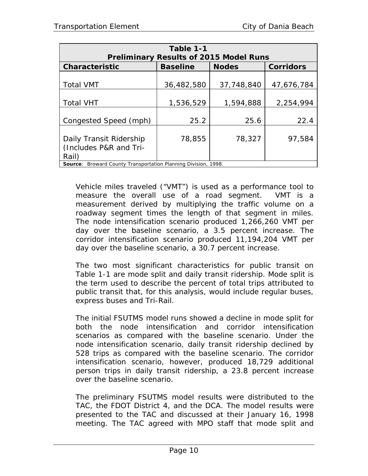| Table 1-1                                                             |                 |                                               |                  |  |  |
|-----------------------------------------------------------------------|-----------------|-----------------------------------------------|------------------|--|--|
|                                                                       |                 | <b>Preliminary Results of 2015 Model Runs</b> |                  |  |  |
| <b>Characteristic</b>                                                 | <b>Baseline</b> | <b>Nodes</b>                                  | <b>Corridors</b> |  |  |
|                                                                       |                 |                                               |                  |  |  |
| <b>Total VMT</b>                                                      | 36,482,580      | 37,748,840                                    | 47,676,784       |  |  |
|                                                                       |                 |                                               |                  |  |  |
| <b>Total VHT</b>                                                      | 1,536,529       | 1,594,888                                     | 2,254,994        |  |  |
|                                                                       |                 |                                               |                  |  |  |
| Congested Speed (mph)                                                 | 25.2            | 25.6                                          | 22.4             |  |  |
|                                                                       |                 |                                               |                  |  |  |
| Daily Transit Ridership                                               | 78,855          | 78,327                                        | 97,584           |  |  |
| (Includes P&R and Tri-                                                |                 |                                               |                  |  |  |
| Rail)                                                                 |                 |                                               |                  |  |  |
| <b>Source:</b> Broward County Transportation Planning Division, 1998. |                 |                                               |                  |  |  |

Vehicle miles traveled ("VMT") is used as a performance tool to measure the overall use of a road segment. VMT is a measurement derived by multiplying the traffic volume on a roadway segment times the length of that segment in miles. The node intensification scenario produced 1,266,260 VMT per day over the baseline scenario, a 3.5 percent increase. The corridor intensification scenario produced 11,194,204 VMT per day over the baseline scenario, a 30.7 percent increase.

The two most significant characteristics for public transit on Table 1-1 are mode split and daily transit ridership. Mode split is the term used to describe the percent of total trips attributed to public transit that, for this analysis, would include regular buses, express buses and Tri-Rail.

The initial FSUTMS model runs showed a decline in mode split for both the node intensification and corridor intensification scenarios as compared with the baseline scenario. Under the node intensification scenario, daily transit ridership declined by 528 trips as compared with the baseline scenario. The corridor intensification scenario, however, produced 18,729 additional person trips in daily transit ridership, a 23.8 percent increase over the baseline scenario.

The preliminary FSUTMS model results were distributed to the TAC, the FDOT District 4, and the DCA. The model results were presented to the TAC and discussed at their January 16, 1998 meeting. The TAC agreed with MPO staff that mode split and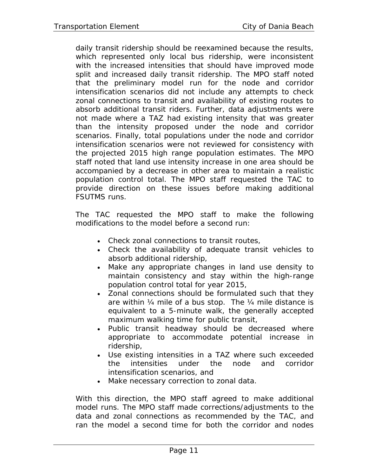daily transit ridership should be reexamined because the results, which represented only local bus ridership, were inconsistent with the increased intensities that should have *improved* mode split and increased daily transit ridership. The MPO staff noted that the preliminary model run for the node and corridor intensification scenarios did not include any attempts to check zonal connections to transit and availability of existing routes to absorb additional transit riders. Further, data adjustments were not made where a TAZ had existing intensity that was greater than the intensity proposed under the node and corridor scenarios. Finally, total populations under the node and corridor intensification scenarios were not reviewed for consistency with the projected 2015 high range population estimates. The MPO staff noted that land use intensity increase in one area should be accompanied by a decrease in other area to maintain a realistic population control total. The MPO staff requested the TAC to provide direction on these issues before making additional FSUTMS runs.

The TAC requested the MPO staff to make the following modifications to the model before a second run:

- Check zonal connections to transit routes,
- Check the availability of adequate transit vehicles to absorb additional ridership,
- Make any appropriate changes in land use density to maintain consistency and stay within the high-range population control total for year 2015,
- Zonal connections should be formulated such that they are within ¼ mile of a bus stop. The ¼ mile distance is equivalent to a 5-minute walk, the generally accepted maximum walking time for public transit,
- Public transit headway should be decreased where appropriate to accommodate potential increase in ridership,
- Use existing intensities in a TAZ where such exceeded the intensities under the node and corridor intensification scenarios, and
- Make necessary correction to zonal data.

With this direction, the MPO staff agreed to make additional model runs. The MPO staff made corrections/adjustments to the data and zonal connections as recommended by the TAC, and ran the model a second time for both the corridor and nodes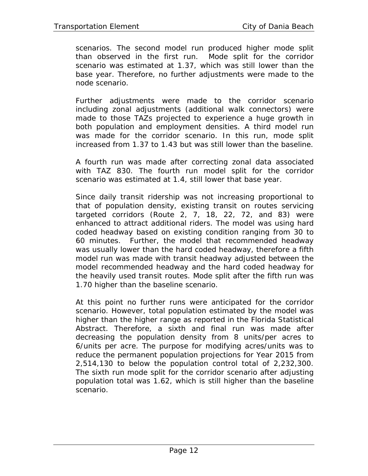scenarios. The second model run produced higher mode split than observed in the first run. Mode split for the corridor scenario was estimated at 1.37, which was still lower than the base year. Therefore, no further adjustments were made to the node scenario.

Further adjustments were made to the corridor scenario including zonal adjustments (additional walk connectors) were made to those TAZs projected to experience a huge growth in both population and employment densities. A third model run was made for the corridor scenario. In this run, mode split increased from 1.37 to 1.43 but was still lower than the baseline.

A fourth run was made after correcting zonal data associated with TAZ 830. The fourth run model split for the corridor scenario was estimated at 1.4, still lower that base year.

Since daily transit ridership was not increasing proportional to that of population density, existing transit on routes servicing targeted corridors (Route 2, 7, 18, 22, 72, and 83) were enhanced to attract additional riders. The model was using hard coded headway based on existing condition ranging from 30 to 60 minutes. Further, the model that recommended headway was usually lower than the hard coded headway, therefore a fifth model run was made with transit headway adjusted between the model recommended headway and the hard coded headway for the heavily used transit routes. Mode split after the fifth run was 1.70 higher than the baseline scenario.

At this point no further runs were anticipated for the corridor scenario. However, total population estimated by the model was higher than the higher range as reported in the Florida Statistical Abstract. Therefore, a sixth and final run was made after decreasing the population density from 8 units/per acres to 6/units per acre. The purpose for modifying acres/units was to reduce the permanent population projections for Year 2015 from 2,514,130 to below the population control total of 2,232,300. The sixth run mode split for the corridor scenario after adjusting population total was 1.62, which is still higher than the baseline scenario.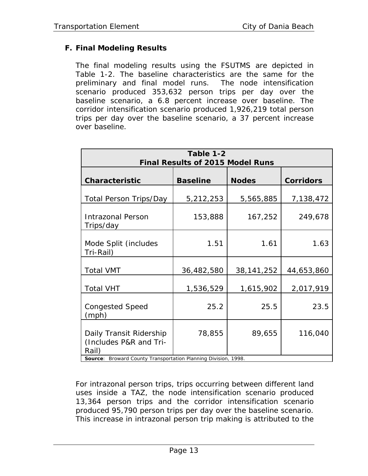# **F. Final Modeling Results**

The final modeling results using the FSUTMS are depicted in Table 1-2. The baseline characteristics are the same for the preliminary and final model runs. The node intensification scenario produced 353,632 person trips per day over the baseline scenario, a 6.8 percent increase over baseline. The corridor intensification scenario produced 1,926,219 total person trips per day over the baseline scenario, a 37 percent increase over baseline.

| Table 1-2<br><b>Final Results of 2015 Model Runs</b>                                                                    |                 |              |                  |  |  |
|-------------------------------------------------------------------------------------------------------------------------|-----------------|--------------|------------------|--|--|
| <b>Characteristic</b>                                                                                                   | <b>Baseline</b> | <b>Nodes</b> | <b>Corridors</b> |  |  |
| <b>Total Person Trips/Day</b>                                                                                           | 5,212,253       | 5,565,885    | 7,138,472        |  |  |
| <b>Intrazonal Person</b><br>Trips/day                                                                                   | 153,888         | 167,252      | 249,678          |  |  |
| Mode Split (includes<br>Tri-Rail)                                                                                       | 1.51            | 1.61         | 1.63             |  |  |
| <b>Total VMT</b>                                                                                                        | 36,482,580      | 38, 141, 252 | 44,653,860       |  |  |
| <b>Total VHT</b>                                                                                                        | 1,536,529       | 1,615,902    | 2,017,919        |  |  |
| <b>Congested Speed</b><br>(mph)                                                                                         | 25.2            | 25.5         | 23.5             |  |  |
| Daily Transit Ridership<br>(Includes P&R and Tri-<br>Rail)<br>Descripted Corrector Tennessementation Diversion Division | 78,855          | 89,655       | 116,040          |  |  |

**Source**: Broward County Transportation Planning Division, 1998.

For intrazonal person trips, trips occurring between different land uses inside a TAZ, the node intensification scenario produced 13,364 person trips and the corridor intensification scenario produced 95,790 person trips per day over the baseline scenario. This increase in intrazonal person trip making is attributed to the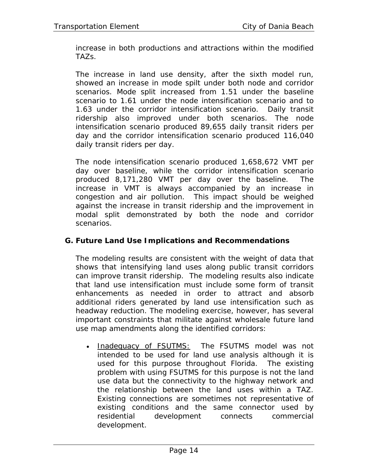increase in both productions and attractions within the modified TAZs.

The increase in land use density, after the sixth model run, showed an increase in mode spilt under both node and corridor scenarios. Mode split increased from 1.51 under the baseline scenario to 1.61 under the node intensification scenario and to 1.63 under the corridor intensification scenario. Daily transit ridership also improved under both scenarios. The node intensification scenario produced 89,655 daily transit riders per day and the corridor intensification scenario produced 116,040 daily transit riders per day.

The node intensification scenario produced 1,658,672 VMT per day over baseline, while the corridor intensification scenario produced 8,171,280 VMT per day over the baseline. The increase in VMT is always accompanied by an increase in congestion and air pollution. This impact should be weighed against the increase in transit ridership and the improvement in modal split demonstrated by both the node and corridor scenarios.

#### **G. Future Land Use Implications and Recommendations**

The modeling results are consistent with the weight of data that shows that intensifying land uses along public transit corridors can improve transit ridership. The modeling results also indicate that land use intensification must include some form of transit enhancements as needed in order to attract and absorb additional riders generated by land use intensification such as headway reduction. The modeling exercise, however, has several important constraints that militate against wholesale future land use map amendments along the identified corridors:

• Inadequacy of FSUTMS: The FSUTMS model was not intended to be used for land use analysis although it is used for this purpose throughout Florida. The existing problem with using FSUTMS for this purpose is not the land use data but the connectivity to the highway network and the relationship between the land uses within a TAZ. Existing connections are sometimes not representative of existing conditions and the same connector used by residential development connects commercial development.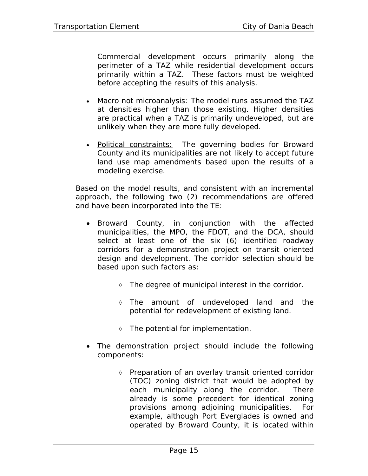Commercial development occurs primarily along the perimeter of a TAZ while residential development occurs primarily within a TAZ. These factors must be weighted before accepting the results of this analysis.

- Macro not microanalysis: The model runs assumed the TAZ at densities higher than those existing. Higher densities are practical when a TAZ is primarily undeveloped, but are unlikely when they are more fully developed.
- Political constraints: The governing bodies for Broward County and its municipalities are not likely to accept future land use map amendments based upon the results of a modeling exercise.

Based on the model results, and consistent with an incremental approach, the following two (2) recommendations are offered and have been incorporated into the TE:

- Broward County, in conjunction with the affected municipalities, the MPO, the FDOT, and the DCA, should select at least one of the six (6) identified roadway corridors for a demonstration project on transit oriented design and development. The corridor selection should be based upon such factors as:
	- ◊ The degree of municipal interest in the corridor.
	- ◊ The amount of undeveloped land and the potential for redevelopment of existing land.
	- ◊ The potential for implementation.
- The demonstration project should include the following components:
	- ◊ Preparation of an overlay transit oriented corridor (TOC) zoning district that would be adopted by each municipality along the corridor. There already is some precedent for identical zoning provisions among adjoining municipalities. For example, although Port Everglades is owned and operated by Broward County, it is located within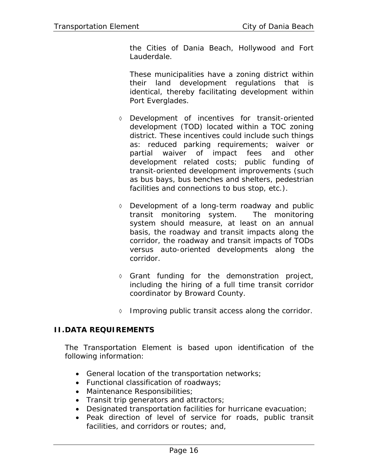the Cities of Dania Beach, Hollywood and Fort Lauderdale.

These municipalities have a zoning district within their land development regulations that is identical, thereby facilitating development within Port Everglades.

- ◊ Development of incentives for transit-oriented development (TOD) located within a TOC zoning district. These incentives could include such things as: reduced parking requirements; waiver or partial waiver of impact fees and other development related costs; public funding of transit-oriented development improvements (such as bus bays, bus benches and shelters, pedestrian facilities and connections to bus stop, etc.).
- ◊ Development of a long-term roadway and public transit monitoring system. The monitoring system should measure, at least on an annual basis, the roadway and transit impacts along the corridor, the roadway and transit impacts of TODs versus auto-oriented developments along the corridor.
- ◊ Grant funding for the demonstration project, including the hiring of a full time transit corridor coordinator by Broward County.
- ◊ Improving public transit access along the corridor.

#### **II.DATA REQUIREMENTS**

The Transportation Element is based upon identification of the following information:

- General location of the transportation networks;
- Functional classification of roadways;
- Maintenance Responsibilities;
- Transit trip generators and attractors;
- Designated transportation facilities for hurricane evacuation;
- Peak direction of level of service for roads, public transit facilities, and corridors or routes; and,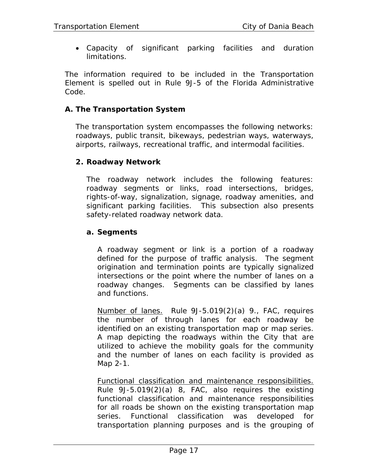• Capacity of significant parking facilities and duration limitations.

The information required to be included in the Transportation Element is spelled out in Rule 9J-5 of the Florida Administrative Code.

#### **A. The Transportation System**

The transportation system encompasses the following networks: roadways, public transit, bikeways, pedestrian ways, waterways, airports, railways, recreational traffic, and intermodal facilities.

#### **2. Roadway Network**

The roadway network includes the following features: roadway segments or links, road intersections, bridges, rights-of-way, signalization, signage, roadway amenities, and significant parking facilities. This subsection also presents safety-related roadway network data.

#### **a. Segments**

A roadway segment or link is a portion of a roadway defined for the purpose of traffic analysis. The segment origination and termination points are typically signalized intersections or the point where the number of lanes on a roadway changes. Segments can be classified by lanes and functions.

Number of lanes. Rule 9J-5.019(2)(a) 9., FAC, requires the number of through lanes for each roadway be identified on an existing transportation map or map series. A map depicting the roadways within the City that are utilized to achieve the mobility goals for the community and the number of lanes on each facility is provided as Map 2-1.

Functional classification and maintenance responsibilities. Rule 9J-5.019(2)(a) 8, FAC, also requires the existing functional classification and maintenance responsibilities for all roads be shown on the existing transportation map series. Functional classification was developed for transportation planning purposes and is the grouping of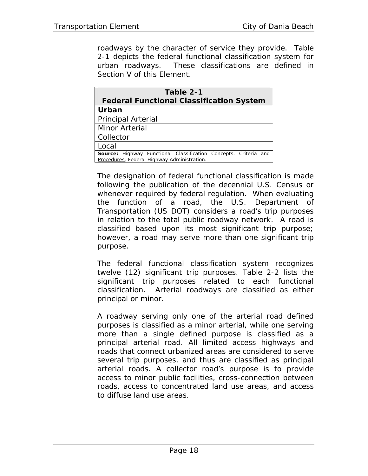roadways by the character of service they provide. Table 2-1 depicts the federal functional classification system for urban roadways. These classifications are defined in Section V of this Element.

| Table 2-1                                                                                                              |  |  |  |
|------------------------------------------------------------------------------------------------------------------------|--|--|--|
| <b>Federal Functional Classification System</b>                                                                        |  |  |  |
| Urban                                                                                                                  |  |  |  |
| <b>Principal Arterial</b>                                                                                              |  |  |  |
| Minor Arterial                                                                                                         |  |  |  |
| Collector                                                                                                              |  |  |  |
| Local                                                                                                                  |  |  |  |
| <b>Source:</b> Highway Functional Classification Concepts, Criteria and<br>Procedures, Federal Highway Administration. |  |  |  |

The designation of federal functional classification is made following the publication of the decennial U.S. Census or whenever required by federal regulation. When evaluating the function of a road, the U.S. Department of Transportation (US DOT) considers a road's trip purposes in relation to the total public roadway network. A road is classified based upon its most significant trip purpose; however, a road may serve more than one significant trip purpose.

The federal functional classification system recognizes twelve (12) significant trip purposes. Table 2-2 lists the significant trip purposes related to each functional classification. Arterial roadways are classified as either principal or minor.

A roadway serving only one of the arterial road defined purposes is classified as a minor arterial, while one serving more than a single defined purpose is classified as a principal arterial road. All limited access highways and roads that connect urbanized areas are considered to serve several trip purposes, and thus are classified as principal arterial roads. A collector road's purpose is to provide access to minor public facilities, cross-connection between roads, access to concentrated land use areas, and access to diffuse land use areas.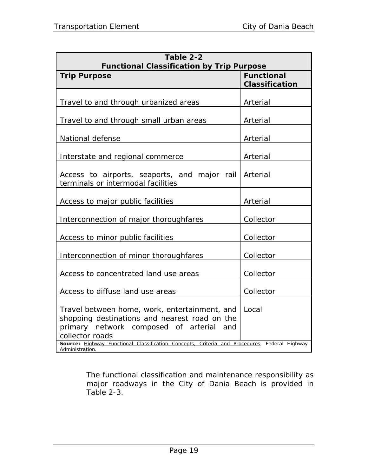| Table 2-2<br><b>Functional Classification by Trip Purpose</b>                                                                                                                                                                                                                       |                                            |  |  |
|-------------------------------------------------------------------------------------------------------------------------------------------------------------------------------------------------------------------------------------------------------------------------------------|--------------------------------------------|--|--|
| <b>Trip Purpose</b>                                                                                                                                                                                                                                                                 | <b>Functional</b><br><b>Classification</b> |  |  |
| Travel to and through urbanized areas                                                                                                                                                                                                                                               | Arterial                                   |  |  |
| Travel to and through small urban areas                                                                                                                                                                                                                                             | Arterial                                   |  |  |
| National defense                                                                                                                                                                                                                                                                    | Arterial                                   |  |  |
| Interstate and regional commerce                                                                                                                                                                                                                                                    | Arterial                                   |  |  |
| Access to airports, seaports, and major rail<br>terminals or intermodal facilities                                                                                                                                                                                                  | Arterial                                   |  |  |
| Access to major public facilities                                                                                                                                                                                                                                                   | Arterial                                   |  |  |
| Interconnection of major thoroughfares                                                                                                                                                                                                                                              | Collector                                  |  |  |
| Access to minor public facilities                                                                                                                                                                                                                                                   | Collector                                  |  |  |
| Interconnection of minor thoroughfares                                                                                                                                                                                                                                              | Collector                                  |  |  |
| Access to concentrated land use areas                                                                                                                                                                                                                                               | Collector                                  |  |  |
| Access to diffuse land use areas                                                                                                                                                                                                                                                    | Collector                                  |  |  |
| Travel between home, work, entertainment, and<br>shopping destinations and nearest road on the<br>primary network composed of arterial<br>and<br>collector roads<br>Source: Highway Functional Classification Concepts, Criteria and Procedures, Federal Highway<br>Administration. | Local                                      |  |  |

The functional classification and maintenance responsibility as major roadways in the City of Dania Beach is provided in Table 2-3.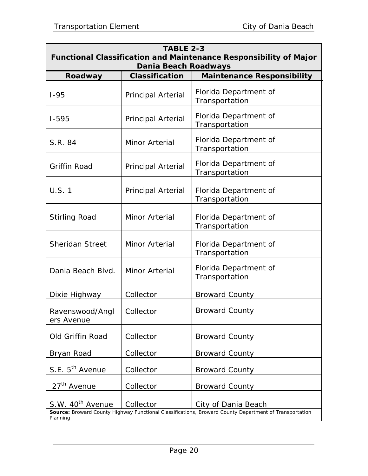| <b>TABLE 2-3</b><br><b>Functional Classification and Maintenance Responsibility of Major</b>                                                                               |                           |                                         |  |  |  |  |
|----------------------------------------------------------------------------------------------------------------------------------------------------------------------------|---------------------------|-----------------------------------------|--|--|--|--|
| Dania Beach Roadways<br><b>Maintenance Responsibility</b><br><b>Classification</b><br>Roadway                                                                              |                           |                                         |  |  |  |  |
| $1 - 95$                                                                                                                                                                   | Principal Arterial        | Florida Department of<br>Transportation |  |  |  |  |
| $1 - 595$                                                                                                                                                                  | <b>Principal Arterial</b> | Florida Department of<br>Transportation |  |  |  |  |
| S.R. 84                                                                                                                                                                    | Minor Arterial            | Florida Department of<br>Transportation |  |  |  |  |
| <b>Griffin Road</b>                                                                                                                                                        | <b>Principal Arterial</b> | Florida Department of<br>Transportation |  |  |  |  |
| <b>U.S. 1</b>                                                                                                                                                              | <b>Principal Arterial</b> | Florida Department of<br>Transportation |  |  |  |  |
| <b>Stirling Road</b>                                                                                                                                                       | Minor Arterial            | Florida Department of<br>Transportation |  |  |  |  |
| <b>Sheridan Street</b>                                                                                                                                                     | Minor Arterial            | Florida Department of<br>Transportation |  |  |  |  |
| Dania Beach Blvd.                                                                                                                                                          | Minor Arterial            | Florida Department of<br>Transportation |  |  |  |  |
| Dixie Highway                                                                                                                                                              | Collector                 | <b>Broward County</b>                   |  |  |  |  |
| Ravenswood/Angl<br>ers Avenue                                                                                                                                              | Collector                 | <b>Broward County</b>                   |  |  |  |  |
| Old Griffin Road                                                                                                                                                           | Collector                 | <b>Broward County</b>                   |  |  |  |  |
| Bryan Road                                                                                                                                                                 | Collector                 | <b>Broward County</b>                   |  |  |  |  |
| S.E. 5 <sup>th</sup> Avenue                                                                                                                                                | Collector                 | <b>Broward County</b>                   |  |  |  |  |
| 27 <sup>th</sup> Avenue                                                                                                                                                    | Collector                 | <b>Broward County</b>                   |  |  |  |  |
| S.W. 40 <sup>th</sup> Avenue<br>Collector<br>City of Dania Beach<br>Source: Broward County Highway Functional Classifications, Broward County Department of Transportation |                           |                                         |  |  |  |  |
| Planning                                                                                                                                                                   |                           |                                         |  |  |  |  |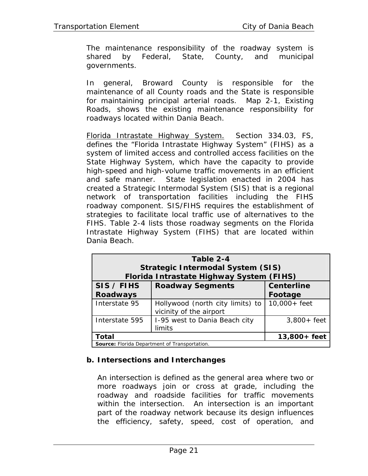The maintenance responsibility of the roadway system is shared by Federal, State, County, and municipal governments.

In general, Broward County is responsible for the maintenance of all County roads and the State is responsible for maintaining principal arterial roads. Map 2-1, Existing Roads, shows the existing maintenance responsibility for roadways located within Dania Beach.

Florida Intrastate Highway System. Section 334.03, FS, defines the "Florida Intrastate Highway System" (FIHS) as a system of limited access and controlled access facilities on the State Highway System, which have the capacity to provide high-speed and high-volume traffic movements in an efficient and safe manner. State legislation enacted in 2004 has created a Strategic Intermodal System (SIS) that is a regional network of transportation facilities including the FIHS roadway component. SIS/FIHS requires the establishment of strategies to facilitate local traffic use of alternatives to the FIHS. Table 2-4 lists those roadway segments on the Florida Intrastate Highway System (FIHS) that are located within Dania Beach.

| Table 2-4<br><b>Strategic Intermodal System (SIS)</b><br>Florida Intrastate Highway System (FIHS) |                                                             |                   |  |  |
|---------------------------------------------------------------------------------------------------|-------------------------------------------------------------|-------------------|--|--|
| SIS / FIHS                                                                                        | <b>Roadway Segments</b>                                     | <b>Centerline</b> |  |  |
| <b>Roadways</b>                                                                                   |                                                             | Footage           |  |  |
| Interstate 95                                                                                     | Hollywood (north city limits) to<br>vicinity of the airport | $10,000 + feet$   |  |  |
| Interstate 595                                                                                    | I-95 west to Dania Beach city                               | $3,800+$ feet     |  |  |
|                                                                                                   | limits                                                      |                   |  |  |
| Total<br>13,800+ feet                                                                             |                                                             |                   |  |  |
| Source: Florida Department of Transportation.                                                     |                                                             |                   |  |  |

# **b. Intersections and Interchanges**

An intersection is defined as the general area where two or more roadways join or cross at grade, including the roadway and roadside facilities for traffic movements within the intersection. An intersection is an important part of the roadway network because its design influences the efficiency, safety, speed, cost of operation, and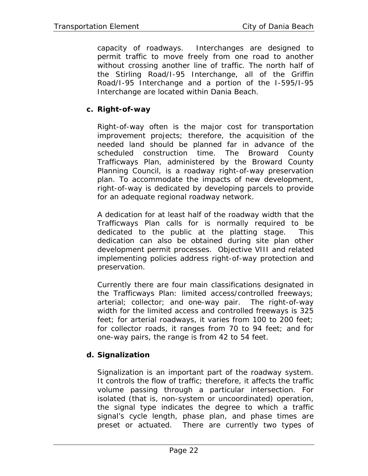capacity of roadways. Interchanges are designed to permit traffic to move freely from one road to another without crossing another line of traffic. The north half of the Stirling Road/I-95 Interchange, all of the Griffin Road/I-95 Interchange and a portion of the I-595/I-95 Interchange are located within Dania Beach.

## **c. Right-of-way**

Right-of-way often is the major cost for transportation improvement projects; therefore, the acquisition of the needed land should be planned far in advance of the scheduled construction time. The Broward County Trafficways Plan, administered by the Broward County Planning Council, is a roadway right-of-way preservation plan. To accommodate the impacts of new development, right-of-way is dedicated by developing parcels to provide for an adequate regional roadway network.

A dedication for at least half of the roadway width that the Trafficways Plan calls for is normally required to be dedicated to the public at the platting stage. This dedication can also be obtained during site plan other development permit processes. Objective VIII and related implementing policies address right-of-way protection and preservation.

Currently there are four main classifications designated in the Trafficways Plan: limited access/controlled freeways; arterial; collector; and one-way pair. The right-of-way width for the limited access and controlled freeways is 325 feet; for arterial roadways, it varies from 100 to 200 feet; for collector roads, it ranges from 70 to 94 feet; and for one-way pairs, the range is from 42 to 54 feet.

# **d. Signalization**

Signalization is an important part of the roadway system. It controls the flow of traffic; therefore, it affects the traffic volume passing through a particular intersection. For isolated (that is, non-system or uncoordinated) operation, the signal type indicates the degree to which a traffic signal's cycle length, phase plan, and phase times are preset or actuated. There are currently two types of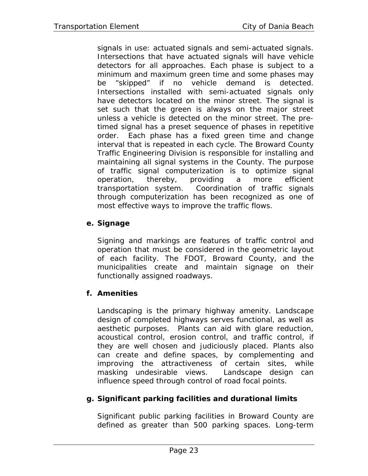signals in use: actuated signals and semi-actuated signals. Intersections that have actuated signals will have vehicle detectors for all approaches. Each phase is subject to a minimum and maximum green time and some phases may be "skipped" if no vehicle demand is detected. Intersections installed with semi-actuated signals only have detectors located on the minor street. The signal is set such that the green is always on the major street unless a vehicle is detected on the minor street. The pretimed signal has a preset sequence of phases in repetitive order. Each phase has a fixed green time and change interval that is repeated in each cycle. The Broward County Traffic Engineering Division is responsible for installing and maintaining all signal systems in the County. The purpose of traffic signal computerization is to optimize signal operation, thereby, providing a more efficient transportation system. Coordination of traffic signals through computerization has been recognized as one of most effective ways to improve the traffic flows.

# **e. Signage**

Signing and markings are features of traffic control and operation that must be considered in the geometric layout of each facility. The FDOT, Broward County, and the municipalities create and maintain signage on their functionally assigned roadways.

# **f. Amenities**

Landscaping is the primary highway amenity. Landscape design of completed highways serves functional, as well as aesthetic purposes. Plants can aid with glare reduction, acoustical control, erosion control, and traffic control, if they are well chosen and judiciously placed. Plants also can create and define spaces, by complementing and improving the attractiveness of certain sites, while masking undesirable views. Landscape design can influence speed through control of road focal points.

#### **g. Significant parking facilities and durational limits**

Significant public parking facilities in Broward County are defined as greater than 500 parking spaces. Long-term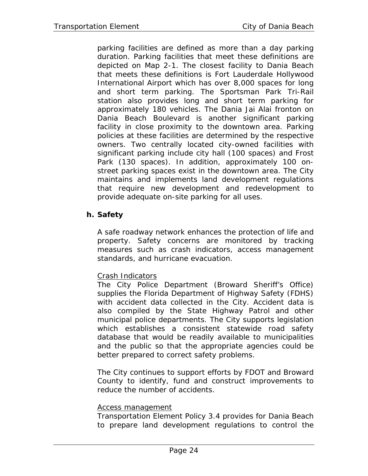parking facilities are defined as more than a day parking duration. Parking facilities that meet these definitions are depicted on Map 2-1. The closest facility to Dania Beach that meets these definitions is Fort Lauderdale Hollywood International Airport which has over 8,000 spaces for long and short term parking. The Sportsman Park Tri-Rail station also provides long and short term parking for approximately 180 vehicles. The Dania Jai Alai fronton on Dania Beach Boulevard is another significant parking facility in close proximity to the downtown area. Parking policies at these facilities are determined by the respective owners. Two centrally located city-owned facilities with significant parking include city hall (100 spaces) and Frost Park (130 spaces). In addition, approximately 100 onstreet parking spaces exist in the downtown area. The City maintains and implements land development regulations that require new development and redevelopment to provide adequate on-site parking for all uses.

# **h. Safety**

A safe roadway network enhances the protection of life and property. Safety concerns are monitored by tracking measures such as crash indicators, access management standards, and hurricane evacuation.

# Crash Indicators

The City Police Department (Broward Sheriff's Office) supplies the Florida Department of Highway Safety (FDHS) with accident data collected in the City. Accident data is also compiled by the State Highway Patrol and other municipal police departments. The City supports legislation which establishes a consistent statewide road safety database that would be readily available to municipalities and the public so that the appropriate agencies could be better prepared to correct safety problems.

The City continues to support efforts by FDOT and Broward County to identify, fund and construct improvements to reduce the number of accidents.

#### Access management

Transportation Element Policy 3.4 provides for Dania Beach to prepare land development regulations to control the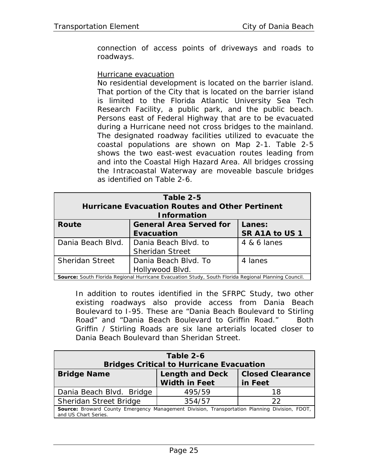connection of access points of driveways and roads to roadways.

#### Hurricane evacuation

No residential development is located on the barrier island. That portion of the City that is located on the barrier island is limited to the Florida Atlantic University Sea Tech Research Facility, a public park, and the public beach. Persons east of Federal Highway that are to be evacuated during a Hurricane need not cross bridges to the mainland. The designated roadway facilities utilized to evacuate the coastal populations are shown on Map 2-1. Table 2-5 shows the two east-west evacuation routes leading from and into the Coastal High Hazard Area. All bridges crossing the Intracoastal Waterway are moveable bascule bridges as identified on Table 2-6.

| Table 2-5<br><b>Hurricane Evacuation Routes and Other Pertinent</b><br><b>Information</b>                                                                                             |                                                |             |  |  |
|---------------------------------------------------------------------------------------------------------------------------------------------------------------------------------------|------------------------------------------------|-------------|--|--|
| Route<br><b>General Area Served for</b><br>Lanes:<br>SR A1A to US 1<br><b>Evacuation</b>                                                                                              |                                                |             |  |  |
| Dania Beach Blyd.                                                                                                                                                                     | Dania Beach Blyd, to<br><b>Sheridan Street</b> | 4 & 6 lanes |  |  |
| <b>Sheridan Street</b><br>Dania Beach Blvd. To<br>4 lanes<br>Hollywood Blvd.<br>Carmea, Cardle Flouida Deuissel Housianus Francoitae Christ, Cardle Flouida Deuissel Disputes Carmell |                                                |             |  |  |

**Source:** South Florida Regional Hurricane Evacuation Study, South Florida Regional Planning Council.

In addition to routes identified in the SFRPC Study, two other existing roadways also provide access from Dania Beach Boulevard to I-95. These are "Dania Beach Boulevard to Stirling Road" and "Dania Beach Boulevard to Griffin Road." Both Griffin / Stirling Roads are six lane arterials located closer to Dania Beach Boulevard than Sheridan Street.

| Table 2-6<br><b>Bridges Critical to Hurricane Evacuation</b>                                                          |                                                |                                    |  |  |
|-----------------------------------------------------------------------------------------------------------------------|------------------------------------------------|------------------------------------|--|--|
| <b>Bridge Name</b>                                                                                                    | <b>Length and Deck</b><br><b>Width in Feet</b> | <b>Closed Clearance</b><br>in Feet |  |  |
| Dania Beach Blvd. Bridge                                                                                              | 495/59                                         | 18                                 |  |  |
| Sheridan Street Bridge                                                                                                | 354/57                                         | つつ                                 |  |  |
| Source: Broward County Emergency Management Division, Transportation Planning Division, FDOT,<br>and US Chart Series. |                                                |                                    |  |  |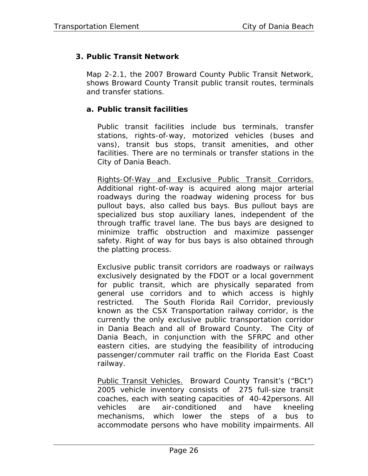# **3. Public Transit Network**

Map 2-2.1, the 2007 Broward County Public Transit Network, shows Broward County Transit public transit routes, terminals and transfer stations.

## **a. Public transit facilities**

Public transit facilities include bus terminals, transfer stations, rights-of-way, motorized vehicles (buses and vans), transit bus stops, transit amenities, and other facilities. There are no terminals or transfer stations in the City of Dania Beach.

Rights-Of-Way and Exclusive Public Transit Corridors. Additional right-of-way is acquired along major arterial roadways during the roadway widening process for bus pullout bays, also called bus bays. Bus pullout bays are specialized bus stop auxiliary lanes, independent of the through traffic travel lane. The bus bays are designed to minimize traffic obstruction and maximize passenger safety. Right of way for bus bays is also obtained through the platting process.

Exclusive public transit corridors are roadways or railways exclusively designated by the FDOT or a local government for public transit, which are physically separated from general use corridors and to which access is highly restricted. The South Florida Rail Corridor, previously known as the CSX Transportation railway corridor, is the currently the only exclusive public transportation corridor in Dania Beach and all of Broward County. The City of Dania Beach, in conjunction with the SFRPC and other eastern cities, are studying the feasibility of introducing passenger/commuter rail traffic on the Florida East Coast railway.

Public Transit Vehicles. Broward County Transit's ("BCt") 2005 vehicle inventory consists of 275 full-size transit coaches, each with seating capacities of 40-42persons. All vehicles are air-conditioned and have kneeling mechanisms, which lower the steps of a bus to accommodate persons who have mobility impairments. All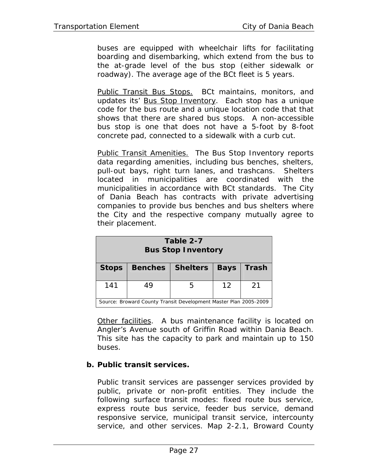buses are equipped with wheelchair lifts for facilitating boarding and disembarking, which extend from the bus to the at-grade level of the bus stop (either sidewalk or roadway). The average age of the BCt fleet is 5 years.

Public Transit Bus Stops. BCt maintains, monitors, and updates its' Bus Stop Inventory. Each stop has a unique code for the bus route and a unique location code that that shows that there are shared bus stops. A non-accessible bus stop is one that does not have a 5-foot by 8-foot concrete pad, connected to a sidewalk with a curb cut.

Public Transit Amenities. The Bus Stop Inventory reports data regarding amenities, including bus benches, shelters, pull-out bays, right turn lanes, and trashcans. Shelters located in municipalities are coordinated with the municipalities in accordance with BCt standards. The City of Dania Beach has contracts with private advertising companies to provide bus benches and bus shelters where the City and the respective company mutually agree to their placement.

| Table 2-7<br><b>Bus Stop Inventory</b>                           |         |          |                   |              |  |
|------------------------------------------------------------------|---------|----------|-------------------|--------------|--|
| <b>Stops</b>                                                     | Benches | Shelters | <b>Bays</b>       | <b>Trash</b> |  |
| 141                                                              | 49      |          | $12 \overline{ }$ | 21           |  |
| Source: Broward County Transit Development Master Plan 2005-2009 |         |          |                   |              |  |

Other facilities. A bus maintenance facility is located on Angler's Avenue south of Griffin Road within Dania Beach. This site has the capacity to park and maintain up to 150 buses.

# **b. Public transit services.**

Public transit services are passenger services provided by public, private or non-profit entities. They include the following surface transit modes: fixed route bus service, express route bus service, feeder bus service, demand responsive service, municipal transit service, intercounty service, and other services. Map 2-2.1, Broward County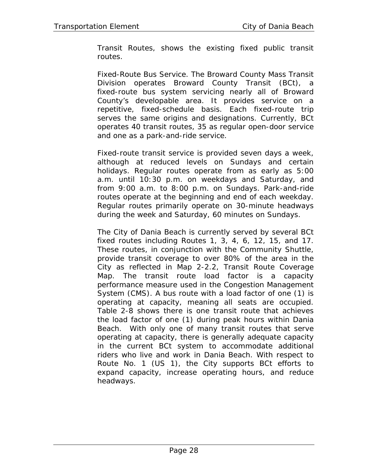Transit Routes, shows the existing fixed public transit routes.

Fixed-Route Bus Service. The Broward County Mass Transit Division operates Broward County Transit (BCt), a fixed-route bus system servicing nearly all of Broward County's developable area. It provides service on a repetitive, fixed-schedule basis. Each fixed-route trip serves the same origins and designations. Currently, BCt operates 40 transit routes, 35 as regular open-door service and one as a park-and-ride service.

Fixed-route transit service is provided seven days a week, although at reduced levels on Sundays and certain holidays. Regular routes operate from as early as 5:00 a.m. until 10:30 p.m. on weekdays and Saturday, and from 9:00 a.m. to 8:00 p.m. on Sundays. Park-and-ride routes operate at the beginning and end of each weekday. Regular routes primarily operate on 30-minute headways during the week and Saturday, 60 minutes on Sundays.

The City of Dania Beach is currently served by several BCt fixed routes including Routes 1, 3, 4, 6, 12, 15, and 17. These routes, in conjunction with the Community Shuttle, provide transit coverage to over 80% of the area in the City as reflected in Map 2-2.2, Transit Route Coverage Map. The transit route load factor is a capacity performance measure used in the Congestion Management System (CMS). A bus route with a load factor of one (1) is operating at capacity, meaning all seats are occupied. Table 2-8 shows there is one transit route that achieves the load factor of one (1) during peak hours within Dania Beach. With only one of many transit routes that serve operating at capacity, there is generally adequate capacity in the current BCt system to accommodate additional riders who live and work in Dania Beach. With respect to Route No. 1 (US 1), the City supports BCt efforts to expand capacity, increase operating hours, and reduce headways.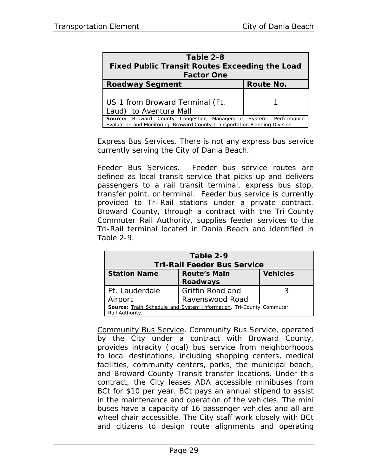| Table 2-8<br><b>Fixed Public Transit Routes Exceeding the Load</b><br><b>Factor One</b>                                                                |           |  |  |  |
|--------------------------------------------------------------------------------------------------------------------------------------------------------|-----------|--|--|--|
| <b>Roadway Segment</b>                                                                                                                                 | Route No. |  |  |  |
| US 1 from Broward Terminal (Ft.<br>Laud) to Aventura Mall                                                                                              |           |  |  |  |
| <b>Source:</b> Broward County Congestion Management System: Performance<br>Evaluation and Monitoring, Broward County Transportation Planning Division. |           |  |  |  |

Express Bus Services. There is not any express bus service currently serving the City of Dania Beach.

Feeder Bus Services. Feeder bus service routes are defined as local transit service that picks up and delivers passengers to a rail transit terminal, express bus stop, transfer point, or terminal. Feeder bus service is currently provided to Tri-Rail stations under a private contract. Broward County, through a contract with the Tri-County Commuter Rail Authority, supplies feeder services to the Tri-Rail terminal located in Dania Beach and identified in Table 2-9.

| Table 2-9<br><b>Tri-Rail Feeder Bus Service</b>                                              |                                        |                 |  |  |
|----------------------------------------------------------------------------------------------|----------------------------------------|-----------------|--|--|
| <b>Station Name</b>                                                                          | <b>Route's Main</b><br><b>Roadways</b> | <b>Vehicles</b> |  |  |
| Ft. Lauderdale                                                                               | Griffin Road and                       |                 |  |  |
| Airport                                                                                      | Ravenswood Road                        |                 |  |  |
| <b>Source:</b> Train Schedule and System Information, Tri-County Commuter<br>Rail Authority. |                                        |                 |  |  |

Community Bus Service. Community Bus Service, operated by the City under a contract with Broward County, provides intracity (local) bus service from neighborhoods to local destinations, including shopping centers, medical facilities, community centers, parks, the municipal beach, and Broward County Transit transfer locations. Under this contract, the City leases ADA accessible minibuses from BCt for \$10 per year. BCt pays an annual stipend to assist in the maintenance and operation of the vehicles. The mini buses have a capacity of 16 passenger vehicles and all are wheel chair accessible. The City staff work closely with BCt and citizens to design route alignments and operating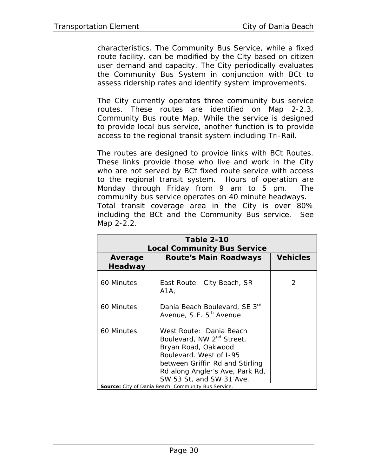characteristics. The Community Bus Service, while a fixed route facility, can be modified by the City based on citizen user demand and capacity. The City periodically evaluates the Community Bus System in conjunction with BCt to assess ridership rates and identify system improvements.

The City currently operates three community bus service routes. These routes are identified on Map 2-2.3, Community Bus route Map. While the service is designed to provide local bus service, another function is to provide access to the regional transit system including Tri-Rail.

The routes are designed to provide links with BCt Routes. These links provide those who live and work in the City who are not served by BCt fixed route service with access to the regional transit system. Hours of operation are Monday through Friday from 9 am to 5 pm. The community bus service operates on 40 minute headways. Total transit coverage area in the City is over 80% including the BCt and the Community Bus service. See Map 2-2.2.

| Table 2-10<br><b>Local Community Bus Service</b> |                                                                                                                                                                                                                      |                 |  |
|--------------------------------------------------|----------------------------------------------------------------------------------------------------------------------------------------------------------------------------------------------------------------------|-----------------|--|
| Average<br>Headway                               | Route's Main Roadways                                                                                                                                                                                                | <b>Vehicles</b> |  |
| 60 Minutes                                       | East Route: City Beach, SR<br>A1A,                                                                                                                                                                                   | $\mathcal{P}$   |  |
| 60 Minutes                                       | Dania Beach Boulevard, SE 3rd<br>Avenue, S.E. 5 <sup>th</sup> Avenue                                                                                                                                                 |                 |  |
| 60 Minutes                                       | West Route: Dania Beach<br>Boulevard, NW 2 <sup>nd</sup> Street,<br>Bryan Road, Oakwood<br>Boulevard. West of 1-95<br>between Griffin Rd and Stirling<br>Rd along Angler's Ave, Park Rd,<br>SW 53 St, and SW 31 Ave. |                 |  |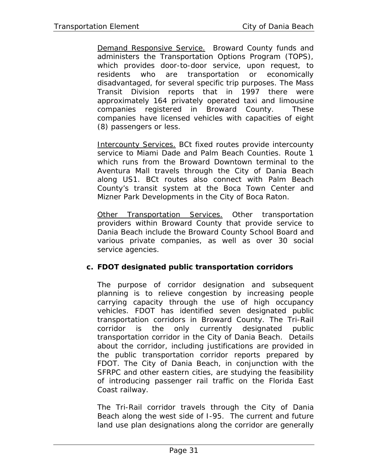Demand Responsive Service. Broward County funds and administers the Transportation Options Program (TOPS), which provides door-to-door service, upon request, to residents who are transportation or economically disadvantaged, for several specific trip purposes. The Mass Transit Division reports that in 1997 there were approximately 164 privately operated taxi and limousine companies registered in Broward County. These companies have licensed vehicles with capacities of eight (8) passengers or less.

Intercounty Services. BCt fixed routes provide intercounty service to Miami Dade and Palm Beach Counties. Route 1 which runs from the Broward Downtown terminal to the Aventura Mall travels through the City of Dania Beach along US1. BCt routes also connect with Palm Beach County's transit system at the Boca Town Center and Mizner Park Developments in the City of Boca Raton.

Other Transportation Services. Other transportation providers within Broward County that provide service to Dania Beach include the Broward County School Board and various private companies, as well as over 30 social service agencies.

#### **c. FDOT designated public transportation corridors**

The purpose of corridor designation and subsequent planning is to relieve congestion by increasing people carrying capacity through the use of high occupancy vehicles. FDOT has identified seven designated public transportation corridors in Broward County. The Tri-Rail corridor is the only currently designated public transportation corridor in the City of Dania Beach. Details about the corridor, including justifications are provided in the public transportation corridor reports prepared by FDOT. The City of Dania Beach, in conjunction with the SFRPC and other eastern cities, are studying the feasibility of introducing passenger rail traffic on the Florida East Coast railway.

The Tri-Rail corridor travels through the City of Dania Beach along the west side of I-95. The current and future land use plan designations along the corridor are generally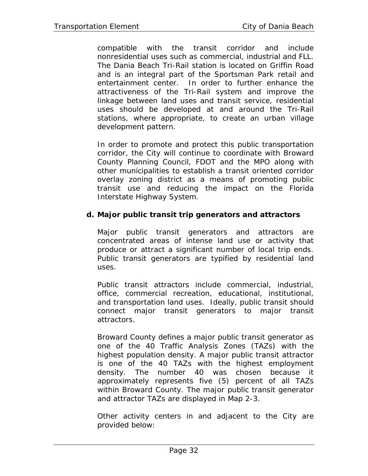compatible with the transit corridor and include nonresidential uses such as commercial, industrial and FLL. The Dania Beach Tri-Rail station is located on Griffin Road and is an integral part of the Sportsman Park retail and entertainment center. In order to further enhance the attractiveness of the Tri-Rail system and improve the linkage between land uses and transit service, residential uses should be developed at and around the Tri-Rail stations, where appropriate, to create an urban village development pattern.

In order to promote and protect this public transportation corridor, the City will continue to coordinate with Broward County Planning Council, FDOT and the MPO along with other municipalities to establish a transit oriented corridor overlay zoning district as a means of promoting public transit use and reducing the impact on the Florida Interstate Highway System.

### **d. Major public transit trip generators and attractors**

Major public transit generators and attractors are concentrated areas of intense land use or activity that produce or attract a significant number of local trip ends. Public transit generators are typified by residential land uses.

Public transit attractors include commercial, industrial, office, commercial recreation, educational, institutional, and transportation land uses. Ideally, public transit should connect major transit generators to major transit attractors.

Broward County defines a major public transit generator as one of the 40 Traffic Analysis Zones (TAZs) with the highest population density. A major public transit attractor is one of the 40 TAZs with the highest employment density. The number 40 was chosen because it approximately represents five (5) percent of all TAZs within Broward County. The major public transit generator and attractor TAZs are displayed in Map 2-3.

Other activity centers in and adjacent to the City are provided below: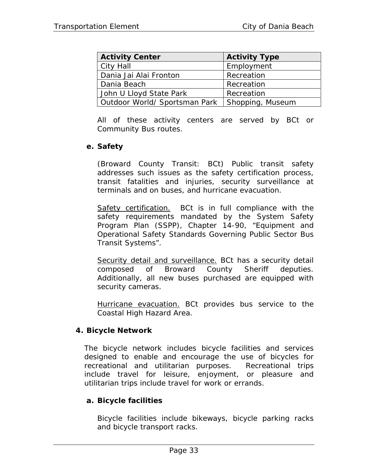| <b>Activity Center</b>        | <b>Activity Type</b> |
|-------------------------------|----------------------|
| City Hall                     | Employment           |
| Dania Jai Alai Fronton        | Recreation           |
| Dania Beach                   | Recreation           |
| John U Lloyd State Park       | Recreation           |
| Outdoor World/ Sportsman Park | Shopping, Museum     |

All of these activity centers are served by BCt or Community Bus routes.

### **e. Safety**

(Broward County Transit: BCt) Public transit safety addresses such issues as the safety certification process, transit fatalities and injuries, security surveillance at terminals and on buses, and hurricane evacuation.

Safety certification. BCt is in full compliance with the safety requirements mandated by the System Safety Program Plan (SSPP), Chapter 14-90, "Equipment and Operational Safety Standards Governing Public Sector Bus Transit Systems".

Security detail and surveillance. BCt has a security detail composed of Broward County Sheriff deputies. Additionally, all new buses purchased are equipped with security cameras.

Hurricane evacuation. BCt provides bus service to the Coastal High Hazard Area.

### **4. Bicycle Network**

The bicycle network includes bicycle facilities and services designed to enable and encourage the use of bicycles for recreational and utilitarian purposes. Recreational trips include travel for leisure, enjoyment, or pleasure and utilitarian trips include travel for work or errands.

### **a. Bicycle facilities**

Bicycle facilities include bikeways, bicycle parking racks and bicycle transport racks.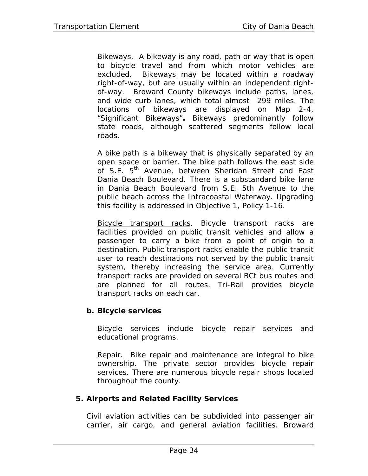Bikeways. A bikeway is any road, path or way that is open to bicycle travel and from which motor vehicles are excluded. Bikeways may be located within a roadway right-of-way, but are usually within an independent rightof-way. Broward County bikeways include paths, lanes, and wide curb lanes, which total almost 299 miles. The locations of bikeways are displayed on Map 2-4, "Significant Bikeways"**.** Bikeways predominantly follow state roads, although scattered segments follow local roads.

A bike path is a bikeway that is physically separated by an open space or barrier. The bike path follows the east side of S.E. 5<sup>th</sup> Avenue, between Sheridan Street and East Dania Beach Boulevard. There is a substandard bike lane in Dania Beach Boulevard from S.E. 5th Avenue to the public beach across the Intracoastal Waterway. Upgrading this facility is addressed in Objective 1, Policy 1-16.

Bicycle transport racks. Bicycle transport racks are facilities provided on public transit vehicles and allow a passenger to carry a bike from a point of origin to a destination. Public transport racks enable the public transit user to reach destinations not served by the public transit system, thereby increasing the service area. Currently transport racks are provided on several BCt bus routes and are planned for all routes. Tri-Rail provides bicycle transport racks on each car.

### **b. Bicycle services**

Bicycle services include bicycle repair services and educational programs.

Repair. Bike repair and maintenance are integral to bike ownership. The private sector provides bicycle repair services. There are numerous bicycle repair shops located throughout the county.

### **5. Airports and Related Facility Services**

Civil aviation activities can be subdivided into passenger air carrier, air cargo, and general aviation facilities. Broward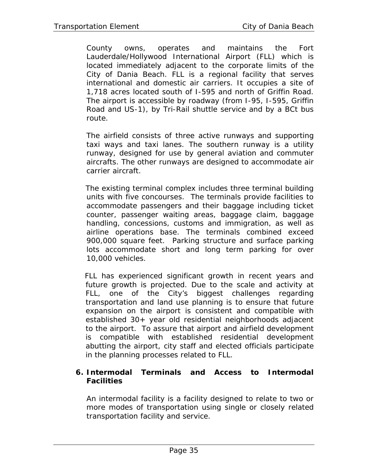County owns, operates and maintains the Fort Lauderdale/Hollywood International Airport (FLL) which is located immediately adjacent to the corporate limits of the City of Dania Beach. FLL is a regional facility that serves international and domestic air carriers. It occupies a site of 1,718 acres located south of I-595 and north of Griffin Road. The airport is accessible by roadway (from I-95, I-595, Griffin Road and US-1), by Tri-Rail shuttle service and by a BCt bus route.

The airfield consists of three active runways and supporting taxi ways and taxi lanes. The southern runway is a utility runway, designed for use by general aviation and commuter aircrafts. The other runways are designed to accommodate air carrier aircraft.

The existing terminal complex includes three terminal building units with five concourses. The terminals provide facilities to accommodate passengers and their baggage including ticket counter, passenger waiting areas, baggage claim, baggage handling, concessions, customs and immigration, as well as airline operations base. The terminals combined exceed 900,000 square feet. Parking structure and surface parking lots accommodate short and long term parking for over 10,000 vehicles.

FLL has experienced significant growth in recent years and future growth is projected. Due to the scale and activity at FLL, one of the City's biggest challenges regarding transportation and land use planning is to ensure that future expansion on the airport is consistent and compatible with established 30+ year old residential neighborhoods adjacent to the airport. To assure that airport and airfield development is compatible with established residential development abutting the airport, city staff and elected officials participate in the planning processes related to FLL.

### **6. Intermodal Terminals and Access to Intermodal Facilities**

An intermodal facility is a facility designed to relate to two or more modes of transportation using single or closely related transportation facility and service.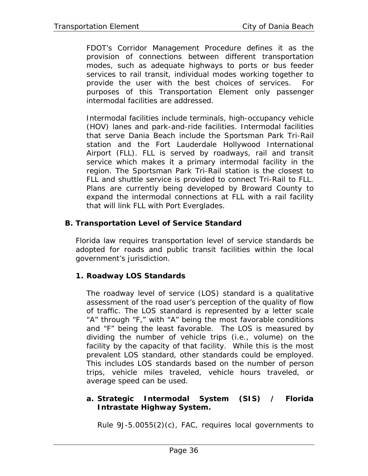FDOT's Corridor Management Procedure defines it as the provision of connections between different transportation modes, such as adequate highways to ports or bus feeder services to rail transit, individual modes working together to provide the user with the best choices of services. For purposes of this Transportation Element only passenger intermodal facilities are addressed.

Intermodal facilities include terminals, high-occupancy vehicle (HOV) lanes and park-and-ride facilities. Intermodal facilities that serve Dania Beach include the Sportsman Park Tri-Rail station and the Fort Lauderdale Hollywood International Airport (FLL). FLL is served by roadways, rail and transit service which makes it a primary intermodal facility in the region. The Sportsman Park Tri-Rail station is the closest to FLL and shuttle service is provided to connect Tri-Rail to FLL. Plans are currently being developed by Broward County to expand the intermodal connections at FLL with a rail facility that will link FLL with Port Everglades.

### **B. Transportation Level of Service Standard**

Florida law requires transportation level of service standards be adopted for roads and public transit facilities within the local government's jurisdiction.

## **1. Roadway LOS Standards**

The roadway level of service (LOS) standard is a qualitative assessment of the road user's perception of the quality of flow of traffic. The LOS standard is represented by a letter scale "A" through "F," with "A" being the most favorable conditions and "F" being the least favorable. The LOS is measured by dividing the number of vehicle trips (i.e., volume) on the facility by the capacity of that facility. While this is the most prevalent LOS standard, other standards could be employed. This includes LOS standards based on the number of person trips, vehicle miles traveled, vehicle hours traveled, or average speed can be used.

### **a. Strategic Intermodal System (SIS) / Florida Intrastate Highway System.**

Rule 9J-5.0055(2)(c), FAC, requires local governments to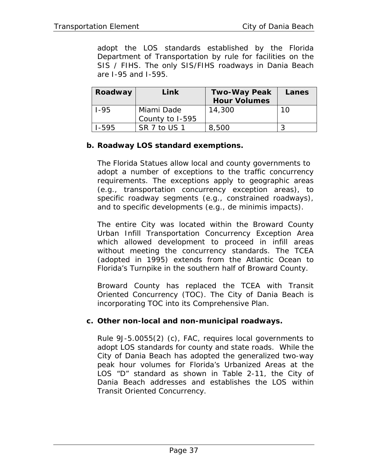adopt the LOS standards established by the Florida Department of Transportation by rule for facilities on the SIS / FIHS. The only SIS/FIHS roadways in Dania Beach are I-95 and I-595.

| Roadway   | Link            | <b>Two-Way Peak</b> | Lanes |
|-----------|-----------------|---------------------|-------|
|           |                 | <b>Hour Volumes</b> |       |
| $1 - 95$  | Miami Dade      | 14,300              | 10    |
|           | County to I-595 |                     |       |
| $1 - 595$ | SR 7 to US 1    | 8,500               |       |

### **b. Roadway LOS standard exemptions.**

The Florida Statues allow local and county governments to adopt a number of exceptions to the traffic concurrency requirements. The exceptions apply to geographic areas (e.g., transportation concurrency exception areas), to specific roadway segments (e.g., constrained roadways), and to specific developments (e.g., de minimis impacts).

The entire City was located within the Broward County Urban Infill Transportation Concurrency Exception Area which allowed development to proceed in infill areas without meeting the concurrency standards. The TCEA (adopted in 1995) extends from the Atlantic Ocean to Florida's Turnpike in the southern half of Broward County.

Broward County has replaced the TCEA with Transit Oriented Concurrency (TOC). The City of Dania Beach is incorporating TOC into its Comprehensive Plan.

#### **c. Other non-local and non-municipal roadways.**

Rule 9J-5.0055(2) (c), FAC, requires local governments to adopt LOS standards for county and state roads. While the City of Dania Beach has adopted the generalized two-way peak hour volumes for Florida's Urbanized Areas at the LOS "D" standard as shown in Table 2-11, the City of Dania Beach addresses and establishes the LOS within Transit Oriented Concurrency*.*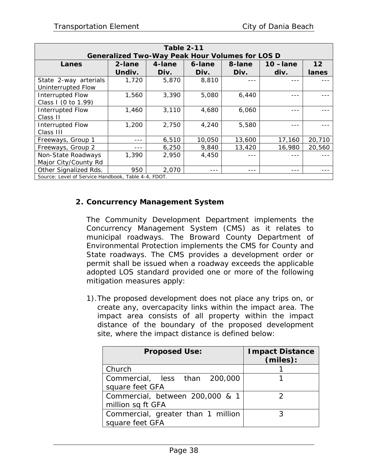| <b>Table 2-11</b>                                                            |                                                        |        |        |        |            |        |
|------------------------------------------------------------------------------|--------------------------------------------------------|--------|--------|--------|------------|--------|
|                                                                              | <b>Generalized Two-Way Peak Hour Volumes for LOS D</b> |        |        |        |            |        |
| Lanes                                                                        | 2-lane                                                 | 4-lane | 6-lane | 8-lane | $10$ -lane | 12     |
|                                                                              | Undiv.                                                 | Div.   | Div.   | Div.   | div.       | lanes  |
| State 2-way arterials<br>Uninterrupted Flow                                  | 1,720                                                  | 5,870  | 8,810  |        |            |        |
| <b>Interrupted Flow</b><br>Class I (0 to 1.99)                               | 1,560                                                  | 3,390  | 5,080  | 6,440  |            |        |
| Interrupted Flow<br>Class II                                                 | 1,460                                                  | 3,110  | 4,680  | 6,060  |            |        |
| <b>Interrupted Flow</b><br>Class III                                         | 1,200                                                  | 2,750  | 4,240  | 5,580  |            |        |
| Freeways, Group 1                                                            |                                                        | 6,510  | 10,050 | 13,600 | 17,160     | 20,710 |
| Freeways, Group 2                                                            |                                                        | 6,250  | 9,840  | 13,420 | 16,980     | 20,560 |
| Non-State Roadways<br>Major City/County Rd                                   | 1,390                                                  | 2,950  | 4,450  |        |            |        |
| Other Signalized Rds.<br>Source: Level of Service Handbook, Table 4-4, FDOT. | 950                                                    | 2,070  |        |        |            |        |

### **2. Concurrency Management System**

The Community Development Department implements the Concurrency Management System (CMS) as it relates to municipal roadways. The Broward County Department of Environmental Protection implements the CMS for County and State roadways. The CMS provides a development order or permit shall be issued when a roadway exceeds the applicable adopted LOS standard provided one or more of the following mitigation measures apply:

1).The proposed development does not place any trips on, or create any, overcapacity links within the impact area. The impact area consists of all property within the impact distance of the boundary of the proposed development site, where the impact distance is defined below:

| <b>Proposed Use:</b>               | <b>Impact Distance</b><br>(miles): |
|------------------------------------|------------------------------------|
| Church                             |                                    |
| Commercial, less than 200,000      |                                    |
| square feet GFA                    |                                    |
| Commercial, between 200,000 & 1    |                                    |
| million sq ft GFA                  |                                    |
| Commercial, greater than 1 million |                                    |
| square feet GFA                    |                                    |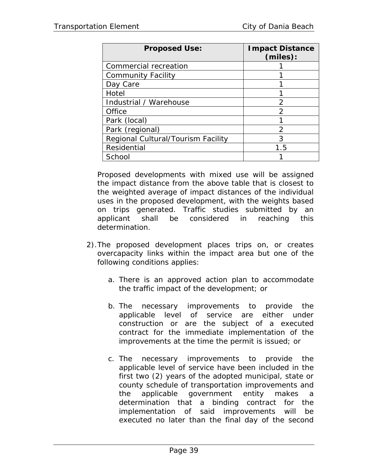| <b>Proposed Use:</b>               | <b>Impact Distance</b><br>(miles): |
|------------------------------------|------------------------------------|
| Commercial recreation              |                                    |
| <b>Community Facility</b>          |                                    |
| Day Care                           |                                    |
| Hotel                              |                                    |
| Industrial / Warehouse             | 2                                  |
| Office                             | $\mathcal{P}$                      |
| Park (local)                       |                                    |
| Park (regional)                    | $\mathcal{P}$                      |
| Regional Cultural/Tourism Facility | 3                                  |
| Residential                        | 1.5                                |
| School                             |                                    |

Proposed developments with mixed use will be assigned the impact distance from the above table that is closest to the weighted average of impact distances of the individual uses in the proposed development, with the weights based on trips generated. Traffic studies submitted by an applicant shall be considered in reaching this determination.

- 2).The proposed development places trips on, or creates overcapacity links within the impact area but one of the following conditions applies:
	- a. There is an approved action plan to accommodate the traffic impact of the development; or
	- b. The necessary improvements to provide the applicable level of service are either under construction or are the subject of a executed contract for the immediate implementation of the improvements at the time the permit is issued; or
	- c. The necessary improvements to provide the applicable level of service have been included in the first two (2) years of the adopted municipal, state or county schedule of transportation improvements and the applicable government entity makes a determination that a binding contract for the implementation of said improvements will be executed no later than the final day of the second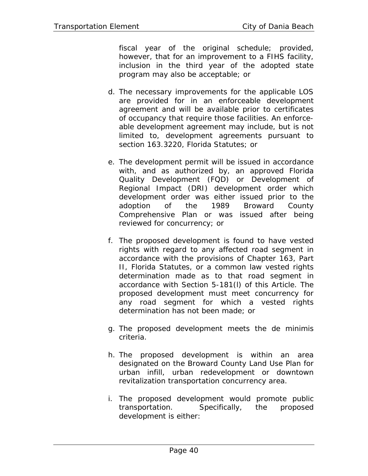fiscal year of the original schedule; provided, however, that for an improvement to a FIHS facility, inclusion in the third year of the adopted state program may also be acceptable; or

- d. The necessary improvements for the applicable LOS are provided for in an enforceable development agreement and will be available prior to certificates of occupancy that require those facilities. An enforceable development agreement may include, but is not limited to, development agreements pursuant to section 163.3220, Florida Statutes; or
- e. The development permit will be issued in accordance with, and as authorized by, an approved Florida Quality Development (FQD) or Development of Regional Impact (DRI) development order which development order was either issued prior to the adoption of the 1989 Broward County Comprehensive Plan or was issued after being reviewed for concurrency; or
- f. The proposed development is found to have vested rights with regard to any affected road segment in accordance with the provisions of Chapter 163, Part II, Florida Statutes, or a common law vested rights determination made as to that road segment in accordance with Section 5-181(l) of this Article. The proposed development must meet concurrency for any road segment for which a vested rights determination has not been made; or
- g. The proposed development meets the de minimis criteria.
- h. The proposed development is within an area designated on the Broward County Land Use Plan for urban infill, urban redevelopment or downtown revitalization transportation concurrency area.
- i. The proposed development would promote public transportation. Specifically, the proposed development is either: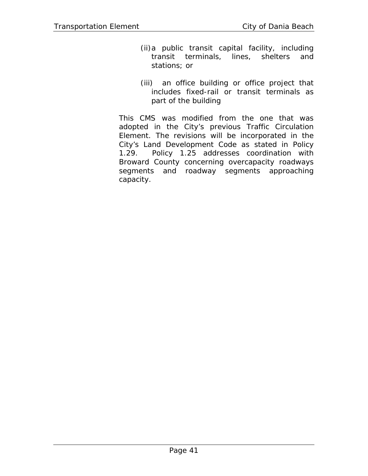- (ii)a public transit capital facility, including transit terminals, lines, shelters and stations; or
- (iii) an office building or office project that includes fixed-rail or transit terminals as part of the building

This CMS was modified from the one that was adopted in the City's previous Traffic Circulation Element. The revisions will be incorporated in the City's Land Development Code as stated in Policy 1.29. Policy 1.25 addresses coordination with Broward County concerning overcapacity roadways segments and roadway segments approaching capacity.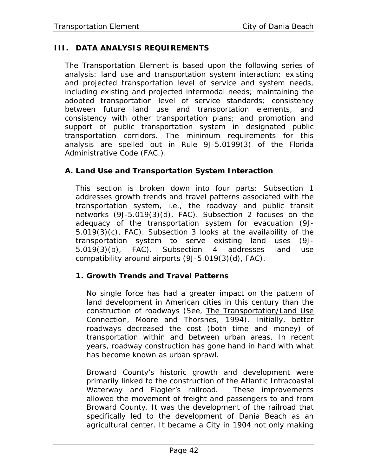## **III. DATA ANALYSIS REQUIREMENTS**

The Transportation Element is based upon the following series of analysis: land use and transportation system interaction; existing and projected transportation level of service and system needs, including existing and projected intermodal needs; maintaining the adopted transportation level of service standards; consistency between future land use and transportation elements, and consistency with other transportation plans; and promotion and support of public transportation system in designated public transportation corridors. The minimum requirements for this analysis are spelled out in Rule 9J-5.0199(3) of the Florida Administrative Code (FAC.).

### **A. Land Use and Transportation System Interaction**

This section is broken down into four parts: Subsection 1 addresses growth trends and travel patterns associated with the transportation system, i.e., the roadway and public transit networks (9J-5.019(3)(d), FAC). Subsection 2 focuses on the adequacy of the transportation system for evacuation (9J-5.019(3)(c), FAC). Subsection 3 looks at the availability of the transportation system to serve existing land uses (9J-5.019(3)(b), FAC). Subsection 4 addresses land use compatibility around airports (9J-5.019(3)(d), FAC).

## **1. Growth Trends and Travel Patterns**

No single force has had a greater impact on the pattern of land development in American cities in this century than the construction of roadways (See, The Transportation/Land Use Connection, Moore and Thorsnes, 1994). Initially, better roadways decreased the cost (both time and money) of transportation within and between urban areas. In recent years, roadway construction has gone hand in hand with what has become known as urban sprawl.

Broward County's historic growth and development were primarily linked to the construction of the Atlantic Intracoastal Waterway and Flagler's railroad. These improvements allowed the movement of freight and passengers to and from Broward County. It was the development of the railroad that specifically led to the development of Dania Beach as an agricultural center. It became a City in 1904 not only making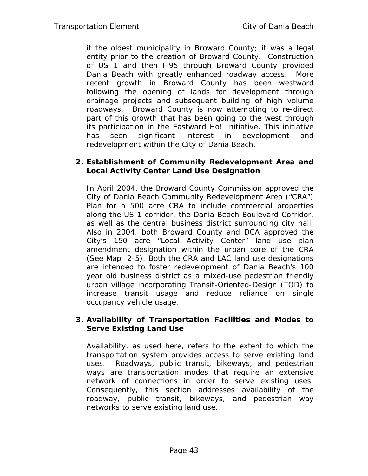it the oldest municipality in Broward County; it was a legal entity prior to the creation of Broward County. Construction of US 1 and then I-95 through Broward County provided Dania Beach with greatly enhanced roadway access. More recent growth in Broward County has been westward following the opening of lands for development through drainage projects and subsequent building of high volume roadways. Broward County is now attempting to re-direct part of this growth that has been going to the west through its participation in the Eastward Ho! Initiative. This initiative has seen significant interest in development and redevelopment within the City of Dania Beach.

#### **2. Establishment of Community Redevelopment Area and Local Activity Center Land Use Designation**

In April 2004, the Broward County Commission approved the City of Dania Beach Community Redevelopment Area ("CRA") Plan for a 500 acre CRA to include commercial properties along the US 1 corridor, the Dania Beach Boulevard Corridor, as well as the central business district surrounding city hall. Also in 2004, both Broward County and DCA approved the City's 150 acre "Local Activity Center" land use plan amendment designation within the urban core of the CRA (See Map 2-5). Both the CRA and LAC land use designations are intended to foster redevelopment of Dania Beach's 100 year old business district as a mixed-use pedestrian friendly urban village incorporating Transit-Oriented-Design (TOD) to increase transit usage and reduce reliance on single occupancy vehicle usage.

### **3. Availability of Transportation Facilities and Modes to Serve Existing Land Use**

Availability, as used here, refers to the extent to which the transportation system provides access to serve existing land uses. Roadways, public transit, bikeways, and pedestrian ways are transportation modes that require an extensive network of connections in order to serve existing uses. Consequently, this section addresses availability of the roadway, public transit, bikeways, and pedestrian way networks to serve existing land use.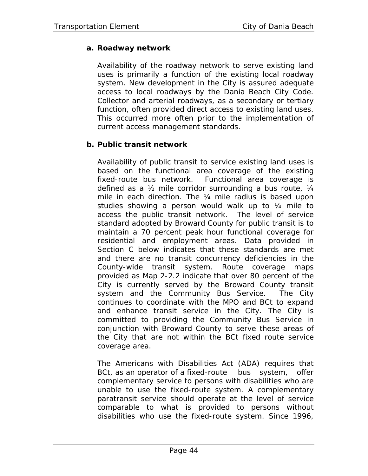# **a. Roadway network**

Availability of the roadway network to serve existing land uses is primarily a function of the existing *local roadway system*. New development in the City is assured adequate access to local roadways by the Dania Beach City Code. Collector and arterial roadways, as a secondary or tertiary function, often provided direct access to existing land uses. This occurred more often prior to the implementation of current access management standards.

## **b. Public transit network**

Availability of public transit to service existing land uses is based on the functional area coverage of the existing fixed-route bus network. Functional area coverage is defined as a ½ mile corridor surrounding a bus route, ¼ mile in each direction. The ¼ mile radius is based upon studies showing a person would walk up to ¼ mile to access the public transit network. The level of service standard adopted by Broward County for public transit is to maintain a 70 percent peak hour functional coverage for residential and employment areas. Data provided in Section C below indicates that these standards are met and there are no transit concurrency deficiencies in the County-wide transit system. Route coverage maps provided as Map 2-2.2 indicate that over 80 percent of the City is currently served by the Broward County transit system and the Community Bus Service. The City continues to coordinate with the MPO and BCt to expand and enhance transit service in the City. The City is committed to providing the Community Bus Service in conjunction with Broward County to serve these areas of the City that are not within the BCt fixed route service coverage area.

The Americans with Disabilities Act (ADA) requires that BCt, as an operator of a fixed-route bus system, offer complementary service to persons with disabilities who are unable to use the fixed-route system. A complementary paratransit service should operate at the level of service comparable to what is provided to persons without disabilities who use the fixed-route system. Since 1996,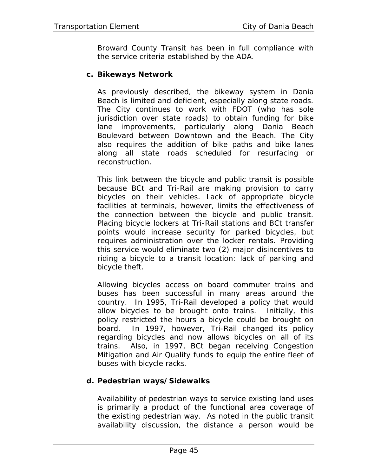Broward County Transit has been in full compliance with the service criteria established by the ADA.

### **c. Bikeways Network**

As previously described, the bikeway system in Dania Beach is limited and deficient, especially along state roads. The City continues to work with FDOT (who has sole jurisdiction over state roads) to obtain funding for bike lane improvements, particularly along Dania Beach Boulevard between Downtown and the Beach. The City also requires the addition of bike paths and bike lanes along all state roads scheduled for resurfacing or reconstruction.

This link between the bicycle and public transit is possible because BCt and Tri-Rail are making provision to carry bicycles on their vehicles. Lack of appropriate bicycle facilities at terminals, however, limits the effectiveness of the connection between the bicycle and public transit. Placing bicycle lockers at Tri-Rail stations and BCt transfer points would increase security for parked bicycles, but requires administration over the locker rentals. Providing this service would eliminate two (2) major disincentives to riding a bicycle to a transit location: lack of parking and bicycle theft.

Allowing bicycles access on board commuter trains and buses has been successful in many areas around the country. In 1995, Tri-Rail developed a policy that would allow bicycles to be brought onto trains. Initially, this policy restricted the hours a bicycle could be brought on board. In 1997, however, Tri-Rail changed its policy regarding bicycles and now allows bicycles on all of its trains. Also, in 1997, BCt began receiving Congestion Mitigation and Air Quality funds to equip the entire fleet of buses with bicycle racks.

### **d. Pedestrian ways/Sidewalks**

Availability of pedestrian ways to service existing land uses is primarily a product of the functional area coverage of the existing pedestrian way. As noted in the public transit availability discussion, the distance a person would be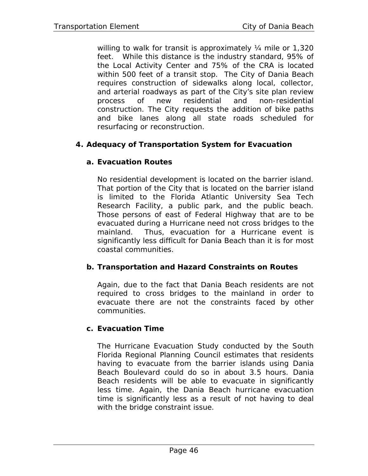willing to walk for transit is approximately 1/4 mile or 1,320 feet. While this distance is the industry standard, 95% of the Local Activity Center and 75% of the CRA is located within 500 feet of a transit stop. The City of Dania Beach requires construction of sidewalks along local, collector, and arterial roadways as part of the City's site plan review process of new residential and non-residential construction. The City requests the addition of bike paths and bike lanes along all state roads scheduled for resurfacing or reconstruction.

### **4. Adequacy of Transportation System for Evacuation**

### **a. Evacuation Routes**

No residential development is located on the barrier island. That portion of the City that is located on the barrier island is limited to the Florida Atlantic University Sea Tech Research Facility, a public park, and the public beach. Those persons of east of Federal Highway that are to be evacuated during a Hurricane need not cross bridges to the mainland. Thus, evacuation for a Hurricane event is significantly less difficult for Dania Beach than it is for most coastal communities.

### **b. Transportation and Hazard Constraints on Routes**

Again, due to the fact that Dania Beach residents are not required to cross bridges to the mainland in order to evacuate there are not the constraints faced by other communities.

### **c. Evacuation Time**

The Hurricane Evacuation Study conducted by the South Florida Regional Planning Council estimates that residents having to evacuate from the barrier islands using Dania Beach Boulevard could do so in about 3.5 hours. Dania Beach residents will be able to evacuate in significantly less time. Again, the Dania Beach hurricane evacuation time is significantly less as a result of not having to deal with the bridge constraint issue.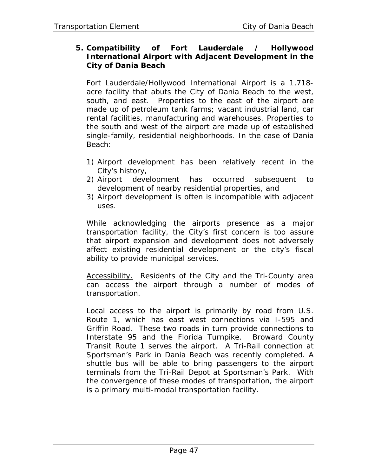### **5. Compatibility of Fort Lauderdale / Hollywood International Airport with Adjacent Development in the City of Dania Beach**

Fort Lauderdale/Hollywood International Airport is a 1,718 acre facility that abuts the City of Dania Beach to the west, south, and east. Properties to the east of the airport are made up of petroleum tank farms; vacant industrial land, car rental facilities, manufacturing and warehouses. Properties to the south and west of the airport are made up of established single-family, residential neighborhoods. In the case of Dania Beach:

- 1) Airport development has been relatively recent in the City's history,
- 2) Airport development has occurred subsequent to development of nearby residential properties, and
- 3) Airport development is often is incompatible with adjacent uses.

While acknowledging the airports presence as a major transportation facility, the City's first concern is too assure that airport expansion and development does not adversely affect existing residential development or the city's fiscal ability to provide municipal services.

Accessibility. Residents of the City and the Tri-County area can access the airport through a number of modes of transportation.

Local access to the airport is primarily by road from U.S. Route 1, which has east west connections via I-595 and Griffin Road. These two roads in turn provide connections to Interstate 95 and the Florida Turnpike. Broward County Transit Route 1 serves the airport. A Tri-Rail connection at Sportsman's Park in Dania Beach was recently completed. A shuttle bus will be able to bring passengers to the airport terminals from the Tri-Rail Depot at Sportsman's Park. With the convergence of these modes of transportation, the airport is a primary multi-modal transportation facility.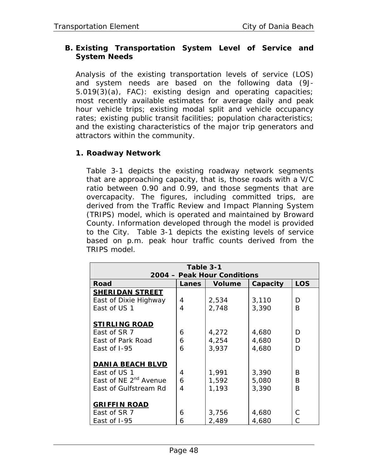### **B. Existing Transportation System Level of Service and System Needs**

Analysis of the existing transportation levels of service (LOS) and system needs are based on the following data (9J-5.019(3)(a), FAC): existing design and operating capacities; most recently available estimates for average daily and peak hour vehicle trips; existing modal split and vehicle occupancy rates; existing public transit facilities; population characteristics; and the existing characteristics of the major trip generators and attractors within the community.

### **1. Roadway Network**

Table 3-1 depicts the existing roadway network segments that are approaching capacity, that is, those roads with a V/C ratio between 0.90 and 0.99, and those segments that are overcapacity. The figures, including committed trips, are derived from the Traffic Review and Impact Planning System (TRIPS) model, which is operated and maintained by Broward County. Information developed through the model is provided to the City. Table 3-1 depicts the existing levels of service based on p.m. peak hour traffic counts derived from the TRIPS model.

| Table 3-1                         |              |               |          |            |  |
|-----------------------------------|--------------|---------------|----------|------------|--|
| 2004 - Peak Hour Conditions       |              |               |          |            |  |
| <b>Road</b>                       | <b>Lanes</b> | <b>Volume</b> | Capacity | <b>LOS</b> |  |
| <b>SHERIDAN STREET</b>            |              |               |          |            |  |
| East of Dixie Highway             | 4            | 2,534         | 3,110    | D          |  |
| East of US 1                      | 4            | 2,748         | 3,390    | B          |  |
|                                   |              |               |          |            |  |
| <b>STIRLING ROAD</b>              |              |               |          |            |  |
| East of SR 7                      | 6            | 4,272         | 4,680    | D          |  |
| East of Park Road                 | 6            | 4,254         | 4,680    | D          |  |
| East of I-95                      | 6            | 3,937         | 4,680    | D          |  |
|                                   |              |               |          |            |  |
| <b>DANIA BEACH BLVD</b>           |              |               |          |            |  |
| East of US 1                      | 4            | 1,991         | 3,390    | B          |  |
| East of NE 2 <sup>nd</sup> Avenue | 6            | 1,592         | 5,080    | B          |  |
| East of Gulfstream Rd             | 4            | 1,193         | 3,390    | B          |  |
|                                   |              |               |          |            |  |
| <b>GRIFFIN ROAD</b>               |              |               |          |            |  |
| East of SR 7                      | 6            | 3,756         | 4,680    | C.         |  |
| East of I-95                      | 6            | 2,489         | 4,680    | C          |  |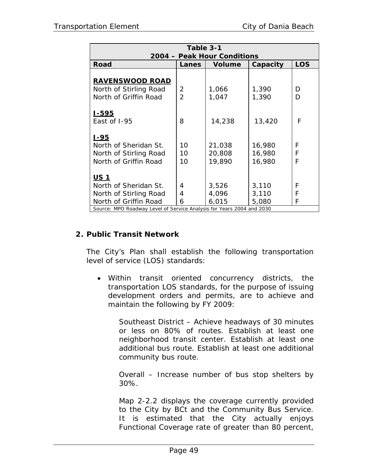| Table 3-1                                                             |                |               |          |            |  |
|-----------------------------------------------------------------------|----------------|---------------|----------|------------|--|
| 2004 - Peak Hour Conditions                                           |                |               |          |            |  |
| <b>Road</b>                                                           | Lanes          | <b>Volume</b> | Capacity | <b>LOS</b> |  |
|                                                                       |                |               |          |            |  |
| <b>RAVENSWOOD ROAD</b>                                                |                |               |          |            |  |
| North of Stirling Road                                                | $\overline{2}$ | 1,066         | 1,390    | D          |  |
| North of Griffin Road                                                 | $\overline{2}$ | 1,047         | 1,390    | D          |  |
|                                                                       |                |               |          |            |  |
| <u>I-595</u>                                                          |                |               |          |            |  |
| East of I-95                                                          | 8              | 14,238        | 13,420   | F          |  |
|                                                                       |                |               |          |            |  |
| <u> 1-95</u>                                                          |                |               |          |            |  |
| North of Sheridan St.                                                 | 10             | 21,038        | 16,980   | F          |  |
| North of Stirling Road                                                | 10             | 20,808        | 16,980   | F          |  |
| North of Griffin Road                                                 | 10             | 19,890        | 16,980   | F          |  |
|                                                                       |                |               |          |            |  |
| <u>US 1</u>                                                           |                |               |          |            |  |
| North of Sheridan St.                                                 | 4              | 3,526         | 3,110    | F          |  |
| North of Stirling Road                                                | 4              | 4,096         | 3,110    | F          |  |
| North of Griffin Road                                                 | 6              | 6,015         | 5,080    | F          |  |
| Source: MPO Roadway Level of Service Analysis for Years 2004 and 2030 |                |               |          |            |  |

### **2. Public Transit Network**

The City's Plan shall establish the following transportation level of service (LOS) standards:

• Within transit oriented concurrency districts, the transportation LOS standards, for the purpose of issuing development orders and permits, are to achieve and maintain the following by FY 2009:

Southeast District – Achieve headways of 30 minutes or less on 80% of routes. Establish at least one neighborhood transit center. Establish at least one additional bus route. Establish at least one additional community bus route.

Overall – Increase number of bus stop shelters by 30%.

Map 2-2.2 displays the coverage currently provided to the City by BCt and the Community Bus Service. It is estimated that the City actually enjoys Functional Coverage rate of greater than 80 percent,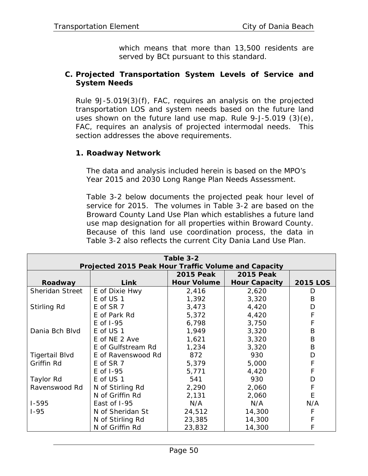which means that more than 13,500 residents are served by BCt pursuant to this standard.

### **C. Projected Transportation System Levels of Service and System Needs**

Rule 9J-5.019(3)(f), FAC, requires an analysis on the projected transportation LOS and system needs based on the future land uses shown on the future land use map. Rule 9-J-5.019 (3)(e), FAC, requires an analysis of projected intermodal needs. This section addresses the above requirements.

### **1. Roadway Network**

The data and analysis included herein is based on the MPO's Year 2015 and 2030 Long Range Plan Needs Assessment.

Table 3-2 below documents the projected peak hour level of service for 2015. The volumes in Table 3-2 are based on the Broward County Land Use Plan which establishes a future land use map designation for all properties within Broward County. Because of this land use coordination process, the data in Table 3-2 also reflects the current City Dania Land Use Plan.

| Table 3-2                                            |                    |                    |                      |                 |  |
|------------------------------------------------------|--------------------|--------------------|----------------------|-----------------|--|
| Projected 2015 Peak Hour Traffic Volume and Capacity |                    |                    |                      |                 |  |
|                                                      |                    | <b>2015 Peak</b>   | <b>2015 Peak</b>     |                 |  |
| Roadway                                              | <b>Link</b>        | <b>Hour Volume</b> | <b>Hour Capacity</b> | <b>2015 LOS</b> |  |
| <b>Sheridan Street</b>                               | E of Dixie Hwy     | 2,416              | 2,620                | D               |  |
|                                                      | E of US 1          | 1,392              | 3,320                | B               |  |
| Stirling Rd                                          | E of SR 7          | 3,473              | 4,420                | D               |  |
|                                                      | E of Park Rd       | 5,372              | 4,420                | F               |  |
|                                                      | E of 1-95          | 6,798              | 3,750                | F               |  |
| Dania Bch Blvd                                       | E of US 1          | 1,949              | 3,320                | B               |  |
|                                                      | E of NE 2 Ave      | 1,621              | 3,320                | B               |  |
|                                                      | E of Gulfstream Rd | 1,234              | 3,320                | B               |  |
| <b>Tigertail Blvd</b>                                | E of Ravenswood Rd | 872                | 930                  | D               |  |
| Griffin Rd                                           | E of SR 7          | 5,379              | 5,000                | F               |  |
|                                                      | $E$ of $I-95$      | 5,771              | 4,420                | F               |  |
| Taylor Rd                                            | E of US 1          | 541                | 930                  | D               |  |
| Ravenswood Rd                                        | N of Stirling Rd   | 2,290              | 2,060                | F               |  |
|                                                      | N of Griffin Rd    | 2,131              | 2,060                | E               |  |
| $1 - 595$                                            | East of I-95       | N/A                | N/A                  | N/A             |  |
| $1 - 95$                                             | N of Sheridan St   | 24,512             | 14,300               |                 |  |
|                                                      | N of Stirling Rd   | 23,385             | 14,300               | F               |  |
|                                                      | N of Griffin Rd    | 23,832             | 14,300               | F               |  |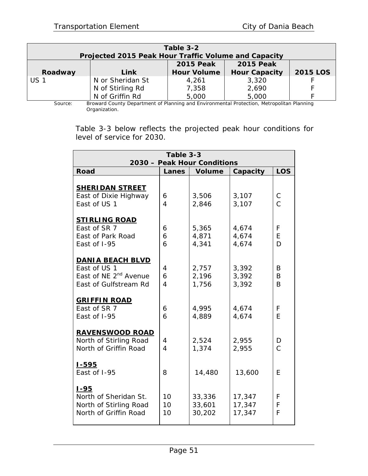| Table 3-2<br>Projected 2015 Peak Hour Traffic Volume and Capacity |                  |                    |                      |                 |  |
|-------------------------------------------------------------------|------------------|--------------------|----------------------|-----------------|--|
|                                                                   |                  | <b>2015 Peak</b>   | <b>2015 Peak</b>     |                 |  |
| Roadway                                                           | Link             | <b>Hour Volume</b> | <b>Hour Capacity</b> | <b>2015 LOS</b> |  |
| US 1                                                              | N or Sheridan St | 4,261              | 3,320                |                 |  |
|                                                                   | N of Stirling Rd | 7,358              | 2,690                |                 |  |
|                                                                   | N of Griffin Rd  | 5,000              | 5,000                |                 |  |

Source: Broward County Department of Planning and Environmental Protection, Metropolitan Planning Organization.

Table 3-3 below reflects the projected peak hour conditions for level of service for 2030.

| Table 3-3                                                                                             |                          |                            |                            |                     |  |  |
|-------------------------------------------------------------------------------------------------------|--------------------------|----------------------------|----------------------------|---------------------|--|--|
| 2030 - Peak Hour Conditions                                                                           |                          |                            |                            |                     |  |  |
| <b>Road</b>                                                                                           | Lanes                    | <b>Volume</b>              | Capacity                   | <b>LOS</b>          |  |  |
| <b>SHERIDAN STREET</b><br>East of Dixie Highway<br>East of US 1                                       | 6<br>4                   | 3,506<br>2,846             | 3,107<br>3,107             | C<br>$\overline{C}$ |  |  |
| <b>STIRLING ROAD</b><br>East of SR 7<br>East of Park Road<br>East of I-95                             | 6<br>6<br>6              | 5,365<br>4,871<br>4,341    | 4,674<br>4,674<br>4,674    | F<br>E<br>D         |  |  |
| <b>DANIA BEACH BLVD</b><br>East of US 1<br>East of NE 2 <sup>nd</sup> Avenue<br>East of Gulfstream Rd | 4<br>6<br>$\overline{4}$ | 2,757<br>2,196<br>1,756    | 3,392<br>3,392<br>3,392    | B<br>B<br>B         |  |  |
| <b>GRIFFIN ROAD</b><br>East of SR 7<br>East of I-95                                                   | 6<br>6                   | 4,995<br>4,889             | 4,674<br>4,674             | F<br>F              |  |  |
| <b>RAVENSWOOD ROAD</b><br>North of Stirling Road<br>North of Griffin Road                             | 4<br>$\overline{4}$      | 2,524<br>1,374             | 2,955<br>2,955             | D<br>$\overline{C}$ |  |  |
| <u> 1-595</u><br>East of I-95                                                                         | 8                        | 14,480                     | 13,600                     | E                   |  |  |
| <u>1-95</u><br>North of Sheridan St.<br>North of Stirling Road<br>North of Griffin Road               | 10<br>10<br>10           | 33,336<br>33,601<br>30,202 | 17,347<br>17,347<br>17,347 | F<br>F<br>F         |  |  |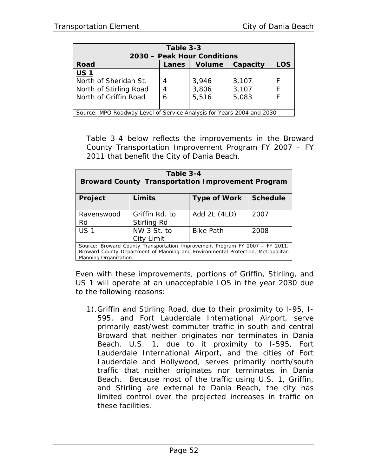| Table 3-3<br>2030 – Peak Hour Conditions                              |       |               |          |            |  |
|-----------------------------------------------------------------------|-------|---------------|----------|------------|--|
| <b>Road</b>                                                           | Lanes | <b>Volume</b> | Capacity | <b>LOS</b> |  |
| <b>US1</b>                                                            |       |               |          |            |  |
| North of Sheridan St.                                                 | 4     | 3,946         | 3,107    | F          |  |
| North of Stirling Road                                                | 4     | 3,806         | 3,107    | F          |  |
| North of Griffin Road                                                 | 6     | 5,516         | 5,083    |            |  |
|                                                                       |       |               |          |            |  |
| Source: MPO Roadway Level of Service Analysis for Years 2004 and 2030 |       |               |          |            |  |

Table 3-4 below reflects the improvements in the Broward County Transportation Improvement Program FY 2007 – FY 2011 that benefit the City of Dania Beach.

| Table 3-4<br><b>Broward County Transportation Improvement Program</b> |                                                                                                                                                                  |              |      |  |  |
|-----------------------------------------------------------------------|------------------------------------------------------------------------------------------------------------------------------------------------------------------|--------------|------|--|--|
| <b>Schedule</b><br>Limits<br><b>Type of Work</b><br>Project           |                                                                                                                                                                  |              |      |  |  |
| Ravenswood<br>Rd                                                      | Griffin Rd. to<br>Stirling Rd                                                                                                                                    | Add 2L (4LD) | 2007 |  |  |
| <b>US1</b><br>NW 3 St. to<br><b>Bike Path</b><br>2008<br>City Limit   |                                                                                                                                                                  |              |      |  |  |
| Planning Organization.                                                | Source: Broward County Transportation Improvement Program FY 2007 - FY 2011,<br>Broward County Department of Planning and Environmental Protection, Metropolitan |              |      |  |  |

Even with these improvements, portions of Griffin, Stirling, and US 1 will operate at an unacceptable LOS in the year 2030 due to the following reasons:

1).Griffin and Stirling Road, due to their proximity to I-95, I-595, and Fort Lauderdale International Airport, serve primarily east/west commuter traffic in south and central Broward that neither originates nor terminates in Dania Beach. U.S. 1, due to it proximity to I-595, Fort Lauderdale International Airport, and the cities of Fort Lauderdale and Hollywood, serves primarily north/south traffic that neither originates nor terminates in Dania Beach. Because most of the traffic using U.S. 1, Griffin, and Stirling are external to Dania Beach, the city has limited control over the projected increases in traffic on these facilities.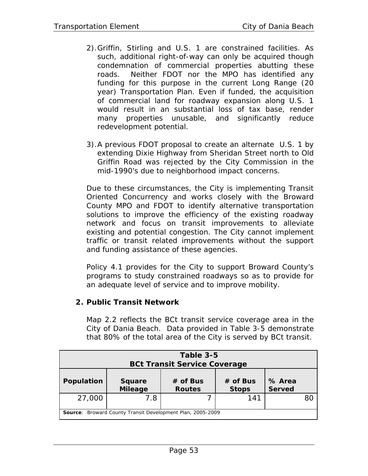- 2).Griffin, Stirling and U.S. 1 are constrained facilities. As such, additional right-of-way can only be acquired though condemnation of commercial properties abutting these roads. Neither FDOT nor the MPO has identified any funding for this purpose in the current Long Range (20 year) Transportation Plan. Even if funded, the acquisition of commercial land for roadway expansion along U.S. 1 would result in an substantial loss of tax base, render many properties unusable, and significantly reduce redevelopment potential.
- 3).A previous FDOT proposal to create an alternate U.S. 1 by extending Dixie Highway from Sheridan Street north to Old Griffin Road was rejected by the City Commission in the mid-1990's due to neighborhood impact concerns.

Due to these circumstances, the City is implementing Transit Oriented Concurrency and works closely with the Broward County MPO and FDOT to identify alternative transportation solutions to improve the efficiency of the existing roadway network and focus on transit improvements to alleviate existing and potential congestion. The City cannot implement traffic or transit related improvements without the support and funding assistance of these agencies.

Policy 4.1 provides for the City to support Broward County's programs to study constrained roadways so as to provide for an adequate level of service and to improve mobility.

## **2. Public Transit Network**

Map 2.2 reflects the BCt transit service coverage area in the City of Dania Beach. Data provided in Table 3-5 demonstrate that 80% of the total area of the City is served by BCt transit.

| Table 3-5<br><b>BCt Transit Service Coverage</b>                  |                                 |                             |                            |                         |    |
|-------------------------------------------------------------------|---------------------------------|-----------------------------|----------------------------|-------------------------|----|
| Population                                                        | <b>Square</b><br><b>Mileage</b> | $#$ of Bus<br><b>Routes</b> | $#$ of Bus<br><b>Stops</b> | % Area<br><b>Served</b> |    |
| 27,000                                                            | 7.8                             |                             | 141                        |                         | 80 |
| <b>Source:</b> Broward County Transit Development Plan, 2005-2009 |                                 |                             |                            |                         |    |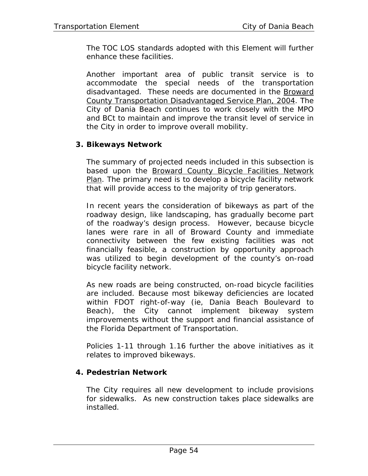The TOC LOS standards adopted with this Element will further enhance these facilities.

Another important area of public transit service is to accommodate the special needs of the transportation disadvantaged. These needs are documented in the Broward County Transportation Disadvantaged Service Plan, 2004. The City of Dania Beach continues to work closely with the MPO and BCt to maintain and improve the transit level of service in the City in order to improve overall mobility.

### **3. Bikeways Network**

The summary of projected needs included in this subsection is based upon the Broward County Bicycle Facilities Network Plan. The primary need is to develop a bicycle facility network that will provide access to the majority of trip generators.

In recent years the consideration of bikeways as part of the roadway design, like landscaping, has gradually become part of the roadway's design process. However, because bicycle lanes were rare in all of Broward County and immediate connectivity between the few existing facilities was not financially feasible, a construction by opportunity approach was utilized to begin development of the county's on-road bicycle facility network.

As new roads are being constructed, on-road bicycle facilities are included. Because most bikeway deficiencies are located within FDOT right-of-way (ie, Dania Beach Boulevard to Beach), the City cannot implement bikeway system improvements without the support and financial assistance of the Florida Department of Transportation.

Policies 1-11 through 1.16 further the above initiatives as it relates to improved bikeways.

### **4. Pedestrian Network**

The City requires all new development to include provisions for sidewalks. As new construction takes place sidewalks are installed.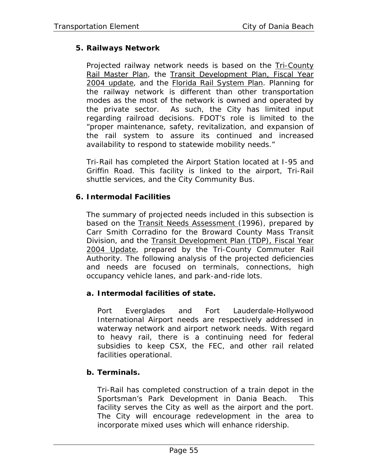## **5. Railways Network**

Projected railway network needs is based on the Tri-County Rail Master Plan, the Transit Development Plan, Fiscal Year 2004 update, and the Florida Rail System Plan. Planning for the railway network is different than other transportation modes as the most of the network is owned and operated by the private sector. As such, the City has limited input regarding railroad decisions. FDOT's role is limited to the "proper maintenance, safety, revitalization, and expansion of the rail system to assure its continued and increased availability to respond to statewide mobility needs."

Tri-Rail has completed the Airport Station located at I-95 and Griffin Road. This facility is linked to the airport, Tri-Rail shuttle services, and the City Community Bus.

### **6. Intermodal Facilities**

The summary of projected needs included in this subsection is based on the Transit Needs Assessment (1996), prepared by Carr Smith Corradino for the Broward County Mass Transit Division, and the Transit Development Plan (TDP), Fiscal Year 2004 Update, prepared by the Tri-County Commuter Rail Authority. The following analysis of the projected deficiencies and needs are focused on terminals, connections, high occupancy vehicle lanes, and park-and-ride lots.

### **a. Intermodal facilities of state.**

Port Everglades and Fort Lauderdale-Hollywood International Airport needs are respectively addressed in waterway network and airport network needs. With regard to heavy rail, there is a continuing need for federal subsidies to keep CSX, the FEC, and other rail related facilities operational.

### **b. Terminals.**

Tri-Rail has completed construction of a train depot in the Sportsman's Park Development in Dania Beach. This facility serves the City as well as the airport and the port. The City will encourage redevelopment in the area to incorporate mixed uses which will enhance ridership.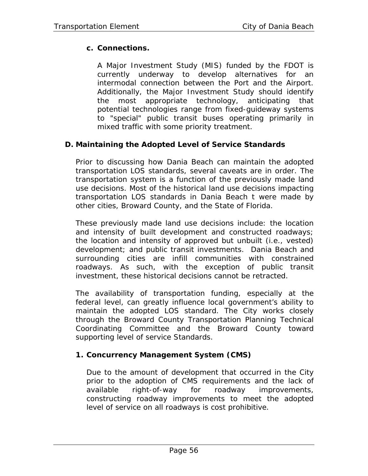## **c. Connections.**

A Major Investment Study (MIS) funded by the FDOT is currently underway to develop alternatives for an intermodal connection between the Port and the Airport. Additionally, the Major Investment Study should identify the most appropriate technology, anticipating that potential technologies range from fixed-guideway systems to "special" public transit buses operating primarily in mixed traffic with some priority treatment.

### **D. Maintaining the Adopted Level of Service Standards**

Prior to discussing how Dania Beach can maintain the adopted transportation LOS standards, several caveats are in order. The transportation system is a function of the previously made land use decisions. Most of the historical land use decisions impacting transportation LOS standards in Dania Beach t were made by other cities, Broward County, and the State of Florida.

These previously made land use decisions include: the location and intensity of built development and constructed roadways; the location and intensity of approved but unbuilt (i.e., vested) development; and public transit investments. Dania Beach and surrounding cities are infill communities with constrained roadways. As such, with the exception of public transit investment, these historical decisions cannot be retracted.

The availability of transportation funding, especially at the federal level, can greatly influence local government's ability to maintain the adopted LOS standard. The City works closely through the Broward County Transportation Planning Technical Coordinating Committee and the Broward County toward supporting level of service Standards.

## **1. Concurrency Management System (CMS)**

Due to the amount of development that occurred in the City prior to the adoption of CMS requirements and the lack of available right-of-way for roadway improvements, constructing roadway improvements to meet the adopted level of service on all roadways is cost prohibitive.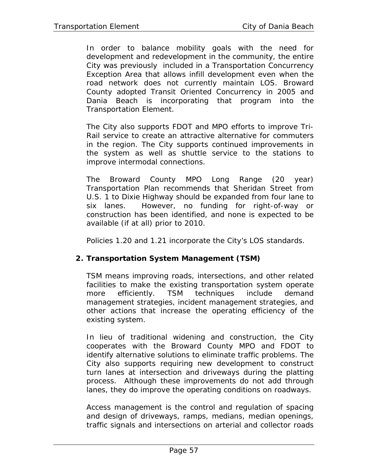In order to balance mobility goals with the need for development and redevelopment in the community, the entire City was previously included in a Transportation Concurrency Exception Area that allows infill development even when the road network does not currently maintain LOS. Broward County adopted Transit Oriented Concurrency in 2005 and Dania Beach is incorporating that program into the Transportation Element.

The City also supports FDOT and MPO efforts to improve Tri-Rail service to create an attractive alternative for commuters in the region. The City supports continued improvements in the system as well as shuttle service to the stations to improve intermodal connections.

The Broward County MPO Long Range (20 year) Transportation Plan recommends that Sheridan Street from U.S. 1 to Dixie Highway should be expanded from four lane to six lanes. However, no funding for right-of-way or construction has been identified, and none is expected to be available (if at all) prior to 2010.

Policies 1.20 and 1.21 incorporate the City's LOS standards.

### **2. Transportation System Management (TSM)**

TSM means improving roads, intersections, and other related facilities to make the existing transportation system operate more efficiently. TSM techniques include demand management strategies, incident management strategies, and other actions that increase the operating efficiency of the existing system.

In lieu of traditional widening and construction, the City cooperates with the Broward County MPO and FDOT to identify alternative solutions to eliminate traffic problems. The City also supports requiring new development to construct turn lanes at intersection and driveways during the platting process. Although these improvements do not add through lanes, they do improve the operating conditions on roadways.

Access management is the control and regulation of spacing and design of driveways, ramps, medians, median openings, traffic signals and intersections on arterial and collector roads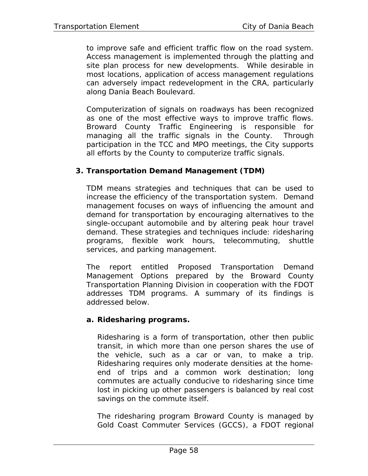to improve safe and efficient traffic flow on the road system. Access management is implemented through the platting and site plan process for new developments. While desirable in most locations, application of access management regulations can adversely impact redevelopment in the CRA, particularly along Dania Beach Boulevard.

Computerization of signals on roadways has been recognized as one of the most effective ways to improve traffic flows. Broward County Traffic Engineering is responsible for managing all the traffic signals in the County. Through participation in the TCC and MPO meetings, the City supports all efforts by the County to computerize traffic signals.

### **3. Transportation Demand Management (TDM)**

TDM means strategies and techniques that can be used to increase the efficiency of the transportation system. Demand management focuses on ways of influencing the amount and demand for transportation by encouraging alternatives to the single-occupant automobile and by altering peak hour travel demand. These strategies and techniques include: ridesharing programs, flexible work hours, telecommuting, shuttle services, and parking management.

The report entitled Proposed Transportation Demand Management Options prepared by the Broward County Transportation Planning Division in cooperation with the FDOT addresses TDM programs. A summary of its findings is addressed below.

### **a. Ridesharing programs.**

Ridesharing is a form of transportation, other then public transit, in which more than one person shares the use of the vehicle, such as a car or van, to make a trip. Ridesharing requires only moderate densities at the homeend of trips and a common work destination; long commutes are actually conducive to ridesharing since time lost in picking up other passengers is balanced by real cost savings on the commute itself.

The ridesharing program Broward County is managed by Gold Coast Commuter Services (GCCS), a FDOT regional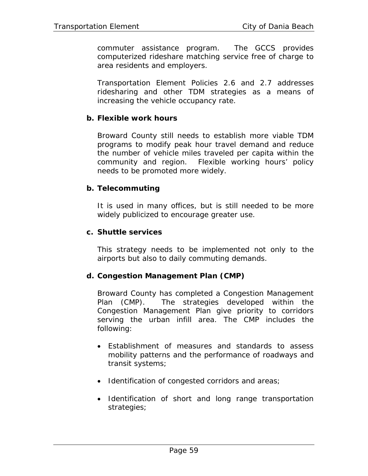commuter assistance program. The GCCS provides computerized rideshare matching service free of charge to area residents and employers.

Transportation Element Policies 2.6 and 2.7 addresses ridesharing and other TDM strategies as a means of increasing the vehicle occupancy rate.

### **b. Flexible work hours**

Broward County still needs to establish more viable TDM programs to modify peak hour travel demand and reduce the number of vehicle miles traveled per capita within the community and region. Flexible working hours' policy needs to be promoted more widely.

### **b. Telecommuting**

It is used in many offices, but is still needed to be more widely publicized to encourage greater use.

### **c. Shuttle services**

This strategy needs to be implemented not only to the airports but also to daily commuting demands.

## **d. Congestion Management Plan (CMP)**

Broward County has completed a Congestion Management Plan (CMP). The strategies developed within the Congestion Management Plan give priority to corridors serving the urban infill area. The CMP includes the following:

- Establishment of measures and standards to assess mobility patterns and the performance of roadways and transit systems;
- Identification of congested corridors and areas;
- Identification of short and long range transportation strategies;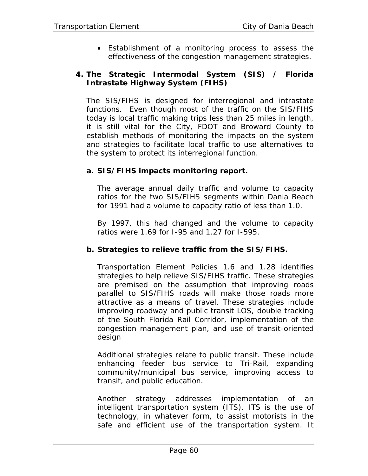• Establishment of a monitoring process to assess the effectiveness of the congestion management strategies.

### **4. The Strategic Intermodal System (SIS) / Florida Intrastate Highway System (FIHS)**

The SIS/FIHS is designed for interregional and intrastate functions. Even though most of the traffic on the SIS/FIHS today is local traffic making trips less than 25 miles in length, it is still vital for the City, FDOT and Broward County to establish methods of monitoring the impacts on the system and strategies to facilitate local traffic to use alternatives to the system to protect its interregional function.

### **a. SIS/FIHS impacts monitoring report.**

The average annual daily traffic and volume to capacity ratios for the two SIS/FIHS segments within Dania Beach for 1991 had a volume to capacity ratio of less than 1.0.

By 1997, this had changed and the volume to capacity ratios were 1.69 for I-95 and 1.27 for I-595.

## **b. Strategies to relieve traffic from the SIS/FIHS.**

Transportation Element Policies 1.6 and 1.28 identifies strategies to help relieve SIS/FIHS traffic. These strategies are premised on the assumption that improving roads parallel to SIS/FIHS roads will make those roads more attractive as a means of travel. These strategies include improving roadway and public transit LOS, double tracking of the South Florida Rail Corridor, implementation of the congestion management plan, and use of transit-oriented design

Additional strategies relate to public transit. These include enhancing feeder bus service to Tri-Rail, expanding community/municipal bus service, improving access to transit, and public education.

Another strategy addresses implementation of an intelligent transportation system (ITS). ITS is the use of technology, in whatever form, to assist motorists in the safe and efficient use of the transportation system. It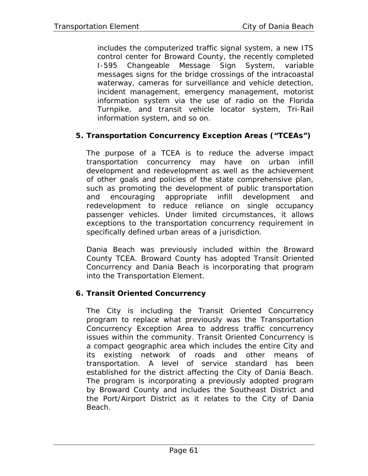includes the computerized traffic signal system, a new ITS control center for Broward County, the recently completed I-595 Changeable Message Sign System, variable messages signs for the bridge crossings of the intracoastal waterway, cameras for surveillance and vehicle detection, incident management, emergency management, motorist information system via the use of radio on the Florida Turnpike, and transit vehicle locator system, Tri-Rail information system, and so on.

## **5. Transportation Concurrency Exception Areas ("TCEAs")**

The purpose of a TCEA is to reduce the adverse impact transportation concurrency may have on urban infill development and redevelopment as well as the achievement of other goals and policies of the state comprehensive plan, such as promoting the development of public transportation and encouraging appropriate infill development and redevelopment to reduce reliance on single occupancy passenger vehicles. Under limited circumstances, it allows exceptions to the transportation concurrency requirement in specifically defined urban areas of a jurisdiction.

Dania Beach was previously included within the Broward County TCEA. Broward County has adopted Transit Oriented Concurrency and Dania Beach is incorporating that program into the Transportation Element.

### **6. Transit Oriented Concurrency**

The City is including the Transit Oriented Concurrency program to replace what previously was the Transportation Concurrency Exception Area to address traffic concurrency issues within the community. Transit Oriented Concurrency is a compact geographic area which includes the entire City and its existing network of roads and other means of transportation. A level of service standard has been established for the district affecting the City of Dania Beach. The program is incorporating a previously adopted program by Broward County and includes the Southeast District and the Port/Airport District as it relates to the City of Dania Beach.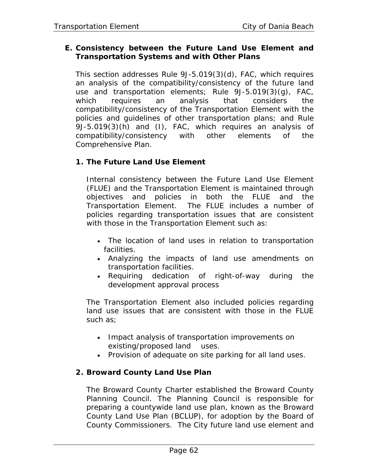## **E. Consistency between the Future Land Use Element and Transportation Systems and with Other Plans**

This section addresses Rule 9J-5.019(3)(d), FAC, which requires an analysis of the compatibility/consistency of the future land use and transportation elements; Rule 9J-5.019(3)(g), FAC, which requires an analysis that considers the compatibility/consistency of the Transportation Element with the policies and guidelines of other transportation plans; and Rule 9J-5.019(3)(h) and (I), FAC, which requires an analysis of compatibility/consistency with other elements of the Comprehensive Plan.

# **1. The Future Land Use Element**

Internal consistency between the Future Land Use Element (FLUE) and the Transportation Element is maintained through objectives and policies in both the FLUE and the Transportation Element. The FLUE includes a number of policies regarding transportation issues that are consistent with those in the Transportation Element such as:

- The location of land uses in relation to transportation facilities.
- Analyzing the impacts of land use amendments on transportation facilities.
- Requiring dedication of right-of-way during the development approval process

The Transportation Element also included policies regarding land use issues that are consistent with those in the FLUE such as;

- Impact analysis of transportation improvements on existing/proposed land uses.
- Provision of adequate on site parking for all land uses.

## **2. Broward County Land Use Plan**

The Broward County Charter established the Broward County Planning Council. The Planning Council is responsible for preparing a countywide land use plan, known as the Broward County Land Use Plan (BCLUP), for adoption by the Board of County Commissioners. The City future land use element and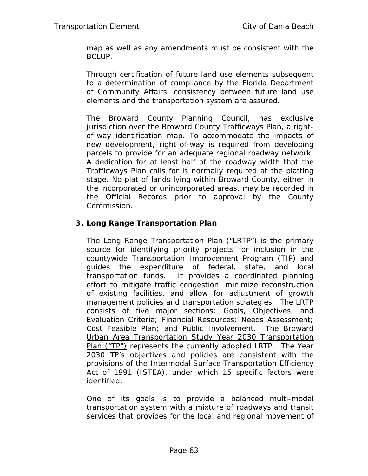map as well as any amendments must be consistent with the BCLUP.

Through certification of future land use elements subsequent to a determination of compliance by the Florida Department of Community Affairs, consistency between future land use elements and the transportation system are assured.

The Broward County Planning Council, has exclusive jurisdiction over the Broward County Trafficways Plan, a rightof-way identification map. To accommodate the impacts of new development, right-of-way is required from developing parcels to provide for an adequate regional roadway network. A dedication for at least half of the roadway width that the Trafficways Plan calls for is normally required at the platting stage. No plat of lands lying within Broward County, either in the incorporated or unincorporated areas, may be recorded in the Official Records prior to approval by the County Commission.

## **3. Long Range Transportation Plan**

The Long Range Transportation Plan ("LRTP") is the primary source for identifying priority projects for inclusion in the countywide Transportation Improvement Program (TIP) and guides the expenditure of federal, state, and local transportation funds. It provides a coordinated planning effort to mitigate traffic congestion, minimize reconstruction of existing facilities, and allow for adjustment of growth management policies and transportation strategies. The LRTP consists of five major sections: Goals, Objectives, and Evaluation Criteria; Financial Resources; Needs Assessment; Cost Feasible Plan; and Public Involvement. The Broward Urban Area Transportation Study Year 2030 Transportation Plan ("TP") represents the currently adopted LRTP. The Year 2030 TP's objectives and policies are consistent with the provisions of the Intermodal Surface Transportation Efficiency Act of 1991 (ISTEA), under which 15 specific factors were identified.

One of its goals is to provide a balanced multi-modal transportation system with a mixture of roadways and transit services that provides for the local and regional movement of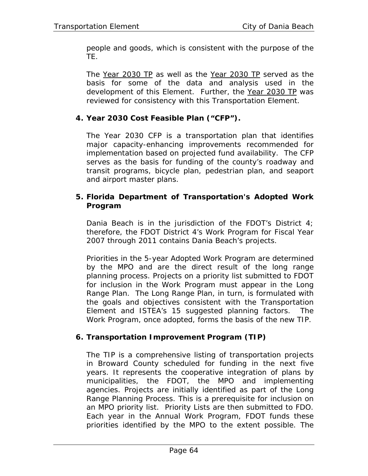people and goods, which is consistent with the purpose of the TE.

The Year 2030 TP as well as the Year 2030 TP served as the basis for some of the data and analysis used in the development of this Element. Further, the Year 2030 TP was reviewed for consistency with this Transportation Element.

## **4. Year 2030 Cost Feasible Plan ("CFP").**

The Year 2030 CFP is a transportation plan that identifies major capacity-enhancing improvements recommended for implementation based on projected fund availability. The CFP serves as the basis for funding of the county's roadway and transit programs, bicycle plan, pedestrian plan, and seaport and airport master plans.

### **5. Florida Department of Transportation's Adopted Work Program**

Dania Beach is in the jurisdiction of the FDOT's District 4; therefore, the FDOT District 4's Work Program for Fiscal Year 2007 through 2011 contains Dania Beach's projects.

Priorities in the 5-year Adopted Work Program are determined by the MPO and are the direct result of the long range planning process. Projects on a priority list submitted to FDOT for inclusion in the Work Program must appear in the Long Range Plan. The Long Range Plan, in turn, is formulated with the goals and objectives consistent with the Transportation Element and ISTEA's 15 suggested planning factors. The Work Program, once adopted, forms the basis of the new TIP.

## **6. Transportation Improvement Program (TIP)**

The TIP is a comprehensive listing of transportation projects in Broward County scheduled for funding in the next five years. It represents the cooperative integration of plans by municipalities, the FDOT, the MPO and implementing agencies. Projects are initially identified as part of the Long Range Planning Process. This is a prerequisite for inclusion on an MPO priority list. Priority Lists are then submitted to FDO. Each year in the Annual Work Program, FDOT funds these priorities identified by the MPO to the extent possible. The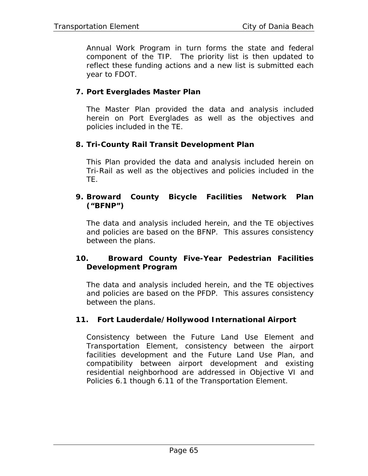Annual Work Program in turn forms the state and federal component of the TIP. The priority list is then updated to reflect these funding actions and a new list is submitted each year to FDOT.

### **7. Port Everglades Master Plan**

The Master Plan provided the data and analysis included herein on Port Everglades as well as the objectives and policies included in the TE.

### **8. Tri-County Rail Transit Development Plan**

This Plan provided the data and analysis included herein on Tri-Rail as well as the objectives and policies included in the TE.

### **9. Broward County Bicycle Facilities Network Plan ("BFNP")**

The data and analysis included herein, and the TE objectives and policies are based on the BFNP. This assures consistency between the plans.

### **10. Broward County Five-Year Pedestrian Facilities Development Program**

The data and analysis included herein, and the TE objectives and policies are based on the PFDP. This assures consistency between the plans.

### **11. Fort Lauderdale/Hollywood International Airport**

Consistency between the Future Land Use Element and Transportation Element, consistency between the airport facilities development and the Future Land Use Plan, and compatibility between airport development and existing residential neighborhood are addressed in Objective VI and Policies 6.1 though 6.11 of the Transportation Element.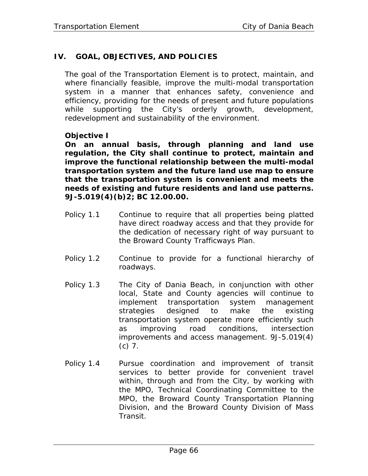## **IV. GOAL, OBJECTIVES, AND POLICIES**

The goal of the Transportation Element is to protect, maintain, and where financially feasible, improve the multi-modal transportation system in a manner that enhances safety, convenience and efficiency, providing for the needs of present and future populations while supporting the City's orderly growth, development, redevelopment and sustainability of the environment.

### **Objective I**

**On an annual basis, through planning and land use regulation, the City shall continue to protect, maintain and improve the functional relationship between the multi-modal transportation system and the future land use map to ensure that the transportation system is convenient and meets the needs of existing and future residents and land use patterns. 9J-5.019(4)(b)2; BC 12.00.00.** 

- Policy 1.1 Continue to require that all properties being platted have direct roadway access and that they provide for the dedication of necessary right of way pursuant to the Broward County Trafficways Plan.
- Policy 1.2 Continue to provide for a functional hierarchy of roadways.
- Policy 1.3 The City of Dania Beach, in conjunction with other local, State and County agencies will continue to implement transportation system management strategies designed to make the existing transportation system operate more efficiently such as improving road conditions, intersection improvements and access management. 9J-5.019(4) (c) 7.
- Policy 1.4 Pursue coordination and improvement of transit services to better provide for convenient travel within, through and from the City, by working with the MPO, Technical Coordinating Committee to the MPO, the Broward County Transportation Planning Division, and the Broward County Division of Mass Transit.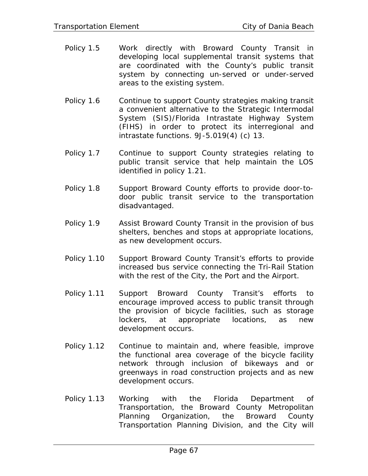- Policy 1.5 Work directly with Broward County Transit in developing local supplemental transit systems that are coordinated with the County's public transit system by connecting un-served or under-served areas to the existing system.
- Policy 1.6 Continue to support County strategies making transit a convenient alternative to the Strategic Intermodal System (SIS)/Florida Intrastate Highway System (FIHS) in order to protect its interregional and intrastate functions. 9J-5.019(4) (c) 13.
- Policy 1.7 Continue to support County strategies relating to public transit service that help maintain the LOS identified in policy 1.21.
- Policy 1.8 Support Broward County efforts to provide door-todoor public transit service to the transportation disadvantaged.
- Policy 1.9 Assist Broward County Transit in the provision of bus shelters, benches and stops at appropriate locations, as new development occurs.
- Policy 1.10 Support Broward County Transit's efforts to provide increased bus service connecting the Tri-Rail Station with the rest of the City, the Port and the Airport.
- Policy 1.11 Support Broward County Transit's efforts to encourage improved access to public transit through the provision of bicycle facilities, such as storage lockers, at appropriate locations, as new development occurs.
- Policy 1.12 Continue to maintain and, where feasible, improve the functional area coverage of the bicycle facility network through inclusion of bikeways and or greenways in road construction projects and as new development occurs.
- Policy 1.13 Working with the Florida Department of Transportation, the Broward County Metropolitan Planning Organization, the Broward County Transportation Planning Division, and the City will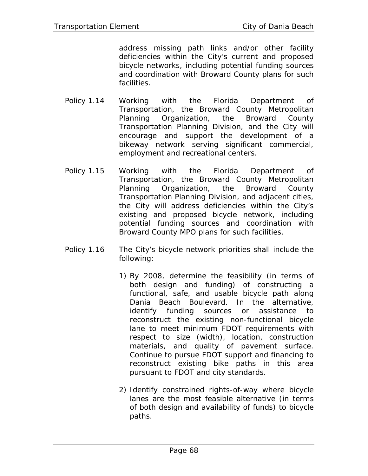address missing path links and/or other facility deficiencies within the City's current and proposed bicycle networks, including potential funding sources and coordination with Broward County plans for such facilities.

- Policy 1.14 Working with the Florida Department of Transportation, the Broward County Metropolitan Planning Organization, the Broward County Transportation Planning Division, and the City will encourage and support the development of a bikeway network serving significant commercial, employment and recreational centers.
- Policy 1.15 Working with the Florida Department of Transportation, the Broward County Metropolitan Planning Organization, the Broward County Transportation Planning Division, and adjacent cities, the City will address deficiencies within the City's existing and proposed bicycle network, including potential funding sources and coordination with Broward County MPO plans for such facilities.
- Policy 1.16 The City's bicycle network priorities shall include the following:
	- 1) By 2008, determine the feasibility (in terms of both design and funding) of constructing a functional, safe, and usable bicycle path along Dania Beach Boulevard. In the alternative, identify funding sources or assistance to reconstruct the existing non-functional bicycle lane to meet minimum FDOT requirements with respect to size (width), location, construction materials, and quality of pavement surface. Continue to pursue FDOT support and financing to reconstruct existing bike paths in this area pursuant to FDOT and city standards.
	- 2) Identify constrained rights-of-way where bicycle lanes are the most feasible alternative (in terms of both design and availability of funds) to bicycle paths.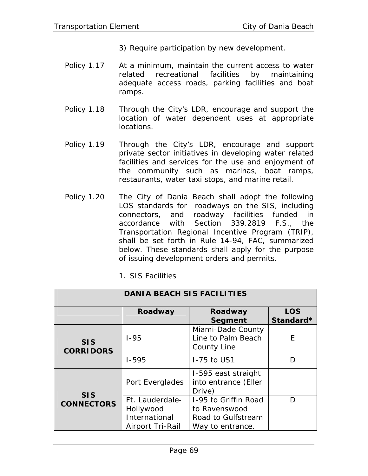- 3) Require participation by new development.
- Policy 1.17 At a minimum, maintain the current access to water related recreational facilities by maintaining adequate access roads, parking facilities and boat ramps.
- Policy 1.18 Through the City's LDR, encourage and support the location of water dependent uses at appropriate locations.
- Policy 1.19 Through the City's LDR, encourage and support private sector initiatives in developing water related facilities and services for the use and enjoyment of the community such as marinas, boat ramps, restaurants, water taxi stops, and marine retail.
- Policy 1.20 The City of Dania Beach shall adopt the following LOS standards for roadways on the SIS, including connectors, and roadway facilities funded in accordance with Section 339.2819 F.S., the Transportation Regional Incentive Program (TRIP), shall be set forth in Rule 14-94, FAC, summarized below. These standards shall apply for the purpose of issuing development orders and permits.

|  |  |  | 1. SIS Facilities |
|--|--|--|-------------------|
|--|--|--|-------------------|

| <b>DANIA BEACH SIS FACILITIES</b> |                                                                   |                                                                                 |                         |  |  |
|-----------------------------------|-------------------------------------------------------------------|---------------------------------------------------------------------------------|-------------------------|--|--|
|                                   | Roadway                                                           | Roadway<br>Segment                                                              | <b>LOS</b><br>Standard* |  |  |
| <b>SIS</b><br><b>CORRIDORS</b>    | $1 - 95$                                                          | Miami-Dade County<br>Line to Palm Beach<br><b>County Line</b>                   | E                       |  |  |
|                                   | $1 - 595$                                                         | 1-75 to US1                                                                     | D                       |  |  |
|                                   | Port Everglades                                                   | I-595 east straight<br>into entrance (Eller<br>Drive)                           |                         |  |  |
| <b>SIS</b><br><b>CONNECTORS</b>   | Ft. Lauderdale-<br>Hollywood<br>International<br>Airport Tri-Rail | 1-95 to Griffin Road<br>to Ravenswood<br>Road to Gulfstream<br>Way to entrance. | D                       |  |  |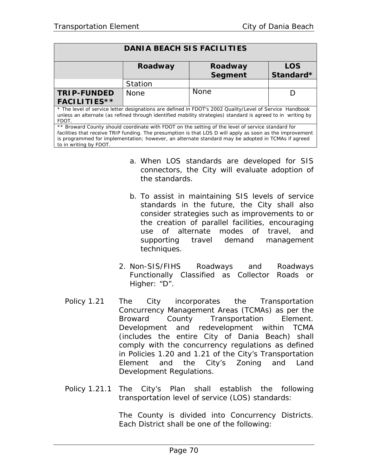| <b>DANIA BEACH SIS FACILITIES</b>                                                                                                                                                                                                                                                                                                              |             |                           |                         |  |
|------------------------------------------------------------------------------------------------------------------------------------------------------------------------------------------------------------------------------------------------------------------------------------------------------------------------------------------------|-------------|---------------------------|-------------------------|--|
|                                                                                                                                                                                                                                                                                                                                                | Roadway     | Roadway<br><b>Segment</b> | <b>LOS</b><br>Standard* |  |
|                                                                                                                                                                                                                                                                                                                                                | Station     |                           |                         |  |
| <b>TRIP-FUNDED</b>                                                                                                                                                                                                                                                                                                                             | <b>None</b> | <b>None</b>               |                         |  |
| <b>FACILITIES**</b>                                                                                                                                                                                                                                                                                                                            |             |                           |                         |  |
| * The level of service letter designations are defined in FDOT's 2002 Quality/Level of Service Handbook<br>unless an alternate (as refined through identified mobility strategies) standard is agreed to in writing by<br>FDOT.                                                                                                                |             |                           |                         |  |
| ** Broward County should coordinate with FDOT on the setting of the level of service standard for<br>facilities that receive TRIP funding. The presumption is that LOS D will apply as soon as the improvement<br>is programmed for implementation; however, an alternate standard may be adopted in TCMAs if agreed<br>to in writing by FDOT. |             |                           |                         |  |

- a. When LOS standards are developed for SIS connectors, the City will evaluate adoption of the standards.
- b. To assist in maintaining SIS levels of service standards in the future, the City shall also consider strategies such as improvements to or the creation of parallel facilities, encouraging use of alternate modes of travel, and supporting travel demand management techniques.
- 2. Non-SIS/FIHS Roadways and Roadways Functionally Classified as Collector Roads or Higher: "D".
- Policy 1.21 The City incorporates the Transportation Concurrency Management Areas (TCMAs) as per the Broward County Transportation Element. Development and redevelopment within TCMA (includes the entire City of Dania Beach) shall comply with the concurrency regulations as defined in Policies 1.20 and 1.21 of the City's Transportation Element and the City's Zoning and Land Development Regulations.
- Policy 1.21.1 The City's Plan shall establish the following transportation level of service (LOS) standards:

The County is divided into Concurrency Districts. Each District shall be one of the following: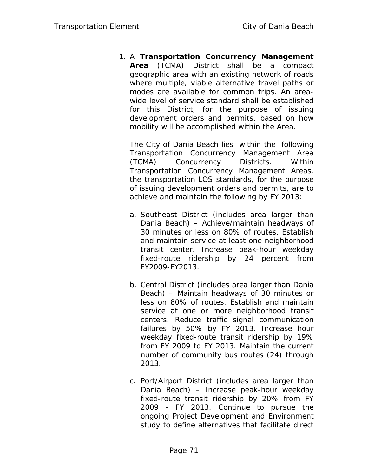1. A **Transportation Concurrency Management Area** (TCMA) District shall be a compact geographic area with an existing network of roads where multiple, viable alternative travel paths or modes are available for common trips. An areawide level of service standard shall be established for this District, for the purpose of issuing development orders and permits, based on how mobility will be accomplished within the Area.

The City of Dania Beach lies within the following Transportation Concurrency Management Area (TCMA) Concurrency Districts. Within Transportation Concurrency Management Areas, the transportation LOS standards, for the purpose of issuing development orders and permits, are to achieve and maintain the following by FY 2013:

- a. Southeast District (includes area larger than Dania Beach) – Achieve/maintain headways of 30 minutes or less on 80% of routes. Establish and maintain service at least one neighborhood transit center. Increase peak-hour weekday fixed-route ridership by 24 percent from FY2009-FY2013.
- b. Central District (includes area larger than Dania Beach) – Maintain headways of 30 minutes or less on 80% of routes. Establish and maintain service at one or more neighborhood transit centers. Reduce traffic signal communication failures by 50% by FY 2013. Increase hour weekday fixed-route transit ridership by 19% from FY 2009 to FY 2013. Maintain the current number of community bus routes (24) through 2013.
- c. Port/Airport District (includes area larger than Dania Beach) – Increase peak-hour weekday fixed-route transit ridership by 20% from FY 2009 - FY 2013. Continue to pursue the ongoing Project Development and Environment study to define alternatives that facilitate direct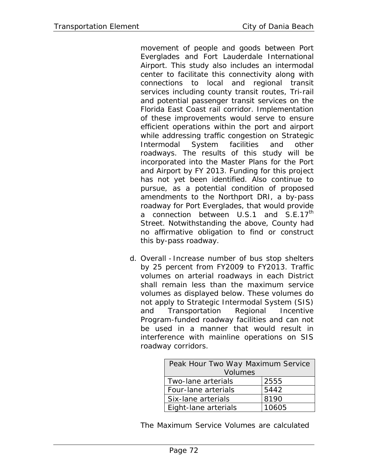movement of people and goods between Port Everglades and Fort Lauderdale International Airport. This study also includes an intermodal center to facilitate this connectivity along with connections to local and regional transit services including county transit routes, Tri-rail and potential passenger transit services on the Florida East Coast rail corridor. Implementation of these improvements would serve to ensure efficient operations within the port and airport while addressing traffic congestion on Strategic Intermodal System facilities and other roadways. The results of this study will be incorporated into the Master Plans for the Port and Airport by FY 2013. Funding for this project has not yet been identified. Also continue to pursue, as a potential condition of proposed amendments to the Northport DRI, a by-pass roadway for Port Everglades, that would provide a connection between U.S.1 and S.E.17<sup>th</sup> Street. Notwithstanding the above, County had no affirmative obligation to find or construct this by-pass roadway.

d. Overall - Increase number of bus stop shelters by 25 percent from FY2009 to FY2013. Traffic volumes on arterial roadways in each District shall remain less than the maximum service volumes as displayed below. These volumes do not apply to Strategic Intermodal System (SIS) and Transportation Regional Incentive Program-funded roadway facilities and can not be used in a manner that would result in interference with mainline operations on SIS roadway corridors.

| Peak Hour Two Way Maximum Service |       |  |
|-----------------------------------|-------|--|
| <b>Volumes</b>                    |       |  |
| Two-lane arterials                | 2555  |  |
| Four-lane arterials               | 5442  |  |
| Six-lane arterials                | 8190  |  |
| Eight-lane arterials              | 10605 |  |

The Maximum Service Volumes are calculated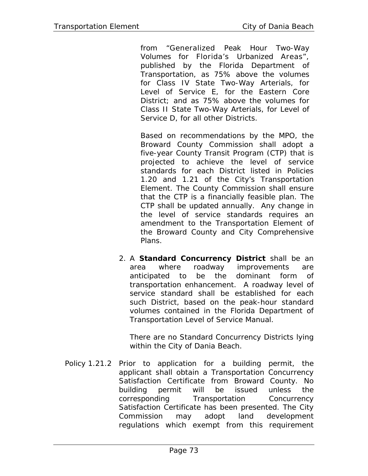from "Generalized Peak Hour Two-Way Volumes for Florida's Urbanized Areas", published by the Florida Department of Transportation, as 75% above the volumes for Class IV State Two-Way Arterials, for Level of Service E, for the Eastern Core District; and as 75% above the volumes for Class II State Two-Way Arterials, for Level of Service D, for all other Districts.

Based on recommendations by the MPO, the Broward County Commission shall adopt a five-year County Transit Program (CTP) that is projected to achieve the level of service standards for each District listed in Policies 1.20 and 1.21 of the City's Transportation Element. The County Commission shall ensure that the CTP is a financially feasible plan. The CTP shall be updated annually. Any change in the level of service standards requires an amendment to the Transportation Element of the Broward County and City Comprehensive Plans.

2. A **Standard Concurrency District** shall be an area where roadway improvements are anticipated to be the dominant form of transportation enhancement. A roadway level of service standard shall be established for each such District, based on the peak-hour standard volumes contained in the Florida Department of Transportation Level of Service Manual.

There are no Standard Concurrency Districts lying within the City of Dania Beach.

Policy 1.21.2 Prior to application for a building permit, the applicant shall obtain a Transportation Concurrency Satisfaction Certificate from Broward County. No building permit will be issued unless the corresponding Transportation Concurrency Satisfaction Certificate has been presented. The City Commission may adopt land development regulations which exempt from this requirement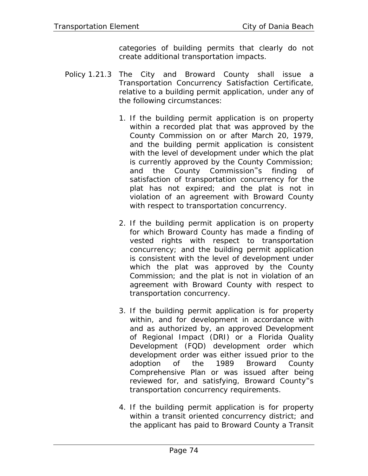categories of building permits that clearly do not create additional transportation impacts.

- Policy 1.21.3 The City and Broward County shall issue a Transportation Concurrency Satisfaction Certificate, relative to a building permit application, under any of the following circumstances:
	- 1. If the building permit application is on property within a recorded plat that was approved by the County Commission on or after March 20, 1979, and the building permit application is consistent with the level of development under which the plat is currently approved by the County Commission; and the County Commission<sup>=</sup>s finding of satisfaction of transportation concurrency for the plat has not expired; and the plat is not in violation of an agreement with Broward County with respect to transportation concurrency.
	- 2. If the building permit application is on property for which Broward County has made a finding of vested rights with respect to transportation concurrency; and the building permit application is consistent with the level of development under which the plat was approved by the County Commission; and the plat is not in violation of an agreement with Broward County with respect to transportation concurrency.
	- 3. If the building permit application is for property within, and for development in accordance with and as authorized by, an approved Development of Regional Impact (DRI) or a Florida Quality Development (FQD) development order which development order was either issued prior to the adoption of the 1989 Broward County Comprehensive Plan or was issued after being reviewed for, and satisfying, Broward County<sup>-</sup>s transportation concurrency requirements.
	- 4. If the building permit application is for property within a transit oriented concurrency district; and the applicant has paid to Broward County a Transit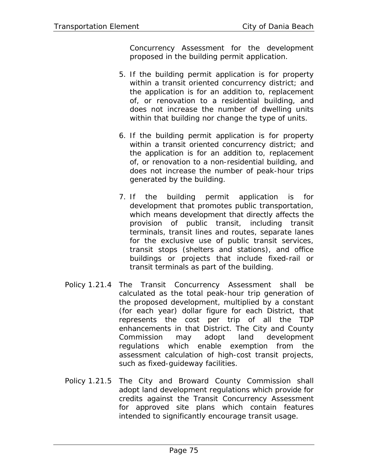Concurrency Assessment for the development proposed in the building permit application.

- 5. If the building permit application is for property within a transit oriented concurrency district; and the application is for an addition to, replacement of, or renovation to a residential building, and does not increase the number of dwelling units within that building nor change the type of units.
- 6. If the building permit application is for property within a transit oriented concurrency district; and the application is for an addition to, replacement of, or renovation to a non-residential building, and does not increase the number of peak-hour trips generated by the building.
- 7. If the building permit application is for development that promotes public transportation, which means development that directly affects the provision of public transit, including transit terminals, transit lines and routes, separate lanes for the exclusive use of public transit services, transit stops (shelters and stations), and office buildings or projects that include fixed-rail or transit terminals as part of the building.
- Policy 1.21.4 The Transit Concurrency Assessment shall be calculated as the total peak-hour trip generation of the proposed development, multiplied by a constant (for each year) dollar figure for each District, that represents the cost per trip of all the TDP enhancements in that District. The City and County Commission may adopt land development regulations which enable exemption from the assessment calculation of high-cost transit projects, such as fixed-guideway facilities.
- Policy 1.21.5 The City and Broward County Commission shall adopt land development regulations which provide for credits against the Transit Concurrency Assessment for approved site plans which contain features intended to significantly encourage transit usage.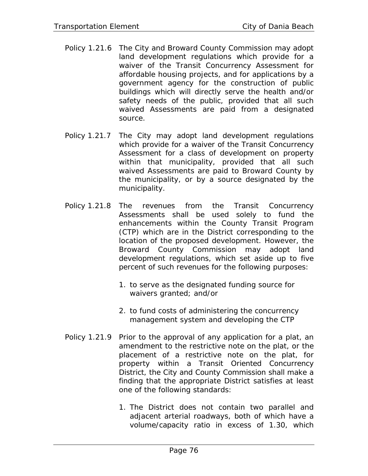- Policy 1.21.6 The City and Broward County Commission may adopt land development regulations which provide for a waiver of the Transit Concurrency Assessment for affordable housing projects, and for applications by a government agency for the construction of public buildings which will directly serve the health and/or safety needs of the public, provided that all such waived Assessments are paid from a designated source.
- Policy 1.21.7 The City may adopt land development regulations which provide for a waiver of the Transit Concurrency Assessment for a class of development on property within that municipality, provided that all such waived Assessments are paid to Broward County by the municipality, or by a source designated by the municipality.
- Policy 1.21.8 The revenues from the Transit Concurrency Assessments shall be used solely to fund the enhancements within the County Transit Program (CTP) which are in the District corresponding to the location of the proposed development. However, the Broward County Commission may adopt land development regulations, which set aside up to five percent of such revenues for the following purposes:
	- 1. to serve as the designated funding source for waivers granted; and/or
	- 2. to fund costs of administering the concurrency management system and developing the CTP
- Policy 1.21.9 Prior to the approval of any application for a plat, an amendment to the restrictive note on the plat, or the placement of a restrictive note on the plat, for property within a Transit Oriented Concurrency District, the City and County Commission shall make a finding that the appropriate District satisfies at least one of the following standards:
	- 1. The District does not contain two parallel and adjacent arterial roadways, both of which have a volume/capacity ratio in excess of 1.30, which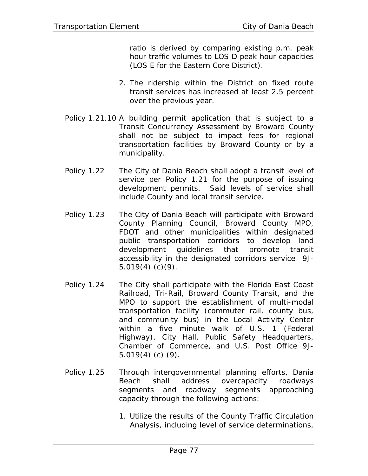ratio is derived by comparing existing p.m. peak hour traffic volumes to LOS D peak hour capacities (LOS E for the Eastern Core District).

- 2. The ridership within the District on fixed route transit services has increased at least 2.5 percent over the previous year.
- Policy 1.21.10 A building permit application that is subject to a Transit Concurrency Assessment by Broward County shall not be subject to impact fees for regional transportation facilities by Broward County or by a municipality.
- Policy 1.22 The City of Dania Beach shall adopt a transit level of service per Policy 1.21 for the purpose of issuing development permits. Said levels of service shall include County and local transit service.
- Policy 1.23 The City of Dania Beach will participate with Broward County Planning Council, Broward County MPO, FDOT and other municipalities within designated public transportation corridors to develop land development guidelines that promote transit accessibility in the designated corridors service 9J- $5.019(4)$  (c)(9).
- Policy 1.24 The City shall participate with the Florida East Coast Railroad, Tri-Rail, Broward County Transit, and the MPO to support the establishment of multi-modal transportation facility (commuter rail, county bus, and community bus) in the Local Activity Center within a five minute walk of U.S. 1 (Federal Highway), City Hall, Public Safety Headquarters, Chamber of Commerce, and U.S. Post Office 9J-5.019(4) (c) (9).
- Policy 1.25 Through intergovernmental planning efforts, Dania Beach shall address overcapacity roadways segments and roadway segments approaching capacity through the following actions:
	- 1. Utilize the results of the County Traffic Circulation Analysis, including level of service determinations,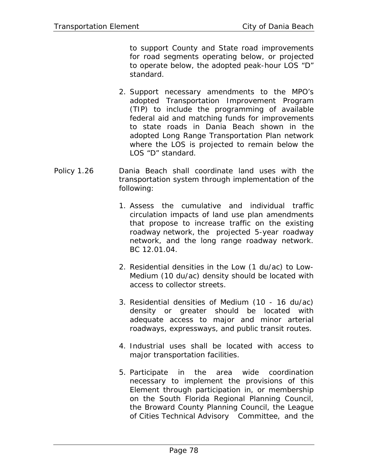to support County and State road improvements for road segments operating below, or projected to operate below, the adopted peak-hour LOS "D" standard.

- 2. Support necessary amendments to the MPO's adopted Transportation Improvement Program (TIP) to include the programming of available federal aid and matching funds for improvements to state roads in Dania Beach shown in the adopted Long Range Transportation Plan network where the LOS is projected to remain below the LOS "D" standard.
- Policy 1.26 Dania Beach shall coordinate land uses with the transportation system through implementation of the following:
	- 1. Assess the cumulative and individual traffic circulation impacts of land use plan amendments that propose to increase traffic on the existing roadway network, the projected 5-year roadway network, and the long range roadway network. BC 12.01.04.
	- 2. Residential densities in the Low (1 du/ac) to Low-Medium (10 du/ac) density should be located with access to collector streets.
	- 3. Residential densities of Medium (10 16 du/ac) density or greater should be located with adequate access to major and minor arterial roadways, expressways, and public transit routes.
	- 4. Industrial uses shall be located with access to major transportation facilities.
	- 5. Participate in the area wide coordination necessary to implement the provisions of this Element through participation in, or membership on the South Florida Regional Planning Council, the Broward County Planning Council, the League of Cities Technical Advisory Committee, and the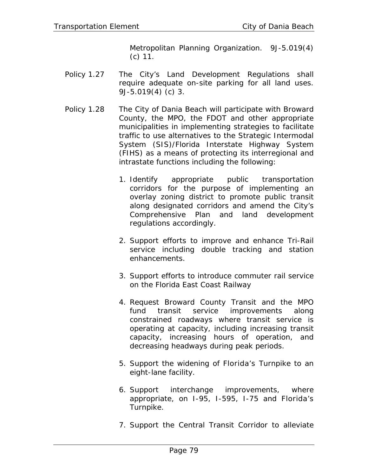Metropolitan Planning Organization. 9J-5.019(4) (c) 11.

- Policy 1.27 The City's Land Development Regulations shall require adequate on-site parking for all land uses. 9J-5.019(4) (c) 3.
- Policy 1.28 The City of Dania Beach will participate with Broward County, the MPO, the FDOT and other appropriate municipalities in implementing strategies to facilitate traffic to use alternatives to the Strategic Intermodal System (SIS)/Florida Interstate Highway System (FIHS) as a means of protecting its interregional and intrastate functions including the following:
	- 1. Identify appropriate public transportation corridors for the purpose of implementing an overlay zoning district to promote public transit along designated corridors and amend the City's Comprehensive Plan and land development regulations accordingly.
	- 2. Support efforts to improve and enhance Tri-Rail service including double tracking and station enhancements.
	- 3. Support efforts to introduce commuter rail service on the Florida East Coast Railway
	- 4. Request Broward County Transit and the MPO fund transit service improvements along constrained roadways where transit service is operating at capacity, including increasing transit capacity, increasing hours of operation, and decreasing headways during peak periods.
	- 5. Support the widening of Florida's Turnpike to an eight-lane facility.
	- 6. Support interchange improvements, where appropriate, on I-95, I-595, I-75 and Florida's Turnpike.
	- 7. Support the Central Transit Corridor to alleviate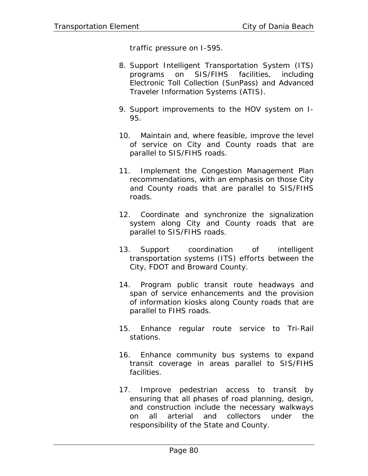traffic pressure on I-595.

- 8. Support Intelligent Transportation System (ITS) programs on SIS/FIHS facilities, including Electronic Toll Collection (SunPass) and Advanced Traveler Information Systems (ATIS).
- 9. Support improvements to the HOV system on I-95.
- 10. Maintain and, where feasible, improve the level of service on City and County roads that are parallel to SIS/FIHS roads.
- 11. Implement the Congestion Management Plan recommendations, with an emphasis on those City and County roads that are parallel to SIS/FIHS roads.
- 12. Coordinate and synchronize the signalization system along City and County roads that are parallel to SIS/FIHS roads.
- 13. Support coordination of intelligent transportation systems (ITS) efforts between the City, FDOT and Broward County.
- 14. Program public transit route headways and span of service enhancements and the provision of information kiosks along County roads that are parallel to FIHS roads.
- 15. Enhance regular route service to Tri-Rail stations.
- 16. Enhance community bus systems to expand transit coverage in areas parallel to SIS/FIHS facilities.
- 17. Improve pedestrian access to transit by ensuring that all phases of road planning, design, and construction include the necessary walkways on all arterial and collectors under the responsibility of the State and County.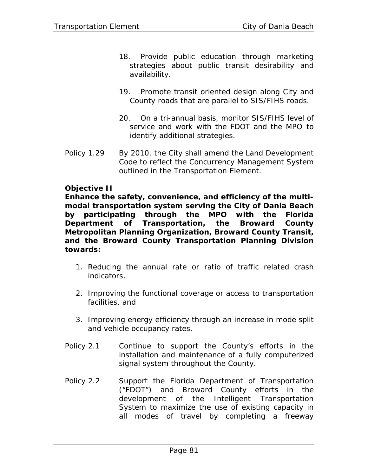- 18. Provide public education through marketing strategies about public transit desirability and availability.
- 19. Promote transit oriented design along City and County roads that are parallel to SIS/FIHS roads.
- 20. On a tri-annual basis, monitor SIS/FIHS level of service and work with the FDOT and the MPO to identify additional strategies.
- Policy 1.29 By 2010, the City shall amend the Land Development Code to reflect the Concurrency Management System outlined in the Transportation Element.

## **Objective II**

**Enhance the safety, convenience, and efficiency of the multimodal transportation system serving the City of Dania Beach by participating through the MPO with the Florida Department of Transportation, the Broward County Metropolitan Planning Organization, Broward County Transit, and the Broward County Transportation Planning Division towards:** 

- 1. Reducing the annual rate or ratio of traffic related crash indicators,
- 2. Improving the functional coverage or access to transportation facilities, and
- 3. Improving energy efficiency through an increase in mode split and vehicle occupancy rates.
- Policy 2.1 Continue to support the County's efforts in the installation and maintenance of a fully computerized signal system throughout the County.
- Policy 2.2 Support the Florida Department of Transportation ("FDOT") and Broward County efforts in the development of the Intelligent Transportation System to maximize the use of existing capacity in all modes of travel by completing a freeway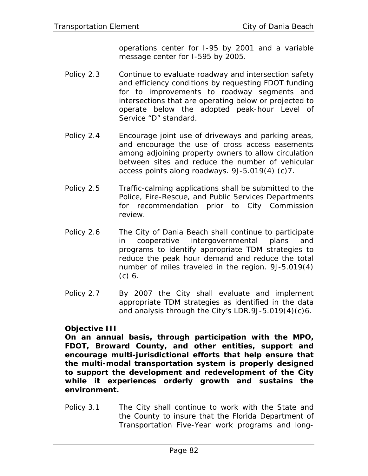operations center for I-95 by 2001 and a variable message center for I-595 by 2005.

- Policy 2.3 Continue to evaluate roadway and intersection safety and efficiency conditions by requesting FDOT funding for to improvements to roadway segments and intersections that are operating below or projected to operate below the adopted peak-hour Level of Service "D" standard.
- Policy 2.4 Encourage joint use of driveways and parking areas, and encourage the use of cross access easements among adjoining property owners to allow circulation between sites and reduce the number of vehicular access points along roadways. 9J-5.019(4) (c)7.
- Policy 2.5 Traffic-calming applications shall be submitted to the Police, Fire-Rescue, and Public Services Departments for recommendation prior to City Commission review.
- Policy 2.6 The City of Dania Beach shall continue to participate in cooperative intergovernmental plans and programs to identify appropriate TDM strategies to reduce the peak hour demand and reduce the total number of miles traveled in the region. 9J-5.019(4) (c) 6.
- Policy 2.7 By 2007 the City shall evaluate and implement appropriate TDM strategies as identified in the data and analysis through the City's LDR.9J-5.019(4)(c)6.

# **Objective III**

**On an annual basis, through participation with the MPO, FDOT, Broward County, and other entities, support and encourage multi-jurisdictional efforts that help ensure that the multi-modal transportation system is properly designed to support the development and redevelopment of the City while it experiences orderly growth and sustains the environment.** 

Policy 3.1 The City shall continue to work with the State and the County to insure that the Florida Department of Transportation Five-Year work programs and long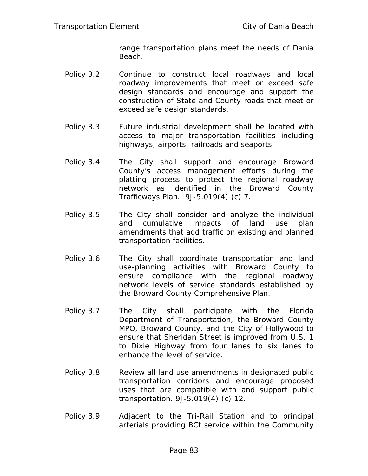range transportation plans meet the needs of Dania Beach.

- Policy 3.2 Continue to construct local roadways and local roadway improvements that meet or exceed safe design standards and encourage and support the construction of State and County roads that meet or exceed safe design standards.
- Policy 3.3 Future industrial development shall be located with access to major transportation facilities including highways, airports, railroads and seaports.
- Policy 3.4 The City shall support and encourage Broward County's access management efforts during the platting process to protect the regional roadway network as identified in the Broward County Trafficways Plan. 9J-5.019(4) (c) 7.
- Policy 3.5 The City shall consider and analyze the individual and cumulative impacts of land use plan amendments that add traffic on existing and planned transportation facilities.
- Policy 3.6 The City shall coordinate transportation and land use-planning activities with Broward County to ensure compliance with the regional roadway network levels of service standards established by the Broward County Comprehensive Plan.
- Policy 3.7 The City shall participate with the Florida Department of Transportation, the Broward County MPO, Broward County, and the City of Hollywood to ensure that Sheridan Street is improved from U.S. 1 to Dixie Highway from four lanes to six lanes to enhance the level of service.
- Policy 3.8 Review all land use amendments in designated public transportation corridors and encourage proposed uses that are compatible with and support public transportation. 9J-5.019(4) (c) 12.
- Policy 3.9 Adjacent to the Tri-Rail Station and to principal arterials providing BCt service within the Community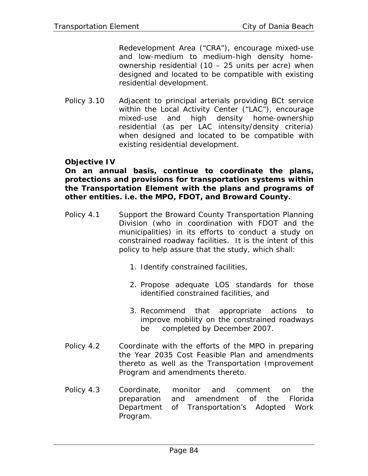Redevelopment Area ("CRA"), encourage mixed-use and low-medium to medium-high density homeownership residential (10 – 25 units per acre) when designed and located to be compatible with existing residential development.

Policy 3.10 Adjacent to principal arterials providing BCt service within the Local Activity Center ("LAC"), encourage mixed-use and high density home-ownership residential (as per LAC intensity/density criteria) when designed and located to be compatible with existing residential development.

#### **Objective IV**

**On an annual basis, continue to coordinate the plans, protections and provisions for transportation systems within the Transportation Element with the plans and programs of other entities. i.e. the MPO, FDOT, and Broward County.** 

- Policy 4.1 Support the Broward County Transportation Planning Division (who in coordination with FDOT and the municipalities) in its efforts to conduct a study on constrained roadway facilities. It is the intent of this policy to help assure that the study, which shall:
	- 1. Identify constrained facilities,
	- 2. Propose adequate LOS standards for those identified constrained facilities, and
	- 3. Recommend that appropriate actions to improve mobility on the constrained roadways be completed by December 2007.
- Policy 4.2 Coordinate with the efforts of the MPO in preparing the Year 2035 Cost Feasible Plan and amendments thereto as well as the Transportation Improvement Program and amendments thereto.
- Policy 4.3 Coordinate, monitor and comment on the preparation and amendment of the Florida Department of Transportation's Adopted Work Program.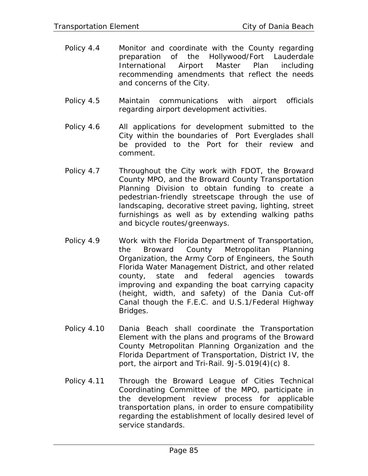- Policy 4.4 Monitor and coordinate with the County regarding preparation of the Hollywood/Fort Lauderdale International Airport Master Plan including recommending amendments that reflect the needs and concerns of the City.
- Policy 4.5 Maintain communications with airport officials regarding airport development activities.
- Policy 4.6 All applications for development submitted to the City within the boundaries of Port Everglades shall be provided to the Port for their review and comment.
- Policy 4.7 Throughout the City work with FDOT, the Broward County MPO, and the Broward County Transportation Planning Division to obtain funding to create a pedestrian-friendly streetscape through the use of landscaping, decorative street paving, lighting, street furnishings as well as by extending walking paths and bicycle routes/greenways.
- Policy 4.9 Work with the Florida Department of Transportation, the Broward County Metropolitan Planning Organization, the Army Corp of Engineers, the South Florida Water Management District, and other related county, state and federal agencies towards improving and expanding the boat carrying capacity (height, width, and safety) of the Dania Cut-off Canal though the F.E.C. and U.S.1/Federal Highway Bridges.
- Policy 4.10 Dania Beach shall coordinate the Transportation Element with the plans and programs of the Broward County Metropolitan Planning Organization and the Florida Department of Transportation, District IV, the port, the airport and Tri-Rail. 9J-5.019(4)(c) 8.
- Policy 4.11 Through the Broward League of Cities Technical Coordinating Committee of the MPO, participate in the development review process for applicable transportation plans, in order to ensure compatibility regarding the establishment of locally desired level of service standards.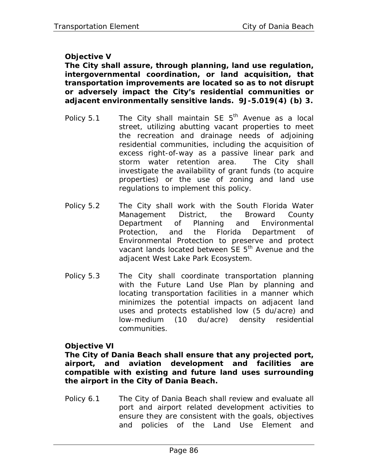# **Objective V**

**The City shall assure, through planning, land use regulation, intergovernmental coordination, or land acquisition, that transportation improvements are located so as to not disrupt or adversely impact the City's residential communities or adjacent environmentally sensitive lands. 9J-5.019(4) (b) 3.** 

- Policy 5.1 The City shall maintain SE  $5<sup>th</sup>$  Avenue as a local street, utilizing abutting vacant properties to meet the recreation and drainage needs of adjoining residential communities, including the acquisition of excess right-of-way as a passive linear park and storm water retention area. The City shall investigate the availability of grant funds (to acquire properties) or the use of zoning and land use regulations to implement this policy.
- Policy 5.2 The City shall work with the South Florida Water Management District, the Broward County Department of Planning and Environmental Protection, and the Florida Department of Environmental Protection to preserve and protect vacant lands located between SE 5<sup>th</sup> Avenue and the adjacent West Lake Park Ecosystem.
- Policy 5.3 The City shall coordinate transportation planning with the Future Land Use Plan by planning and locating transportation facilities in a manner which minimizes the potential impacts on adjacent land uses and protects established low (5 du/acre) and low-medium (10 du/acre) density residential communities.

#### **Objective VI**

**The City of Dania Beach shall ensure that any projected port, airport, and aviation development and facilities are compatible with existing and future land uses surrounding the airport in the City of Dania Beach.** 

Policy 6.1 The City of Dania Beach shall review and evaluate all port and airport related development activities to ensure they are consistent with the goals, objectives and policies of the Land Use Element and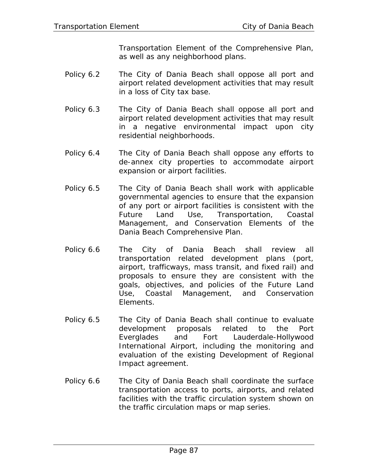Transportation Element of the Comprehensive Plan, as well as any neighborhood plans.

- Policy 6.2 The City of Dania Beach shall oppose all port and airport related development activities that may result in a loss of City tax base.
- Policy 6.3 The City of Dania Beach shall oppose all port and airport related development activities that may result in a negative environmental impact upon city residential neighborhoods.
- Policy 6.4 The City of Dania Beach shall oppose any efforts to de-annex city properties to accommodate airport expansion or airport facilities.
- Policy 6.5 The City of Dania Beach shall work with applicable governmental agencies to ensure that the expansion of any port or airport facilities is consistent with the Future Land Use, Transportation, Coastal Management, and Conservation Elements of the Dania Beach Comprehensive Plan.
- Policy 6.6 The City of Dania Beach shall review all transportation related development plans (port, airport, trafficways, mass transit, and fixed rail) and proposals to ensure they are consistent with the goals, objectives, and policies of the Future Land Use, Coastal Management, and Conservation Elements.
- Policy 6.5 The City of Dania Beach shall continue to evaluate development proposals related to the Port Everglades and Fort Lauderdale-Hollywood International Airport, including the monitoring and evaluation of the existing Development of Regional Impact agreement.
- Policy 6.6 The City of Dania Beach shall coordinate the surface transportation access to ports, airports, and related facilities with the traffic circulation system shown on the traffic circulation maps or map series.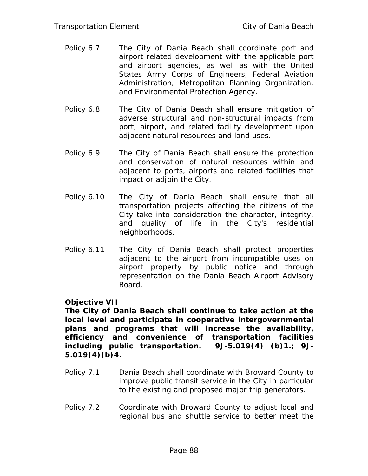- Policy 6.7 The City of Dania Beach shall coordinate port and airport related development with the applicable port and airport agencies, as well as with the United States Army Corps of Engineers, Federal Aviation Administration, Metropolitan Planning Organization, and Environmental Protection Agency.
- Policy 6.8 The City of Dania Beach shall ensure mitigation of adverse structural and non-structural impacts from port, airport, and related facility development upon adjacent natural resources and land uses.
- Policy 6.9 The City of Dania Beach shall ensure the protection and conservation of natural resources within and adjacent to ports, airports and related facilities that impact or adjoin the City.
- Policy 6.10 The City of Dania Beach shall ensure that all transportation projects affecting the citizens of the City take into consideration the character, integrity, and quality of life in the City's residential neighborhoods.
- Policy 6.11 The City of Dania Beach shall protect properties adjacent to the airport from incompatible uses on airport property by public notice and through representation on the Dania Beach Airport Advisory Board.

#### **Objective VII**

**The City of Dania Beach shall continue to take action at the local level and participate in cooperative intergovernmental plans and programs that will increase the availability, efficiency and convenience of transportation facilities including public transportation. 9J-5.019(4) (b)1.; 9J-5.019(4)(b)4.** 

- Policy 7.1 Dania Beach shall coordinate with Broward County to improve public transit service in the City in particular to the existing and proposed major trip generators.
- Policy 7.2 Coordinate with Broward County to adjust local and regional bus and shuttle service to better meet the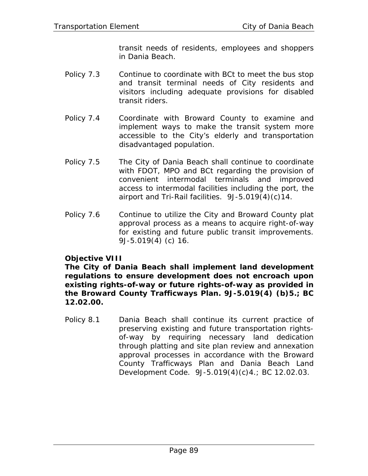transit needs of residents, employees and shoppers in Dania Beach.

- Policy 7.3 Continue to coordinate with BCt to meet the bus stop and transit terminal needs of City residents and visitors including adequate provisions for disabled transit riders.
- Policy 7.4 Coordinate with Broward County to examine and implement ways to make the transit system more accessible to the City's elderly and transportation disadvantaged population.
- Policy 7.5 The City of Dania Beach shall continue to coordinate with FDOT, MPO and BCt regarding the provision of convenient intermodal terminals and improved access to intermodal facilities including the port, the airport and Tri-Rail facilities. 9J-5.019(4)(c)14.
- Policy 7.6 Continue to utilize the City and Broward County plat approval process as a means to acquire right-of-way for existing and future public transit improvements. 9J-5.019(4) (c) 16.

#### **Objective VIII**

**The City of Dania Beach shall implement land development regulations to ensure development does not encroach upon existing rights-of-way or future rights-of-way as provided in the Broward County Trafficways Plan. 9J-5.019(4) (b)5.; BC 12.02.00.** 

Policy 8.1 Dania Beach shall continue its current practice of preserving existing and future transportation rightsof-way by requiring necessary land dedication through platting and site plan review and annexation approval processes in accordance with the Broward County Trafficways Plan and Dania Beach Land Development Code. 9J-5.019(4)(c)4.; BC 12.02.03.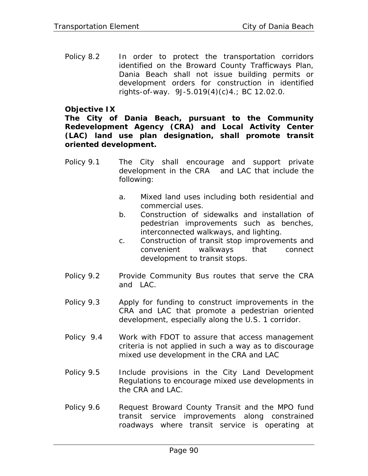Policy 8.2 In order to protect the transportation corridors identified on the Broward County Trafficways Plan, Dania Beach shall not issue building permits or development orders for construction in identified rights-of-way. 9J-5.019(4)(c)4.; BC 12.02.0.

### **Objective IX**

**The City of Dania Beach, pursuant to the Community Redevelopment Agency (CRA) and Local Activity Center (LAC) land use plan designation, shall promote transit oriented development.** 

- Policy 9.1 The City shall encourage and support private development in the CRA and LAC that include the following:
	- a. Mixed land uses including both residential and commercial uses.
	- b. Construction of sidewalks and installation of pedestrian improvements such as benches, interconnected walkways, and lighting.
	- c. Construction of transit stop improvements and convenient walkways that connect development to transit stops.
- Policy 9.2 Provide Community Bus routes that serve the CRA and LAC.
- Policy 9.3 Apply for funding to construct improvements in the CRA and LAC that promote a pedestrian oriented development, especially along the U.S. 1 corridor.
- Policy 9.4 Work with FDOT to assure that access management criteria is not applied in such a way as to discourage mixed use development in the CRA and LAC
- Policy 9.5 Include provisions in the City Land Development Regulations to encourage mixed use developments in the CRA and LAC.
- Policy 9.6 Request Broward County Transit and the MPO fund transit service improvements along constrained roadways where transit service is operating at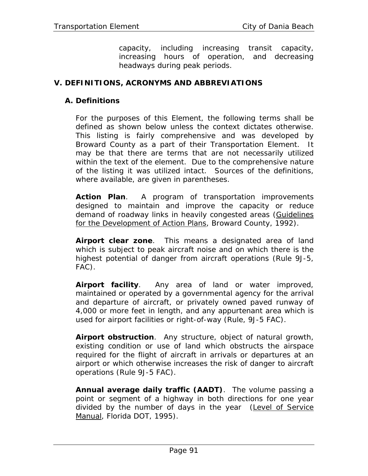capacity, including increasing transit capacity, increasing hours of operation, and decreasing headways during peak periods.

## **V. DEFINITIONS, ACRONYMS AND ABBREVIATIONS**

#### **A. Definitions**

For the purposes of this Element, the following terms shall be defined as shown below unless the context dictates otherwise. This listing is fairly comprehensive and was developed by Broward County as a part of their Transportation Element. It may be that there are terms that are not necessarily utilized within the text of the element. Due to the comprehensive nature of the listing it was utilized intact. Sources of the definitions, where available, are given in parentheses.

**Action Plan**. A program of transportation improvements designed to maintain and improve the capacity or reduce demand of roadway links in heavily congested areas (Guidelines for the Development of Action Plans, Broward County, 1992).

**Airport clear zone**. This means a designated area of land which is subject to peak aircraft noise and on which there is the highest potential of danger from aircraft operations (Rule 9J-5, FAC).

**Airport facility**. Any area of land or water improved, maintained or operated by a governmental agency for the arrival and departure of aircraft, or privately owned paved runway of 4,000 or more feet in length, and any appurtenant area which is used for airport facilities or right-of-way (Rule, 9J-5 FAC).

**Airport obstruction**. Any structure, object of natural growth, existing condition or use of land which obstructs the airspace required for the flight of aircraft in arrivals or departures at an airport or which otherwise increases the risk of danger to aircraft operations (Rule 9J-5 FAC).

**Annual average daily traffic (AADT)**. The volume passing a point or segment of a highway in both directions for one year divided by the number of days in the year (Level of Service Manual, Florida DOT, 1995).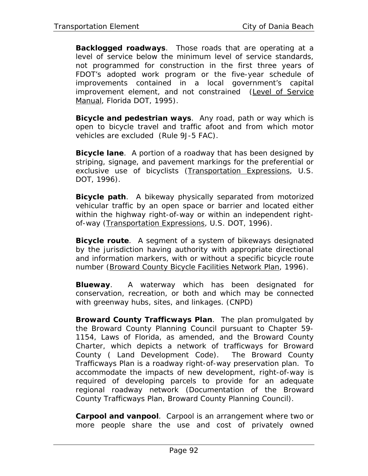**Backlogged roadways**. Those roads that are operating at a level of service below the minimum level of service standards, not programmed for construction in the first three years of FDOT's adopted work program or the five-year schedule of improvements contained in a local government's capital improvement element, and not constrained (Level of Service Manual, Florida DOT, 1995).

**Bicycle and pedestrian ways**. Any road, path or way which is open to bicycle travel and traffic afoot and from which motor vehicles are excluded (Rule 9J-5 FAC).

**Bicycle lane**. A portion of a roadway that has been designed by striping, signage, and pavement markings for the preferential or exclusive use of bicyclists (Transportation Expressions, U.S. DOT, 1996).

**Bicycle path**. A bikeway physically separated from motorized vehicular traffic by an open space or barrier and located either within the highway right-of-way or within an independent rightof-way (Transportation Expressions, U.S. DOT, 1996).

**Bicycle route**. A segment of a system of bikeways designated by the jurisdiction having authority with appropriate directional and information markers, with or without a specific bicycle route number (Broward County Bicycle Facilities Network Plan, 1996).

**Blueway**. A waterway which has been designated for conservation, recreation, or both and which may be connected with greenway hubs, sites, and linkages. (CNPD)

**Broward County Trafficways Plan**. The plan promulgated by the Broward County Planning Council pursuant to Chapter 59- 1154, Laws of Florida, as amended, and the Broward County Charter, which depicts a network of trafficways for Broward County ( Land Development Code). The Broward County Trafficways Plan is a roadway right-of-way preservation plan. To accommodate the impacts of new development, right-of-way is required of developing parcels to provide for an adequate regional roadway network (Documentation of the Broward County Trafficways Plan, Broward County Planning Council).

**Carpool and vanpool**. Carpool is an arrangement where two or more people share the use and cost of privately owned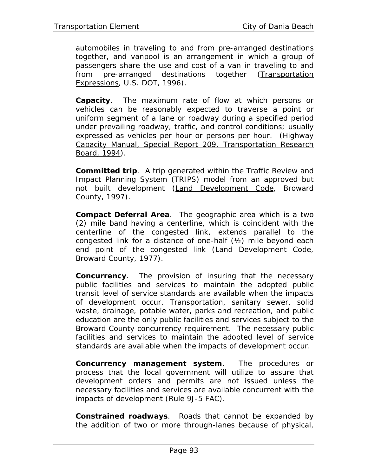automobiles in traveling to and from pre-arranged destinations together, and vanpool is an arrangement in which a group of passengers share the use and cost of a van in traveling to and from pre-arranged destinations together (Transportation Expressions, U.S. DOT, 1996).

**Capacity**. The maximum rate of flow at which persons or vehicles can be reasonably expected to traverse a point or uniform segment of a lane or roadway during a specified period under prevailing roadway, traffic, and control conditions; usually expressed as vehicles per hour or persons per hour. (Highway Capacity Manual, Special Report 209, Transportation Research Board, 1994).

**Committed trip**. A trip generated within the Traffic Review and Impact Planning System (TRIPS) model from an approved but not built development (Land Development Code, Broward County, 1997).

**Compact Deferral Area**. The geographic area which is a two (2) mile band having a centerline, which is coincident with the centerline of the congested link, extends parallel to the congested link for a distance of one-half (½) mile beyond each end point of the congested link (Land Development Code, Broward County, 1977).

**Concurrency**. The provision of insuring that the necessary public facilities and services to maintain the adopted public transit level of service standards are available when the impacts of development occur. Transportation, sanitary sewer, solid waste, drainage, potable water, parks and recreation, and public education are the only public facilities and services subject to the Broward County concurrency requirement. The necessary public facilities and services to maintain the adopted level of service standards are available when the impacts of development occur.

**Concurrency management system**. The procedures or process that the local government will utilize to assure that development orders and permits are not issued unless the necessary facilities and services are available concurrent with the impacts of development (Rule 9J-5 FAC).

**Constrained roadways**. Roads that cannot be expanded by the addition of two or more through-lanes because of physical,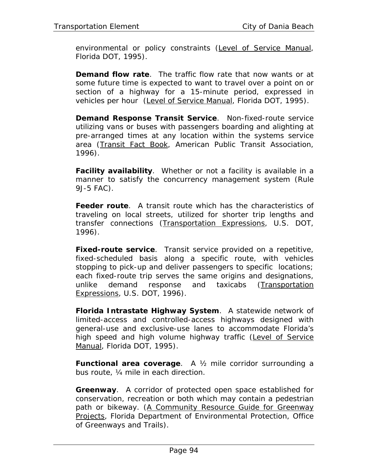environmental or policy constraints (Level of Service Manual, Florida DOT, 1995).

**Demand flow rate**. The traffic flow rate that now wants or at some future time is expected to want to travel over a point on or section of a highway for a 15-minute period, expressed in vehicles per hour (Level of Service Manual, Florida DOT, 1995).

**Demand Response Transit Service**. Non-fixed-route service utilizing vans or buses with passengers boarding and alighting at pre-arranged times at any location within the systems service area (Transit Fact Book, American Public Transit Association, 1996).

**Facility availability**. Whether or not a facility is available in a manner to satisfy the concurrency management system (Rule 9J-5 FAC).

**Feeder route**. A transit route which has the characteristics of traveling on local streets, utilized for shorter trip lengths and transfer connections (Transportation Expressions, U.S. DOT, 1996).

**Fixed-route service**. Transit service provided on a repetitive, fixed-scheduled basis along a specific route, with vehicles stopping to pick-up and deliver passengers to specific locations; each fixed-route trip serves the same origins and designations, unlike demand response and taxicabs (Transportation Expressions, U.S. DOT, 1996).

**Florida Intrastate Highway System**. A statewide network of limited-access and controlled-access highways designed with general-use and exclusive-use lanes to accommodate Florida's high speed and high volume highway traffic (Level of Service Manual, Florida DOT, 1995).

**Functional area coverage**. A ½ mile corridor surrounding a bus route, ¼ mile in each direction.

**Greenway**. A corridor of protected open space established for conservation, recreation or both which may contain a pedestrian path or bikeway. (A Community Resource Guide for Greenway Projects, Florida Department of Environmental Protection, Office of Greenways and Trails).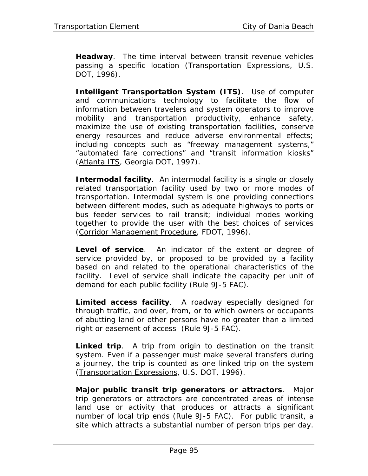**Headway**. The time interval between transit revenue vehicles passing a specific location (Transportation Expressions, U.S. DOT, 1996).

**Intelligent Transportation System (ITS)**. Use of computer and communications technology to facilitate the flow of information between travelers and system operators to improve mobility and transportation productivity, enhance safety, maximize the use of existing transportation facilities, conserve energy resources and reduce adverse environmental effects; including concepts such as "freeway management systems," "automated fare corrections" and "transit information kiosks" (Atlanta ITS, Georgia DOT, 1997).

**Intermodal facility**. An intermodal facility is a single or closely related transportation facility used by two or more modes of transportation. Intermodal system is one providing connections between different modes, such as adequate highways to ports or bus feeder services to rail transit; individual modes working together to provide the user with the best choices of services (Corridor Management Procedure, FDOT, 1996).

**Level of service**. An indicator of the extent or degree of service provided by, or proposed to be provided by a facility based on and related to the operational characteristics of the facility. Level of service shall indicate the capacity per unit of demand for each public facility (Rule 9J-5 FAC).

**Limited access facility**. A roadway especially designed for through traffic, and over, from, or to which owners or occupants of abutting land or other persons have no greater than a limited right or easement of access (Rule 9J-5 FAC).

**Linked trip**. A trip from origin to destination on the transit system. Even if a passenger must make several transfers during a journey, the trip is counted as one linked trip on the system (Transportation Expressions, U.S. DOT, 1996).

**Major public transit trip generators or attractors**. Major trip generators or attractors are concentrated areas of intense land use or activity that produces or attracts a significant number of local trip ends (Rule 9J-5 FAC). For public transit, a site which attracts a substantial number of person trips per day.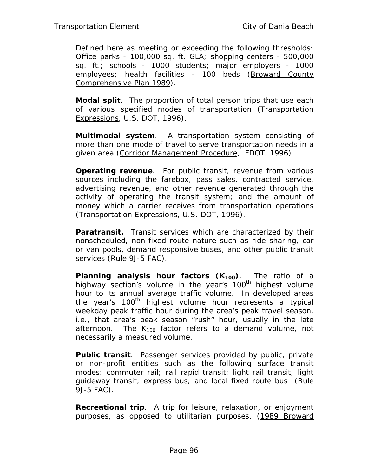Defined here as meeting or exceeding the following thresholds: Office parks - 100,000 sq. ft. GLA; shopping centers - 500,000 sq. ft.; schools - 1000 students; major employers - 1000 employees; health facilities - 100 beds (Broward County Comprehensive Plan 1989).

**Modal split**. The proportion of total person trips that use each of various specified modes of transportation (Transportation Expressions, U.S. DOT, 1996).

**Multimodal system**. A transportation system consisting of more than one mode of travel to serve transportation needs in a given area (Corridor Management Procedure, FDOT, 1996).

**Operating revenue**. For public transit, revenue from various sources including the farebox, pass sales, contracted service, advertising revenue, and other revenue generated through the activity of operating the transit system; and the amount of money which a carrier receives from transportation operations (Transportation Expressions, U.S. DOT, 1996).

**Paratransit.** Transit services which are characterized by their nonscheduled, non-fixed route nature such as ride sharing, car or van pools, demand responsive buses, and other public transit services (Rule 9J-5 FAC).

**Planning analysis hour factors (K<sub>100</sub>)**. The ratio of a highway section's volume in the year's 100<sup>th</sup> highest volume hour to its annual average traffic volume. In developed areas the year's 100<sup>th</sup> highest volume hour represents a typical weekday peak traffic hour during the area's peak travel season, i.e., that area's peak season "rush" hour, usually in the late afternoon. The  $K_{100}$  factor refers to a demand volume, not necessarily a measured volume.

**Public transit**. Passenger services provided by public, private or non-profit entities such as the following surface transit modes: commuter rail; rail rapid transit; light rail transit; light guideway transit; express bus; and local fixed route bus (Rule 9J-5 FAC).

**Recreational trip**. A trip for leisure, relaxation, or enjoyment purposes, as opposed to utilitarian purposes. (1989 Broward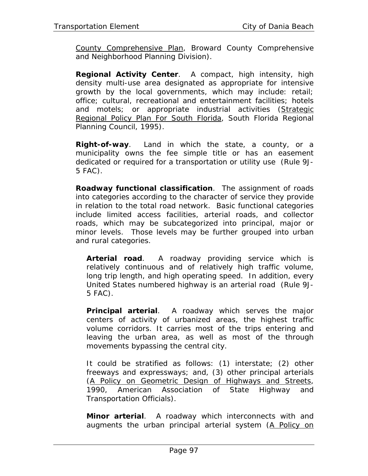County Comprehensive Plan, Broward County Comprehensive and Neighborhood Planning Division).

**Regional Activity Center**. A compact, high intensity, high density multi-use area designated as appropriate for intensive growth by the local governments, which may include: retail; office; cultural, recreational and entertainment facilities; hotels and motels; or appropriate industrial activities (Strategic Regional Policy Plan For South Florida, South Florida Regional Planning Council, 1995).

**Right-of-way**. Land in which the state, a county, or a municipality owns the fee simple title or has an easement dedicated or required for a transportation or utility use (Rule 9J-5 FAC).

**Roadway functional classification**. The assignment of roads into categories according to the character of service they provide in relation to the total road network. Basic functional categories include limited access facilities, arterial roads, and collector roads, which may be subcategorized into principal, major or minor levels. Those levels may be further grouped into urban and rural categories.

*Arterial road*. A roadway providing service which is relatively continuous and of relatively high traffic volume, long trip length, and high operating speed. In addition, every United States numbered highway is an arterial road (Rule 9J-5 FAC).

*Principal arterial*. A roadway which serves the major centers of activity of urbanized areas, the highest traffic volume corridors. It carries most of the trips entering and leaving the urban area, as well as most of the through movements bypassing the central city.

It could be stratified as follows: (1) interstate; (2) other freeways and expressways; and, (3) other principal arterials (A Policy on Geometric Design of Highways and Streets, 1990, American Association of State Highway and Transportation Officials).

*Minor arterial*. A roadway which interconnects with and augments the urban principal arterial system (A Policy on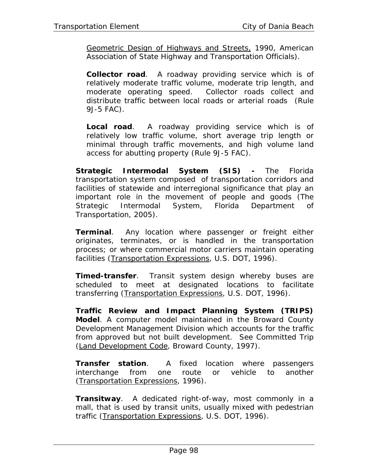Geometric Design of Highways and Streets, 1990, American Association of State Highway and Transportation Officials).

*Collector road*. A roadway providing service which is of relatively moderate traffic volume, moderate trip length, and moderate operating speed. Collector roads collect and distribute traffic between local roads or arterial roads (Rule 9J-5 FAC).

*Local road*. A roadway providing service which is of relatively low traffic volume, short average trip length or minimal through traffic movements, and high volume land access for abutting property (Rule 9J-5 FAC).

**Strategic Intermodal System (SIS) -** The Florida transportation system composed of transportation corridors and facilities of statewide and interregional significance that play an important role in the movement of people and goods (The Strategic Intermodal System, Florida Department of Transportation, 2005).

**Terminal**. Any location where passenger or freight either originates, terminates, or is handled in the transportation process; or where commercial motor carriers maintain operating facilities (Transportation Expressions, U.S. DOT, 1996).

**Timed-transfer**. Transit system design whereby buses are scheduled to meet at designated locations to facilitate transferring (Transportation Expressions, U.S. DOT, 1996).

**Traffic Review and Impact Planning System (TRIPS) Model**. A computer model maintained in the Broward County Development Management Division which accounts for the traffic from approved but not built development. See Committed Trip (Land Development Code, Broward County, 1997).

**Transfer station**. A fixed location where passengers interchange from one route or vehicle to another (Transportation Expressions, 1996).

**Transitway**. A dedicated right-of-way, most commonly in a mall, that is used by transit units, usually mixed with pedestrian traffic (Transportation Expressions, U.S. DOT, 1996).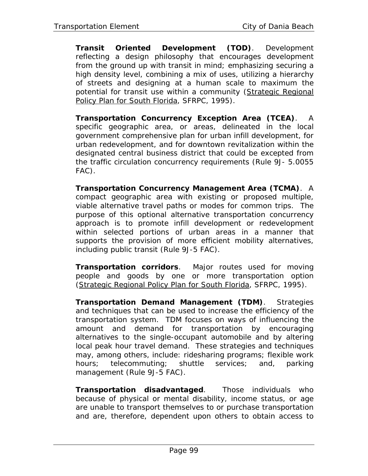**Transit Oriented Development (TOD)**. Development reflecting a design philosophy that encourages development from the ground up with transit in mind; emphasizing securing a high density level, combining a mix of uses, utilizing a hierarchy of streets and designing at a human scale to maximum the potential for transit use within a community (Strategic Regional Policy Plan for South Florida, SFRPC, 1995).

**Transportation Concurrency Exception Area (TCEA)**. A specific geographic area, or areas, delineated in the local government comprehensive plan for urban infill development, for urban redevelopment, and for downtown revitalization within the designated central business district that could be excepted from the traffic circulation concurrency requirements (Rule 9J- 5.0055 FAC).

**Transportation Concurrency Management Area (TCMA)**. A compact geographic area with existing or proposed multiple, viable alternative travel paths or modes for common trips. The purpose of this optional alternative transportation concurrency approach is to promote infill development or redevelopment within selected portions of urban areas in a manner that supports the provision of more efficient mobility alternatives, including public transit (Rule 9J-5 FAC).

**Transportation corridors**. Major routes used for moving people and goods by one or more transportation option (Strategic Regional Policy Plan for South Florida, SFRPC, 1995).

**Transportation Demand Management (TDM)**. Strategies and techniques that can be used to increase the efficiency of the transportation system. TDM focuses on ways of influencing the amount and demand for transportation by encouraging alternatives to the single-occupant automobile and by altering local peak hour travel demand. These strategies and techniques may, among others, include: ridesharing programs; flexible work hours; telecommuting; shuttle services; and, parking management (Rule 9J-5 FAC).

**Transportation disadvantaged**. Those individuals who because of physical or mental disability, income status, or age are unable to transport themselves to or purchase transportation and are, therefore, dependent upon others to obtain access to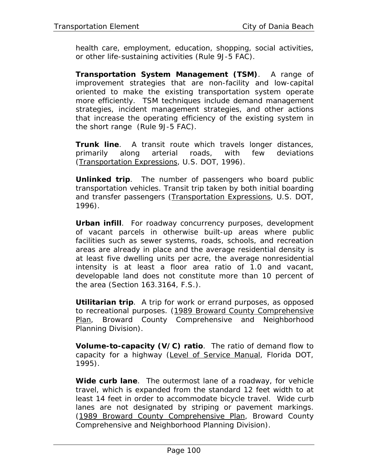health care, employment, education, shopping, social activities, or other life-sustaining activities (Rule 9J-5 FAC).

**Transportation System Management (TSM)**. A range of improvement strategies that are non-facility and low-capital oriented to make the existing transportation system operate more efficiently. TSM techniques include demand management strategies, incident management strategies, and other actions that increase the operating efficiency of the existing system in the short range (Rule 9J-5 FAC).

**Trunk line**. A transit route which travels longer distances, primarily along arterial roads, with few deviations (Transportation Expressions, U.S. DOT, 1996).

**Unlinked trip**. The number of passengers who board public transportation vehicles. Transit trip taken by both initial boarding and transfer passengers (Transportation Expressions, U.S. DOT, 1996).

**Urban infill**. For roadway concurrency purposes, development of vacant parcels in otherwise built-up areas where public facilities such as sewer systems, roads, schools, and recreation areas are already in place and the average residential density is at least five dwelling units per acre, the average nonresidential intensity is at least a floor area ratio of 1.0 and vacant, developable land does not constitute more than 10 percent of the area (Section 163.3164, F.S.).

**Utilitarian trip**. A trip for work or errand purposes, as opposed to recreational purposes. (1989 Broward County Comprehensive Plan, Broward County Comprehensive and Neighborhood Planning Division).

**Volume-to-capacity (V/C) ratio**. The ratio of demand flow to capacity for a highway (Level of Service Manual, Florida DOT, 1995).

**Wide curb lane**. The outermost lane of a roadway, for vehicle travel, which is expanded from the standard 12 feet width to at least 14 feet in order to accommodate bicycle travel. Wide curb lanes are not designated by striping or pavement markings. (1989 Broward County Comprehensive Plan, Broward County Comprehensive and Neighborhood Planning Division).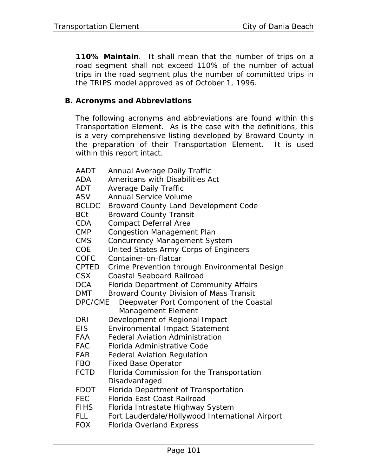**110% Maintain**. It shall mean that the number of trips on a road segment shall not exceed 110% of the number of actual trips in the road segment plus the number of committed trips in the TRIPS model approved as of October 1, 1996.

### **B. Acronyms and Abbreviations**

The following acronyms and abbreviations are found within this Transportation Element. As is the case with the definitions, this is a very comprehensive listing developed by Broward County in the preparation of their Transportation Element. It is used within this report intact.

AADT Annual Average Daily Traffic ADA Americans with Disabilities Act ADT Average Daily Traffic ASV Annual Service Volume BCLDC Broward County Land Development Code BCt Broward County Transit CDA Compact Deferral Area CMP Congestion Management Plan CMS Concurrency Management System COE United States Army Corps of Engineers COFC Container-on-flatcar CPTED Crime Prevention through Environmental Design CSX Coastal Seaboard Railroad DCA Florida Department of Community Affairs DMT Broward County Division of Mass Transit DPC/CME Deepwater Port Component of the Coastal Management Element DRI Development of Regional Impact EIS Environmental Impact Statement FAA Federal Aviation Administration FAC Florida Administrative Code FAR Federal Aviation Regulation FBO Fixed Base Operator FCTD Florida Commission for the Transportation Disadvantaged FDOT Florida Department of Transportation FEC Florida East Coast Railroad FIHS Florida Intrastate Highway System FLL Fort Lauderdale/Hollywood International Airport FOX Florida Overland Express